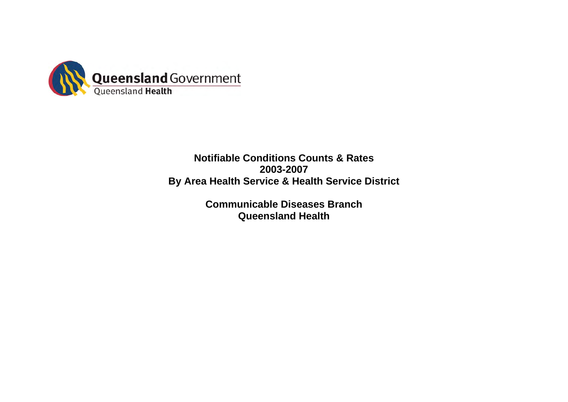

# **Notifiable Conditions Counts & Rates 2003-2007 By Area Health Service & Health Service District**

**Communicable Diseases Branch Queensland Health**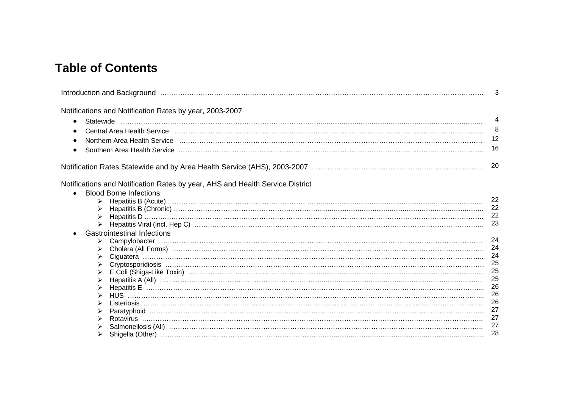# **Table of Contents**

|                                                                                                                                          | 3  |
|------------------------------------------------------------------------------------------------------------------------------------------|----|
| Notifications and Notification Rates by year, 2003-2007                                                                                  |    |
| $\bullet$                                                                                                                                | 4  |
| Central Area Health Service (111) Central Contract Central Central Central Central Area Health Service (111) Central Area Health Service | 8  |
|                                                                                                                                          | 12 |
|                                                                                                                                          |    |
|                                                                                                                                          | 16 |
|                                                                                                                                          | 20 |
| Notifications and Notification Rates by year, AHS and Health Service District                                                            |    |
| <b>Blood Borne Infections</b>                                                                                                            |    |
|                                                                                                                                          | 22 |
|                                                                                                                                          | 22 |
|                                                                                                                                          | 22 |
|                                                                                                                                          | 23 |
| <b>Gastrointestinal Infections</b>                                                                                                       |    |
|                                                                                                                                          | 24 |
|                                                                                                                                          | 24 |
|                                                                                                                                          | 24 |
|                                                                                                                                          | 25 |
|                                                                                                                                          | 25 |
|                                                                                                                                          | 25 |
|                                                                                                                                          | 26 |
|                                                                                                                                          | 26 |
|                                                                                                                                          | 26 |
|                                                                                                                                          | 27 |
|                                                                                                                                          | 27 |
|                                                                                                                                          | 27 |
|                                                                                                                                          | 28 |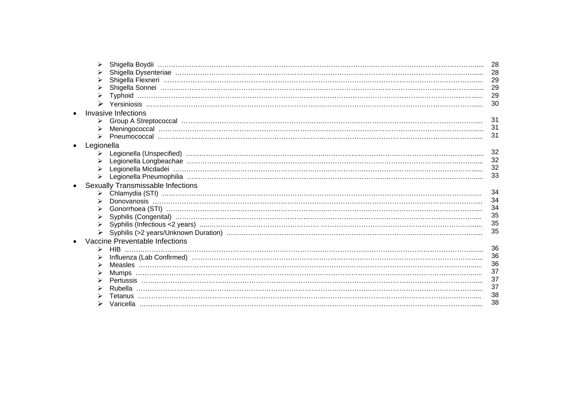| ⋗          |                                   | 28       |
|------------|-----------------------------------|----------|
|            |                                   | 28       |
|            |                                   | 29       |
|            |                                   | 29       |
|            |                                   | 29       |
| ➤          |                                   | 30       |
|            | <b>Invasive Infections</b>        |          |
|            |                                   | 31       |
|            |                                   | 31       |
|            |                                   | 31       |
|            |                                   |          |
| Legionella |                                   |          |
|            |                                   | 32       |
|            |                                   | 32       |
|            |                                   | 32       |
| ➤          |                                   | 33       |
|            | Sexually Transmissable Infections |          |
|            |                                   | 34       |
|            |                                   | 34       |
|            |                                   | 34       |
|            |                                   | 35       |
|            |                                   | 35       |
|            |                                   | 35       |
|            | Vaccine Preventable Infections    |          |
|            |                                   | 36       |
|            |                                   | 36       |
| ≻          |                                   |          |
| ➤          | Mumps                             | 36<br>37 |
|            |                                   | 37       |
|            |                                   | 37       |
|            |                                   | 38       |
|            |                                   | 38       |
|            |                                   |          |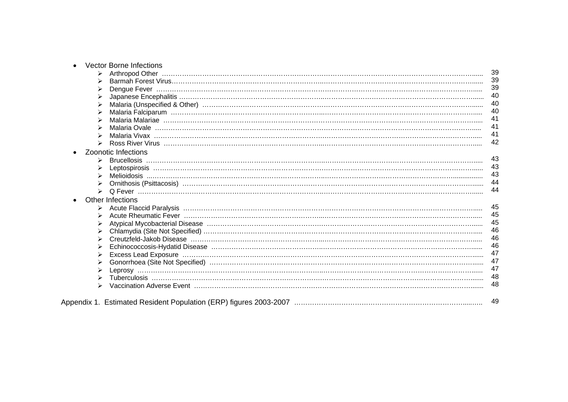|                       | <b>Vector Borne Infections</b>                                                                                         |    |
|-----------------------|------------------------------------------------------------------------------------------------------------------------|----|
|                       |                                                                                                                        | 39 |
|                       |                                                                                                                        | 39 |
|                       |                                                                                                                        | 39 |
|                       |                                                                                                                        | 40 |
|                       | Malaria (Unspecified & Other) (Conserversion (Conserversion (Conserversion (Conserversion Conserversion Conserversion) | 40 |
|                       |                                                                                                                        | 40 |
|                       |                                                                                                                        | 41 |
|                       |                                                                                                                        | 41 |
|                       |                                                                                                                        | 41 |
|                       |                                                                                                                        | 42 |
|                       | <b>Zoonotic Infections</b>                                                                                             |    |
|                       |                                                                                                                        | 43 |
|                       |                                                                                                                        | 43 |
|                       |                                                                                                                        | 43 |
|                       |                                                                                                                        | 44 |
| $\blacktriangleright$ |                                                                                                                        | 44 |
|                       | <b>Other Infections</b>                                                                                                |    |
|                       |                                                                                                                        | 45 |
|                       |                                                                                                                        | 45 |
|                       |                                                                                                                        | 45 |
|                       |                                                                                                                        | 46 |
|                       |                                                                                                                        | 46 |
|                       |                                                                                                                        | 46 |
|                       |                                                                                                                        | 47 |
|                       |                                                                                                                        | 47 |
|                       |                                                                                                                        | 47 |
|                       |                                                                                                                        | 48 |
|                       |                                                                                                                        | 48 |
|                       |                                                                                                                        |    |
|                       |                                                                                                                        | 49 |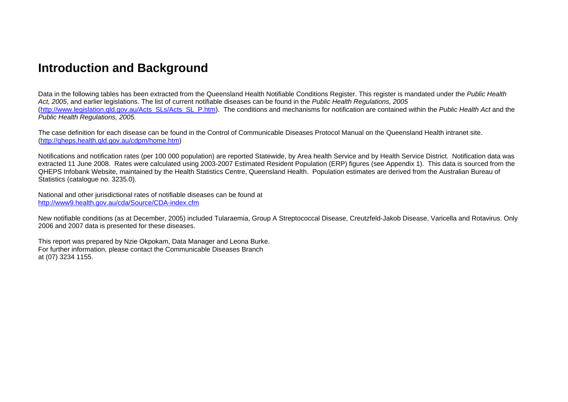# **Introduction and Background**

Data in the following tables has been extracted from the Queensland Health Notifiable Conditions Register. This register is mandated under the *Public Health Act, 2005*, and earlier legislations. The list of current notifiable diseases can be found in the *Public Health Regulations, 2005*  (http://www.legislation.qld.gov.au/Acts\_SLs/Acts\_SL\_P.htm). The conditions and mechanisms for notification are contained within the *Public Health Act* and the *Public Health Regulations, 2005.* 

The case definition for each disease can be found in the Control of Communicable Diseases Protocol Manual on the Queensland Health intranet site. (http://qheps.health.qld.gov.au/cdpm/home.htm)

Notifications and notification rates (per 100 000 population) are reported Statewide, by Area health Service and by Health Service District. Notification data was extracted 11 June 2008. Rates were calculated using 2003-2007 Estimated Resident Population (ERP) figures (see Appendix 1). This data is sourced from the QHEPS Infobank Website, maintained by the Health Statistics Centre, Queensland Health. Population estimates are derived from the Australian Bureau of Statistics (catalogue no. 3235.0).

National and other jurisdictional rates of notifiable diseases can be found at http://www9.health.gov.au/cda/Source/CDA-index.cfm

New notifiable conditions (as at December, 2005) included Tularaemia, Group A Streptococcal Disease, Creutzfeld-Jakob Disease, Varicella and Rotavirus. Only 2006 and 2007 data is presented for these diseases.

This report was prepared by Nzie Okpokam, Data Manager and Leona Burke. For further information, please contact the Communicable Diseases Branch at (07) 3234 1155.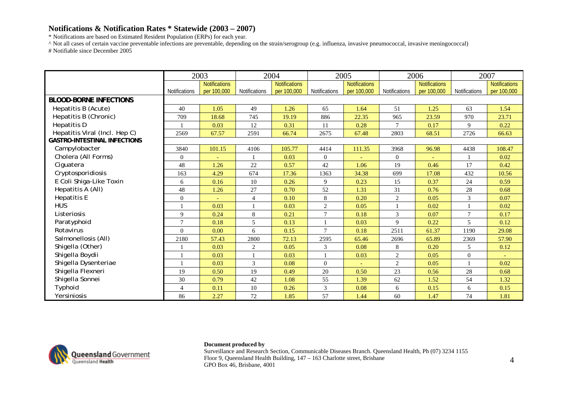\* Notifications are based on Estimated Resident Population (ERPs) for each year.

^ Not all cases of certain vaccine preventable infections are preventable, depending on the strain/serogroup (e.g. influenza, invasive pneumococcal, invasive meningococcal) # Notifiable since December 2005

|                                     |                      | 2003          |                      | 2004                 |                      | 2005                 | 2006           |                      |                  | 2007                 |
|-------------------------------------|----------------------|---------------|----------------------|----------------------|----------------------|----------------------|----------------|----------------------|------------------|----------------------|
|                                     |                      | Notifications |                      | <b>Notifications</b> |                      | <b>Notifications</b> |                | <b>Notifications</b> |                  | <b>Notifications</b> |
|                                     | <b>Notifications</b> | per 100,000   | <b>Notifications</b> | per 100,000          | <b>Notifications</b> | per 100,000          | Notifications  | per 100,000          | Notifications    | per 100,000          |
| <b>BLOOD-BORNE INFECTIONS</b>       |                      |               |                      |                      |                      |                      |                |                      |                  |                      |
| Hepatitis B (Acute)                 | 40                   | 1.05          | 49                   | 1.26                 | 65                   | 1.64                 | 51             | 1.25                 | 63               | 1.54                 |
| Hepatitis B (Chronic)               | 709                  | 18.68         | 745                  | 19.19                | 886                  | 22.35                | 965            | 23.59                | 970              | 23.71                |
| Hepatitis D                         |                      | 0.03          | 12                   | 0.31                 | 11                   | 0.28                 | $\tau$         | 0.17                 | 9                | 0.22                 |
| Hepatitis Viral (Incl. Hep C)       | 2569                 | 67.57         | 2591                 | 66.74                | 2675                 | 67.48                | 2803           | 68.51                | 2726             | 66.63                |
| <b>GASTRO-INTESTINAL INFECTIONS</b> |                      |               |                      |                      |                      |                      |                |                      |                  |                      |
| Campylobacter                       | 3840                 | 101.15        | 4106                 | 105.77               | 4414                 | 111.35               | 3968           | 96.98                | 4438             | 108.47               |
| Cholera (All Forms)                 | $\mathbf{0}$         |               |                      | 0.03                 | $\overline{0}$       |                      | $\overline{0}$ |                      |                  | 0.02                 |
| Ciguatera                           | 48                   | 1.26          | 22                   | 0.57                 | 42                   | 1.06                 | 19             | 0.46                 | 17               | 0.42                 |
| Cryptosporidiosis                   | 163                  | 4.29          | 674                  | 17.36                | 1363                 | 34.38                | 699            | 17.08                | 432              | 10.56                |
| E Coli Shiga-Like Toxin             | 6                    | 0.16          | 10                   | 0.26                 | 9                    | 0.23                 | 15             | 0.37                 | 24               | 0.59                 |
| Hepatitis A (All)                   | 48                   | 1.26          | 27                   | 0.70                 | 52                   | 1.31                 | 31             | 0.76                 | 28               | 0.68                 |
| <b>Hepatitis E</b>                  | $\overline{0}$       |               | $\overline{4}$       | 0.10                 | 8                    | 0.20                 | 2              | 0.05                 | 3                | 0.07                 |
| <b>HUS</b>                          |                      | 0.03          |                      | 0.03                 | 2                    | 0.05                 |                | 0.02                 | $\mathbf{1}$     | 0.02                 |
| Listeriosis                         | 9                    | 0.24          | 8                    | 0.21                 | $\tau$               | 0.18                 | 3              | 0.07                 | $\tau$           | 0.17                 |
| Paratyphoid                         | $\overline{7}$       | 0.18          | 5                    | 0.13                 |                      | 0.03                 | 9              | 0.22                 | 5                | 0.12                 |
| Rotavirus                           | $\overline{0}$       | 0.00          | 6                    | 0.15                 | $\tau$               | 0.18                 | 2511           | 61.37                | 1190             | 29.08                |
| Salmonellosis (All)                 | 2180                 | 57.43         | 2800                 | 72.13                | 2595                 | 65.46                | 2696           | 65.89                | 2369             | 57.90                |
| Shigella (Other)                    |                      | 0.03          | 2                    | 0.05                 | 3                    | 0.08                 | 8              | 0.20                 | 5                | 0.12                 |
| Shigella Boydii                     |                      | 0.03          |                      | 0.03                 |                      | 0.03                 | $\overline{c}$ | 0.05                 | $\boldsymbol{0}$ |                      |
| Shigella Dysenteriae                |                      | 0.03          | 3                    | 0.08                 | $\overline{0}$       |                      | 2              | 0.05                 |                  | 0.02                 |
| Shigella Flexneri                   | 19                   | 0.50          | 19                   | 0.49                 | 20                   | 0.50                 | 23             | 0.56                 | 28               | 0.68                 |
| Shigella Sonnei                     | 30                   | 0.79          | 42                   | 1.08                 | 55                   | 1.39                 | 62             | 1.52                 | 54               | 1.32                 |
| Typhoid                             | $\overline{4}$       | 0.11          | 10                   | 0.26                 | 3                    | 0.08                 | 6              | 0.15                 | 6                | 0.15                 |
| Yersiniosis                         | 86                   | 2.27          | 72                   | 1.85                 | 57                   | 1.44                 | 60             | 1.47                 | 74               | 1.81                 |



### **Document produced by**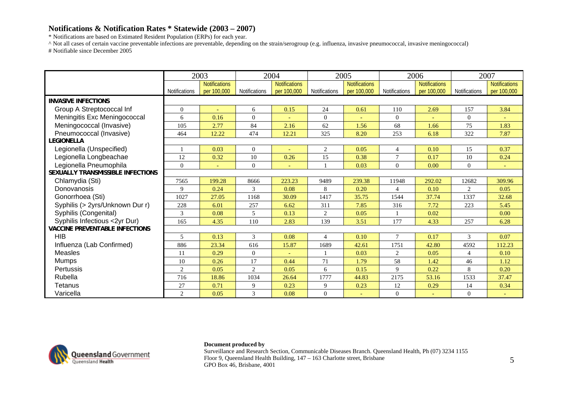\* Notifications are based on Estimated Resident Population (ERPs) for each year.

^ Not all cases of certain vaccine preventable infections are preventable, depending on the strain/serogroup (e.g. influenza, invasive pneumococcal, invasive meningococcal) # Notifiable since December 2005

|                                       |                | 2003                 |                | 2004                 |                | 2005                 |                | 2006                 |                | 2007                 |
|---------------------------------------|----------------|----------------------|----------------|----------------------|----------------|----------------------|----------------|----------------------|----------------|----------------------|
|                                       |                | <b>Notifications</b> |                | <b>Notifications</b> |                | <b>Notifications</b> |                | <b>Notifications</b> |                | <b>Notifications</b> |
|                                       | Notifications  | per 100,000          | Notifications  | per 100,000          | Notifications  | per 100,000          | Notifications  | per 100,000          | Notifications  | per 100,000          |
| <b>INVASIVE INFECTIONS</b>            |                |                      |                |                      |                |                      |                |                      |                |                      |
| Group A Streptococcal Inf             | $\Omega$       |                      | 6              | 0.15                 | 24             | 0.61                 | 110            | 2.69                 | 157            | 3.84                 |
| Meningitis Exc Meningococcal          | 6              | 0.16                 | $\theta$       |                      | $\Omega$       |                      | $\Omega$       |                      | $\overline{0}$ |                      |
| Meningococcal (Invasive)              | 105            | 2.77                 | 84             | 2.16                 | 62             | 1.56                 | 68             | 1.66                 | 75             | 1.83                 |
| Pneumococcal (Invasive)               | 464            | 12.22                | 474            | 12.21                | 325            | 8.20                 | 253            | 6.18                 | 322            | 7.87                 |
| <b>LEGIONELLA</b>                     |                |                      |                |                      |                |                      |                |                      |                |                      |
| Legionella (Unspecified)              |                | 0.03                 | $\overline{0}$ |                      | $\overline{c}$ | 0.05                 | 4              | 0.10                 | 15             | 0.37                 |
| Legionella Longbeachae                | 12             | 0.32                 | 10             | 0.26                 | 15             | 0.38                 | $\overline{7}$ | 0.17                 | 10             | 0.24                 |
| Legionella Pneumophila                | $\Omega$       |                      | $\mathbf{0}$   |                      |                | 0.03                 | $\overline{0}$ | 0.00                 | $\overline{0}$ |                      |
| SEXUALLY TRANSMISSIBLE INFECTIONS     |                |                      |                |                      |                |                      |                |                      |                |                      |
| Chlamydia (Sti)                       | 7565           | 199.28               | 8666           | 223.23               | 9489           | 239.38               | 11948          | 292.02               | 12682          | 309.96               |
| Donovanosis                           | 9              | 0.24                 | 3              | 0.08                 | 8              | 0.20                 | $\overline{4}$ | 0.10                 | $\overline{2}$ | 0.05                 |
| Gonorrhoea (Sti)                      | 1027           | 27.05                | 1168           | 30.09                | 1417           | 35.75                | 1544           | 37.74                | 1337           | 32.68                |
| Syphilis (> 2yrs/Unknown Dur r)       | 228            | 6.01                 | 257            | 6.62                 | 311            | 7.85                 | 316            | 7.72                 | 223            | 5.45                 |
| Syphilis (Congenital)                 | 3              | 0.08                 | 5              | 0.13                 | $\overline{c}$ | 0.05                 |                | 0.02                 |                | 0.00                 |
| Syphilis Infectious <2yr Dur)         | 165            | 4.35                 | 110            | 2.83                 | 139            | 3.51                 | 177            | 4.33                 | 257            | 6.28                 |
| <b>VACCINE PREVENTABLE INFECTIONS</b> |                |                      |                |                      |                |                      |                |                      |                |                      |
| <b>HIB</b>                            | 5              | 0.13                 | 3              | 0.08                 | $\overline{4}$ | 0.10                 | $\overline{7}$ | 0.17                 | 3              | 0.07                 |
| Influenza (Lab Confirmed)             | 886            | 23.34                | 616            | 15.87                | 1689           | 42.61                | 1751           | 42.80                | 4592           | 112.23               |
| <b>Measles</b>                        | 11             | 0.29                 | $\overline{0}$ |                      |                | 0.03                 | $\overline{c}$ | 0.05                 | 4              | 0.10                 |
| <b>Mumps</b>                          | 10             | 0.26                 | 17             | 0.44                 | 71             | 1.79                 | 58             | 1.42                 | 46             | 1.12                 |
| Pertussis                             | 2              | 0.05                 | $\overline{2}$ | 0.05                 | 6              | 0.15                 | 9              | 0.22                 | 8              | 0.20                 |
| Rubella                               | 716            | 18.86                | 1034           | 26.64                | 1777           | 44.83                | 2175           | 53.16                | 1533           | 37.47                |
| Tetanus                               | 27             | 0.71                 | 9              | 0.23                 | 9              | 0.23                 | 12             | 0.29                 | 14             | 0.34                 |
| Varicella                             | $\overline{2}$ | 0.05                 | 3              | 0.08                 | $\overline{0}$ |                      | $\Omega$       |                      | $\overline{0}$ |                      |



### **Document produced by**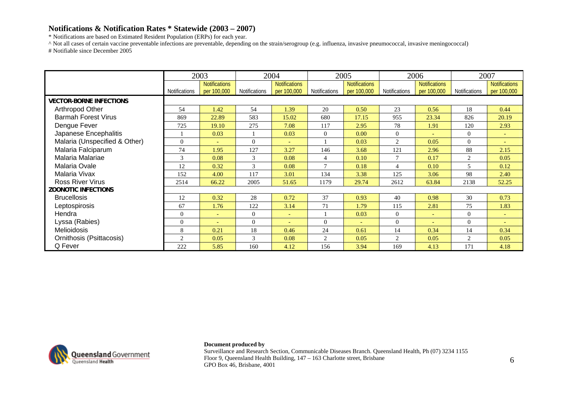\* Notifications are based on Estimated Resident Population (ERPs) for each year.

^ Not all cases of certain vaccine preventable infections are preventable, depending on the strain/serogroup (e.g. influenza, invasive pneumococcal, invasive meningococcal) # Notifiable since December 2005

|                                |               | 2003                                |                | 2004                                |                | 2005                                |                          | 2006                                | 2007           |                                     |
|--------------------------------|---------------|-------------------------------------|----------------|-------------------------------------|----------------|-------------------------------------|--------------------------|-------------------------------------|----------------|-------------------------------------|
|                                | Notifications | <b>Notifications</b><br>per 100,000 | Notifications  | <b>Notifications</b><br>per 100,000 | Notifications  | <b>Notifications</b><br>per 100,000 | Notifications            | <b>Notifications</b><br>per 100,000 | Notifications  | <b>Notifications</b><br>per 100,000 |
| <b>VECTOR-BORNE INFECTIONS</b> |               |                                     |                |                                     |                |                                     |                          |                                     |                |                                     |
| Arthropod Other                | 54            | .42                                 | 54             | 1.39                                | 20             | 0.50                                | 23                       | 0.56                                | 18             | 0.44                                |
| <b>Barmah Forest Virus</b>     | 869           | 22.89                               | 583            | 15.02                               | 680            | 17.15                               | 955                      | 23.34                               | 826            | 20.19                               |
| Dengue Fever                   | 725           | 19.10                               | 275            | 7.08                                | 117            | 2.95                                | 78                       | 1.91                                | 120            | 2.93                                |
| Japanese Encephalitis          |               | 0.03                                |                | 0.03                                | $\Omega$       | 0.00                                | $\Omega$                 | $\overline{\phantom{a}}$            | $\Omega$       | $\sim$                              |
| Malaria (Unspecified & Other)  | $\Omega$      | $\equiv$                            | $\Omega$       |                                     |                | 0.03                                | 2                        | 0.05                                | $\overline{0}$ | $\sim$                              |
| Malaria Falciparum             | 74            | 1.95                                | 127            | 3.27                                | 146            | 3.68                                | 121                      | 2.96                                | 88             | 2.15                                |
| Malaria Malariae               | 3             | 0.08                                | 3              | 0.08                                | $\overline{4}$ | 0.10                                | $\mathcal{I}$            | 0.17                                | $\overline{2}$ | 0.05                                |
| Malaria Ovale                  | 12            | 0.32                                | 3              | 0.08                                | $\mathcal{I}$  | 0.18                                | $\overline{\mathcal{A}}$ | 0.10                                | 5              | 0.12                                |
| Malaria Vivax                  | 152           | 4.00                                | 117            | 3.01                                | 134            | 3.38                                | 125                      | 3.06                                | 98             | 2.40                                |
| <b>Ross River Virus</b>        | 2514          | 66.22                               | 2005           | 51.65                               | 1179           | 29.74                               | 2612                     | 63.84                               | 2138           | 52.25                               |
| <b>ZOONOTIC INFECTIONS</b>     |               |                                     |                |                                     |                |                                     |                          |                                     |                |                                     |
| <b>Brucellosis</b>             | 12            | 0.32                                | 28             | 0.72                                | 37             | 0.93                                | 40                       | 0.98                                | 30             | 0.73                                |
| Leptospirosis                  | 67            | 1.76                                | 122            | 3.14                                | 71             | 1.79                                | 115                      | 2.81                                | 75             | 1.83                                |
| Hendra                         | $\mathbf{0}$  | $\equiv$                            | $\overline{0}$ | $\sim$                              |                | 0.03                                | $\theta$                 | $\overline{\phantom{a}}$            | $\overline{0}$ | $\sim$                              |
| Lyssa (Rabies)                 | $\Omega$      | $\overline{\phantom{a}}$            | $\theta$       | $\overline{\phantom{a}}$            | $\Omega$       | ÷                                   | $\Omega$                 | ٠                                   | $\Omega$       | $\sim$                              |
| <b>Melioidosis</b>             | 8             | 0.21                                | 18             | 0.46                                | 24             | 0.61                                | 14                       | 0.34                                | 14             | 0.34                                |
| Ornithosis (Psittacosis)       | 2             | 0.05                                | 3              | 0.08                                | 2              | 0.05                                | 2                        | 0.05                                | $\overline{c}$ | 0.05                                |
| Q Fever                        | 222           | 5.85                                | 160            | 4.12                                | 156            | 3.94                                | 169                      | 4.13                                | 171            | 4.18                                |



### **Document produced by**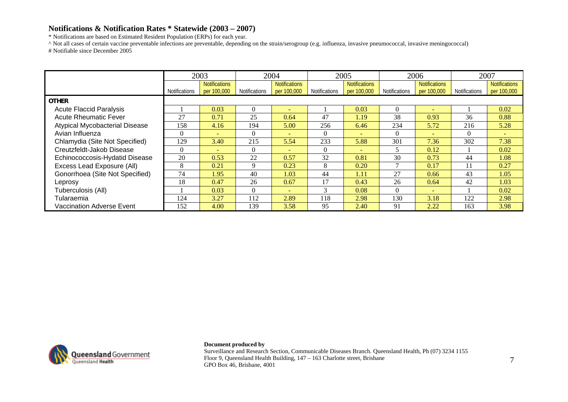\* Notifications are based on Estimated Resident Population (ERPs) for each year.

^ Not all cases of certain vaccine preventable infections are preventable, depending on the strain/serogroup (e.g. influenza, invasive pneumococcal, invasive meningococcal) # Notifiable since December 2005

|                                       |                      | 2003                 |               | 2004                 |                      | 2005                     |                      | 2006                     | 2007                 |                      |
|---------------------------------------|----------------------|----------------------|---------------|----------------------|----------------------|--------------------------|----------------------|--------------------------|----------------------|----------------------|
|                                       |                      | <b>Notifications</b> |               | <b>Notifications</b> |                      | <b>Notifications</b>     |                      | <b>Notifications</b>     |                      | <b>Notifications</b> |
|                                       | <b>Notifications</b> | per 100,000          | Notifications | per 100,000          | <b>Notifications</b> | per 100,000              | <b>Notifications</b> | per 100,000              | <b>Notifications</b> | per 100,000          |
| <b>OTHER</b>                          |                      |                      |               |                      |                      |                          |                      |                          |                      |                      |
| <b>Acute Flaccid Paralysis</b>        |                      | 0.03                 | $\Omega$      |                      |                      | 0.03                     | $\Omega$             | ÷                        |                      | 0.02                 |
| <b>Acute Rheumatic Fever</b>          | 27                   | 0.71                 | 25            | 0.64                 | 47                   | 1.19                     | 38                   | 0.93                     | 36                   | 0.88                 |
| <b>Atypical Mycobacterial Disease</b> | 158                  | 4.16                 | 194           | 5.00                 | 256                  | 6.46                     | 234                  | 5.72                     | 216                  | 5.28                 |
| Avian Influenza                       | $\theta$             | $\equiv$             | $\Omega$      | $\equiv$             | $\Omega$             | $\overline{\phantom{0}}$ | 0                    |                          | $\Omega$             |                      |
| Chlamydia (Site Not Specified)        | 129                  | 3.40                 | 215           | 5.54                 | 233                  | 5.88                     | 301                  | 7.36                     | 302                  | 7.38                 |
| Creutzfeldt-Jakob Disease             | $\Omega$             |                      | $\Omega$      | <b>.</b>             | $\Omega$             |                          |                      | 0.12                     |                      | 0.02                 |
| Echinococcosis-Hydatid Disease        | 20                   | 0.53                 | 22            | 0.57                 | 32                   | 0.81                     | 30                   | 0.73                     | 44                   | 1.08                 |
| Excess Lead Exposure (All)            | 8                    | 0.21                 | $\mathbf Q$   | 0.23                 | 8                    | 0.20                     |                      | 0.17                     | 11                   | 0.27                 |
| Gonorrhoea (Site Not Specified)       | 74                   | 1.95                 | 40            | 1.03                 | 44                   | 1.11                     | 27                   | 0.66                     | 43                   | 1.05                 |
| Leprosy                               | 18                   | 0.47                 | 26            | 0.67                 | 17                   | 0.43                     | 26                   | 0.64                     | 42                   | 1.03                 |
| Tuberculosis (All)                    |                      | 0.03                 | $\Omega$      | $\equiv$             | 3                    | 0.08                     | $\Omega$             | $\overline{\phantom{0}}$ |                      | 0.02                 |
| Tularaemia                            | 124                  | 3.27                 | 112           | 2.89                 | 118                  | 2.98                     | 130                  | 3.18                     | 122                  | 2.98                 |
| <b>Vaccination Adverse Event</b>      | 152                  | 4.00                 | 139           | 3.58                 | 95                   | 2.40                     | 91                   | 2.22                     | 163                  | 3.98                 |



**Document produced by**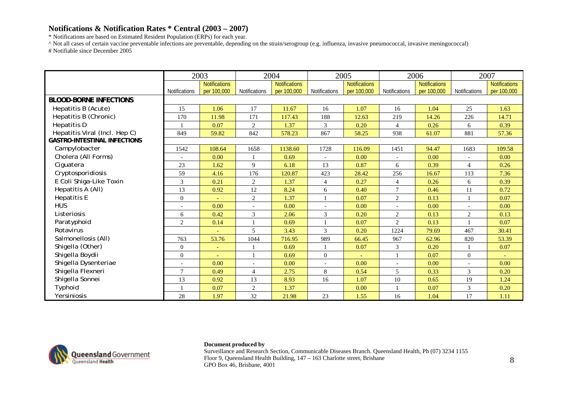\* Notifications are based on Estimated Resident Population (ERPs) for each year.

^ Not all cases of certain vaccine preventable infections are preventable, depending on the strain/serogroup (e.g. influenza, invasive pneumococcal, invasive meningococcal) # Notifiable since December 2005

|                                     |                          | 2003          |                          | 2004                 | 2005                 |                      | 2006           |                      | 2007                     |                      |
|-------------------------------------|--------------------------|---------------|--------------------------|----------------------|----------------------|----------------------|----------------|----------------------|--------------------------|----------------------|
|                                     |                          | Notifications |                          | <b>Notifications</b> |                      | <b>Notifications</b> |                | <b>Notifications</b> |                          | <b>Notifications</b> |
|                                     | <b>Notifications</b>     | per 100,000   | <b>Notifications</b>     | per 100,000          | <b>Notifications</b> | per 100,000          | Notifications  | per 100,000          | Notifications            | per 100,000          |
| <b>BLOOD-BORNE INFECTIONS</b>       |                          |               |                          |                      |                      |                      |                |                      |                          |                      |
| Hepatitis B (Acute)                 | 15                       | 1.06          | 17                       | 11.67                | 16                   | 1.07                 | 16             | 1.04                 | 25                       | 1.63                 |
| Hepatitis B (Chronic)               | 170                      | 11.98         | 171                      | 117.43               | 188                  | 12.63                | 219            | 14.26                | 226                      | 14.71                |
| Hepatitis D                         |                          | 0.07          | $\overline{2}$           | 1.37                 | 3                    | 0.20                 | $\overline{4}$ | 0.26                 | 6                        | 0.39                 |
| Hepatitis Viral (Incl. Hep C)       | 849                      | 59.82         | 842                      | 578.23               | 867                  | 58.25                | 938            | 61.07                | 881                      | 57.36                |
| <b>GASTRO-INTESTINAL INFECTIONS</b> |                          |               |                          |                      |                      |                      |                |                      |                          |                      |
| Campylobacter                       | 1542                     | 108.64        | 1658                     | 1138.60              | 1728                 | 116.09               | 1451           | 94.47                | 1683                     | 109.58               |
| Cholera (All Forms)                 | $\overline{\phantom{a}}$ | 0.00          |                          | 0.69                 |                      | 0.00                 | $\overline{a}$ | 0.00                 | $\overline{\phantom{a}}$ | 0.00                 |
| Ciguatera                           | 23                       | 1.62          | 9                        | 6.18                 | 13                   | 0.87                 | 6              | 0.39                 | $\overline{4}$           | 0.26                 |
| Cryptosporidiosis                   | 59                       | 4.16          | 176                      | 120.87               | 423                  | 28.42                | 256            | 16.67                | 113                      | 7.36                 |
| E Coli Shiga-Like Toxin             | 3                        | 0.21          | 2                        | 1.37                 | $\overline{4}$       | 0.27                 | $\overline{4}$ | 0.26                 | 6                        | 0.39                 |
| Hepatitis A (All)                   | 13                       | 0.92          | 12                       | 8.24                 | 6                    | 0.40                 | $\overline{7}$ | 0.46                 | 11                       | 0.72                 |
| <b>Hepatitis E</b>                  | $\overline{0}$           |               | 2                        | 1.37                 |                      | 0.07                 | 2              | 0.13                 | $\mathbf{1}$             | 0.07                 |
| <b>HUS</b>                          | $\overline{a}$           | 0.00          | $\overline{\phantom{a}}$ | 0.00                 |                      | 0.00                 |                | 0.00                 | $\overline{\phantom{a}}$ | 0.00                 |
| Listeriosis                         | 6                        | 0.42          | 3                        | 2.06                 | 3                    | 0.20                 | $\overline{c}$ | 0.13                 | $\overline{c}$           | 0.13                 |
| Paratyphoid                         | 2                        | 0.14          |                          | 0.69                 |                      | 0.07                 | 2              | 0.13                 |                          | 0.07                 |
| Rotavirus                           |                          |               | 5                        | 3.43                 | 3                    | 0.20                 | 1224           | 79.69                | 467                      | 30.41                |
| Salmonellosis (All)                 | 763                      | 53.76         | 1044                     | 716.95               | 989                  | 66.45                | 967            | 62.96                | 820                      | 53.39                |
| Shigella (Other)                    | $\overline{0}$           |               |                          | 0.69                 |                      | 0.07                 | 3              | 0.20                 |                          | 0.07                 |
| Shigella Boydii                     | $\boldsymbol{0}$         |               |                          | 0.69                 | $\mathbf{0}$         |                      |                | 0.07                 | $\overline{0}$           |                      |
| Shigella Dysenteriae                |                          | 0.00          | $\overline{\phantom{a}}$ | 0.00                 |                      | 0.00                 |                | 0.00                 | $\overline{\phantom{a}}$ | 0.00                 |
| Shigella Flexneri                   | $\tau$                   | 0.49          | $\overline{4}$           | 2.75                 | 8                    | 0.54                 | 5              | 0.33                 | 3                        | 0.20                 |
| Shigella Sonnei                     | 13                       | 0.92          | 13                       | 8.93                 | 16                   | 1.07                 | $10\,$         | 0.65                 | 19                       | 1.24                 |
| Typhoid                             |                          | 0.07          | 2                        | 1.37                 |                      | 0.00                 |                | 0.07                 | 3                        | 0.20                 |
| Yersiniosis                         | 28                       | 1.97          | 32                       | 21.98                | 23                   | 1.55                 | 16             | 1.04                 | 17                       | 1.11                 |



### **Document produced by**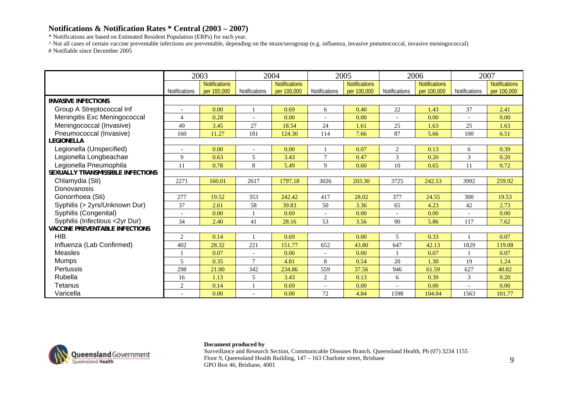\* Notifications are based on Estimated Resident Population (ERPs) for each year.

^ Not all cases of certain vaccine preventable infections are preventable, depending on the strain/serogroup (e.g. influenza, invasive pneumococcal, invasive meningococcal) # Notifiable since December 2005

|                                       |               | 2003                                |                      | 2004                                |                      | 2005                                |                      | 2006                                |                      | 2007                                |
|---------------------------------------|---------------|-------------------------------------|----------------------|-------------------------------------|----------------------|-------------------------------------|----------------------|-------------------------------------|----------------------|-------------------------------------|
|                                       | Notifications | <b>Notifications</b><br>per 100,000 | <b>Notifications</b> | <b>Notifications</b><br>per 100,000 | <b>Notifications</b> | <b>Notifications</b><br>per 100,000 | <b>Notifications</b> | <b>Notifications</b><br>per 100,000 | <b>Notifications</b> | <b>Notifications</b><br>per 100,000 |
| <b>INVASIVE INFECTIONS</b>            |               |                                     |                      |                                     |                      |                                     |                      |                                     |                      |                                     |
| Group A Streptococcal Inf             |               | 0.00                                |                      | 0.69                                | 6                    | 0.40                                | 22                   | 1.43                                | 37                   | 2.41                                |
| Meningitis Exc Meningococcal          | 4             | 0.28                                |                      | 0.00                                |                      | 0.00                                |                      | 0.00                                |                      | 0.00                                |
| Meningococcal (Invasive)              | 49            | 3.45                                | 27                   | 18.54                               | 24                   | 1.61                                | 25                   | 1.63                                | 25                   | 1.63                                |
| Pneumococcal (Invasive)               | 160           | 11.27                               | 181                  | 124.30                              | 114                  | 7.66                                | 87                   | 5.66                                | 100                  | 6.51                                |
| <b>LEGIONELLA</b>                     |               |                                     |                      |                                     |                      |                                     |                      |                                     |                      |                                     |
| Legionella (Unspecified)              |               | 0.00                                |                      | 0.00                                |                      | 0.07                                | 2                    | 0.13                                | 6                    | 0.39                                |
| Legionella Longbeachae                | 9             | 0.63                                | 5                    | 3.43                                | $\tau$               | 0.47                                | $\overline{3}$       | 0.20                                | 3                    | 0.20                                |
| Legionella Pneumophila                | 11            | 0.78                                | 8                    | 5.49                                | 9                    | 0.60                                | 10                   | 0.65                                | 11                   | 0.72                                |
| SEXUALLY TRANSMISSIBLE INFECTIONS     |               |                                     |                      |                                     |                      |                                     |                      |                                     |                      |                                     |
| Chlamydia (Sti)                       | 2271          | 160.01                              | 2617                 | 1797.18                             | 3026                 | 203.30                              | 3725                 | 242.53                              | 3992                 | 259.92                              |
| Donovanosis                           |               |                                     |                      |                                     |                      |                                     |                      |                                     |                      |                                     |
| Gonorrhoea (Sti)                      | 277           | 19.52                               | 353                  | 242.42                              | 417                  | 28.02                               | 377                  | 24.55                               | 300                  | 19.53                               |
| Syphilis (> 2yrs/Unknown Dur)         | 37            | 2.61                                | 58                   | 39.83                               | 50                   | 3.36                                | 65                   | 4.23                                | 42                   | 2.73                                |
| Syphilis (Congenital)                 |               | 0.00                                |                      | 0.69                                |                      | 0.00                                |                      | 0.00                                |                      | 0.00                                |
| Syphilis (Infectious <2yr Dur)        | 34            | 2.40                                | 41                   | 28.16                               | 53                   | 3.56                                | 90                   | 5.86                                | 117                  | 7.62                                |
| <b>VACCINE PREVENTABLE INFECTIONS</b> |               |                                     |                      |                                     |                      |                                     |                      |                                     |                      |                                     |
| <b>HIB</b>                            | 2             | 0.14                                |                      | 0.69                                |                      | 0.00                                | 5                    | 0.33                                |                      | 0.07                                |
| Influenza (Lab Confirmed)             | 402           | 28.32                               | 221                  | 151.77                              | 652                  | 43.80                               | 647                  | 42.13                               | 1829                 | 119.08                              |
| <b>Measles</b>                        |               | 0.07                                |                      | 0.00                                |                      | 0.00                                |                      | 0.07                                |                      | 0.07                                |
| <b>Mumps</b>                          | 5             | 0.35                                | $\tau$               | 4.81                                | 8                    | 0.54                                | 20                   | 1.30                                | 19                   | 1.24                                |
| <b>Pertussis</b>                      | 298           | 21.00                               | 342                  | 234.86                              | 559                  | 37.56                               | 946                  | 61.59                               | 627                  | 40.82                               |
| Rubella                               | 16            | 1.13                                | 5                    | 3.43                                | $\overline{c}$       | 0.13                                | 6                    | 0.39                                | 3                    | 0.20                                |
| Tetanus                               | 2             | 0.14                                |                      | 0.69                                |                      | 0.00                                |                      | 0.00                                |                      | 0.00                                |
| Varicella                             |               | 0.00                                |                      | 0.00                                | 72                   | 4.84                                | 1598                 | 104.04                              | 1563                 | 101.77                              |



### **Document produced by**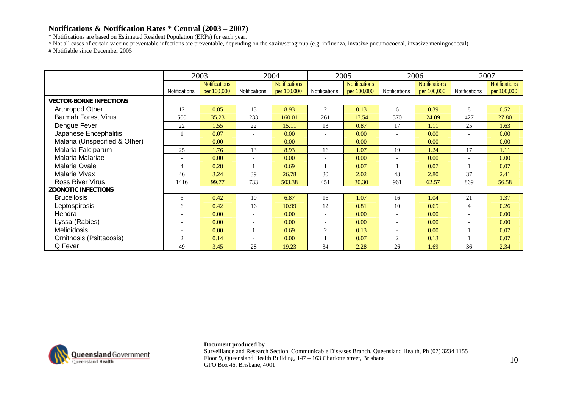\* Notifications are based on Estimated Resident Population (ERPs) for each year.

^ Not all cases of certain vaccine preventable infections are preventable, depending on the strain/serogroup (e.g. influenza, invasive pneumococcal, invasive meningococcal) # Notifiable since December 2005

|                                |                          | 2003                                |                          | 2004                                |                          | 2005                                | 2006                     |                                     | 2007                     |                                     |
|--------------------------------|--------------------------|-------------------------------------|--------------------------|-------------------------------------|--------------------------|-------------------------------------|--------------------------|-------------------------------------|--------------------------|-------------------------------------|
|                                | <b>Notifications</b>     | <b>Notifications</b><br>per 100,000 | Notifications            | <b>Notifications</b><br>per 100,000 | Notifications            | <b>Notifications</b><br>per 100,000 | <b>Notifications</b>     | <b>Notifications</b><br>per 100,000 | Notifications            | <b>Notifications</b><br>per 100,000 |
| <b>VECTOR-BORNE INFECTIONS</b> |                          |                                     |                          |                                     |                          |                                     |                          |                                     |                          |                                     |
| Arthropod Other                | 12                       | 0.85                                | 13                       | 8.93                                | 2                        | 0.13                                | 6                        | 0.39                                | 8                        | 0.52                                |
| <b>Barmah Forest Virus</b>     | 500                      | 35.23                               | 233                      | 160.01                              | 261                      | 17.54                               | 370                      | 24.09                               | 427                      | 27.80                               |
| Dengue Fever                   | 22                       | 1.55                                | 22                       | 15.11                               | 13                       | 0.87                                | 17                       | 1.11                                | 25                       | 1.63                                |
| Japanese Encephalitis          |                          | 0.07                                | $\overline{\phantom{a}}$ | 0.00                                |                          | 0.00                                |                          | 0.00                                | $\overline{\phantom{a}}$ | 0.00                                |
| Malaria (Unspecified & Other)  |                          | 0.00                                | $\overline{\phantom{a}}$ | 0.00                                |                          | 0.00                                |                          | 0.00                                | $\overline{\phantom{a}}$ | 0.00                                |
| Malaria Falciparum             | 25                       | 1.76                                | 13                       | 8.93                                | 16                       | 1.07                                | 19                       | 1.24                                | 17                       | 1.11                                |
| Malaria Malariae               | $\overline{\phantom{a}}$ | 0.00                                | $\overline{\phantom{a}}$ | 0.00                                | $\overline{\phantom{a}}$ | 0.00                                | $\overline{\phantom{a}}$ | 0.00                                | $\overline{\phantom{a}}$ | 0.00                                |
| Malaria Ovale                  | 4                        | 0.28                                |                          | 0.69                                |                          | 0.07                                |                          | 0.07                                |                          | 0.07                                |
| Malaria Vivax                  | 46                       | 3.24                                | 39                       | 26.78                               | 30                       | 2.02                                | 43                       | 2.80                                | 37                       | 2.41                                |
| <b>Ross River Virus</b>        | 1416                     | 99.77                               | 733                      | 503.38                              | 451                      | 30.30                               | 961                      | 62.57                               | 869                      | 56.58                               |
| <b>ZOONOTIC INFECTIONS</b>     |                          |                                     |                          |                                     |                          |                                     |                          |                                     |                          |                                     |
| <b>Brucellosis</b>             | 6                        | 0.42                                | 10                       | 6.87                                | 16                       | 1.07                                | 16                       | 1.04                                | 21                       | 1.37                                |
| Leptospirosis                  | 6                        | 0.42                                | 16                       | 10.99                               | 12                       | 0.81                                | 10                       | 0.65                                | $\overline{4}$           | 0.26                                |
| Hendra                         |                          | 0.00                                | $\overline{\phantom{a}}$ | 0.00                                | $\overline{\phantom{a}}$ | 0.00                                | $\sim$                   | 0.00                                | $\overline{\phantom{a}}$ | 0.00                                |
| Lyssa (Rabies)                 | $\overline{\phantom{a}}$ | 0.00                                | $\overline{\phantom{a}}$ | 0.00 <sub>1</sub>                   |                          | 0.00                                | $\overline{\phantom{a}}$ | 0.00                                | $\overline{\phantom{a}}$ | 0.00                                |
| <b>Melioidosis</b>             |                          | 0.00                                |                          | 0.69                                | 2                        | 0.13                                |                          | 0.00                                |                          | 0.07                                |
| Ornithosis (Psittacosis)       | 2                        | 0.14                                |                          | 0.00                                |                          | 0.07                                | 2                        | 0.13                                |                          | 0.07                                |
| Q Fever                        | 49                       | 3.45                                | 28                       | 19.23                               | 34                       | 2.28                                | 26                       | 1.69                                | 36                       | 2.34                                |



### **Document produced by**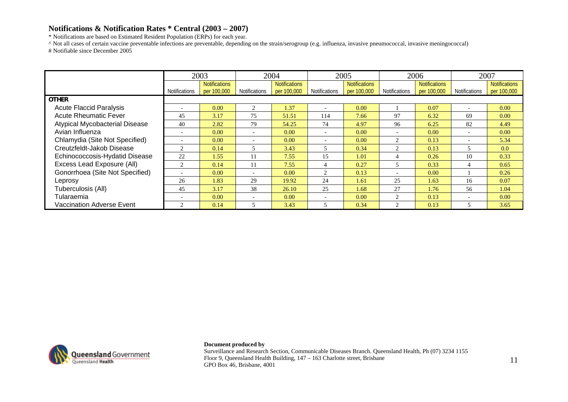\* Notifications are based on Estimated Resident Population (ERPs) for each year.

^ Not all cases of certain vaccine preventable infections are preventable, depending on the strain/serogroup (e.g. influenza, invasive pneumococcal, invasive meningococcal) # Notifiable since December 2005

|                                       |                          | 2003                 |                          | 2004                 |                      | 2005                 |                                                                                                                                                                                                                                                                                                                                                                                                             | 2006                 | 2007                     |                      |
|---------------------------------------|--------------------------|----------------------|--------------------------|----------------------|----------------------|----------------------|-------------------------------------------------------------------------------------------------------------------------------------------------------------------------------------------------------------------------------------------------------------------------------------------------------------------------------------------------------------------------------------------------------------|----------------------|--------------------------|----------------------|
|                                       |                          | <b>Notifications</b> |                          | <b>Notifications</b> |                      | <b>Notifications</b> |                                                                                                                                                                                                                                                                                                                                                                                                             | <b>Notifications</b> |                          | <b>Notifications</b> |
|                                       | Notifications            | per 100,000          | Notifications            | per 100,000          | <b>Notifications</b> | per 100,000          | <b>Notifications</b>                                                                                                                                                                                                                                                                                                                                                                                        | per 100,000          | Notifications            | per 100,000          |
| <b>OTHER</b>                          |                          |                      |                          |                      |                      |                      |                                                                                                                                                                                                                                                                                                                                                                                                             |                      |                          |                      |
| <b>Acute Flaccid Paralysis</b>        |                          | 0.00                 | 2                        | 1.37                 |                      | 0.00                 |                                                                                                                                                                                                                                                                                                                                                                                                             | 0.07                 | $\overline{\phantom{a}}$ | 0.00                 |
| <b>Acute Rheumatic Fever</b>          | 45                       | 3.17                 | 75                       | 51.51                | 114                  | 7.66                 | 97                                                                                                                                                                                                                                                                                                                                                                                                          | 6.32                 | 69                       | 0.00                 |
| <b>Atypical Mycobacterial Disease</b> | 40                       | 2.82                 | 79                       | 54.25                | 74                   | 4.97                 | 96                                                                                                                                                                                                                                                                                                                                                                                                          | 6.25                 | 82                       | 4.49                 |
| Avian Influenza                       | $\overline{\phantom{a}}$ | 0.00                 | $\overline{\phantom{0}}$ | 0.00                 |                      | 0.00                 | $\overline{\phantom{0}}$                                                                                                                                                                                                                                                                                                                                                                                    | 0.00                 | $\overline{\phantom{0}}$ | 0.00                 |
| Chlamydia (Site Not Specified)        | $\overline{\phantom{0}}$ | 0.00                 | $\overline{\phantom{0}}$ | 0.00                 |                      | 0.00                 | $\mathcal{D}$                                                                                                                                                                                                                                                                                                                                                                                               | 0.13                 | $\overline{\phantom{0}}$ | 5.34                 |
| Creutzfeldt-Jakob Disease             |                          | 0.14                 |                          | 3.43                 |                      | 0.34                 | ◠                                                                                                                                                                                                                                                                                                                                                                                                           | 0.13                 | 5                        | 0.0                  |
| Echinococcosis-Hydatid Disease        | 22                       | 1.55                 | 11                       | 7.55                 | 15                   | 1.01                 | 4                                                                                                                                                                                                                                                                                                                                                                                                           | 0.26                 | 10                       | 0.33                 |
| Excess Lead Exposure (All)            | 2                        | 0.14                 | 11                       | 7.55                 | 4                    | 0.27                 | 5                                                                                                                                                                                                                                                                                                                                                                                                           | 0.33                 | 4                        | 0.65                 |
| Gonorrhoea (Site Not Specified)       | $\overline{\phantom{a}}$ | 0.00                 | $\overline{\phantom{0}}$ | 0.00                 | 2                    | 0.13                 | $\overline{\phantom{0}}$                                                                                                                                                                                                                                                                                                                                                                                    | 0.00                 |                          | 0.26                 |
| Leprosy                               | 26                       | 1.83                 | 29                       | 19.92                | 24                   | 1.61                 | 25                                                                                                                                                                                                                                                                                                                                                                                                          | 1.63                 | 16                       | 0.07                 |
| Tuberculosis (All)                    | 45                       | 3.17                 | 38                       | 26.10                | 25                   | 1.68                 | 27                                                                                                                                                                                                                                                                                                                                                                                                          | 1.76                 | 56                       | 1.04                 |
| Tularaemia                            | $\overline{\phantom{0}}$ | 0.00                 | $\overline{\phantom{0}}$ | 0.00                 |                      | 0.00                 | $\mathcal{D}$                                                                                                                                                                                                                                                                                                                                                                                               | 0.13                 | $\overline{\phantom{0}}$ | 0.00                 |
| <b>Vaccination Adverse Event</b>      | 2                        | 0.14                 |                          | 3.43                 |                      | 0.34                 | $\mathfrak{D}_{1}^{(1)} = \mathfrak{D}_{2}^{(1)} = \mathfrak{D}_{2}^{(1)} = \mathfrak{D}_{2}^{(1)} = \mathfrak{D}_{2}^{(1)} = \mathfrak{D}_{2}^{(1)} = \mathfrak{D}_{2}^{(1)} = \mathfrak{D}_{2}^{(1)} = \mathfrak{D}_{2}^{(1)} = \mathfrak{D}_{2}^{(1)} = \mathfrak{D}_{2}^{(1)} = \mathfrak{D}_{2}^{(1)} = \mathfrak{D}_{2}^{(1)} = \mathfrak{D}_{2}^{(1)} = \mathfrak{D}_{2}^{(1)} = \mathfrak{D}_{2}^{$ | 0.13                 | ን                        | 3.65                 |



**Document produced by**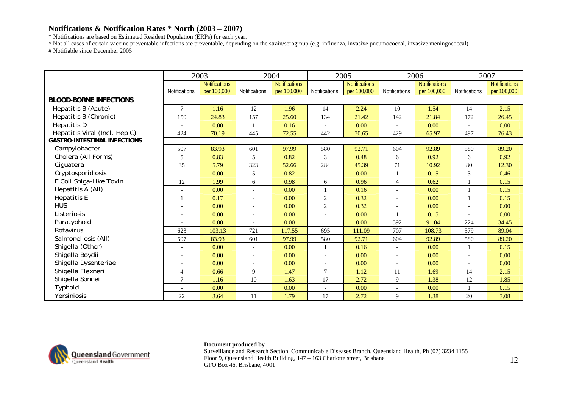\* Notifications are based on Estimated Resident Population (ERPs) for each year.

^ Not all cases of certain vaccine preventable infections are preventable, depending on the strain/serogroup (e.g. influenza, invasive pneumococcal, invasive meningococcal) # Notifiable since December 2005

|                                     |                      | 2003          |                          | 2004                 |                          | 2005                 |                | 2006                 |                          | 2007                 |
|-------------------------------------|----------------------|---------------|--------------------------|----------------------|--------------------------|----------------------|----------------|----------------------|--------------------------|----------------------|
|                                     |                      | Notifications |                          | <b>Notifications</b> |                          | <b>Notifications</b> |                | <b>Notifications</b> |                          | <b>Notifications</b> |
|                                     | <b>Notifications</b> | per 100,000   | <b>Notifications</b>     | per 100,000          | <b>Notifications</b>     | per 100,000          | Notifications  | per 100,000          | Notifications            | per 100,000          |
| <b>BLOOD-BORNE INFECTIONS</b>       |                      |               |                          |                      |                          |                      |                |                      |                          |                      |
| Hepatitis B (Acute)                 | $\overline{7}$       | 1.16          | 12                       | 1.96                 | 14                       | 2.24                 | 10             | 1.54                 | 14                       | 2.15                 |
| Hepatitis B (Chronic)               | 150                  | 24.83         | 157                      | 25.60                | 134                      | 21.42                | 142            | 21.84                | 172                      | 26.45                |
| Hepatitis D                         |                      | 0.00          |                          | 0.16                 |                          | 0.00                 |                | 0.00                 |                          | 0.00                 |
| Hepatitis Viral (Incl. Hep C)       | 424                  | 70.19         | 445                      | 72.55                | 442                      | 70.65                | 429            | 65.97                | 497                      | 76.43                |
| <b>GASTRO-INTESTINAL INFECTIONS</b> |                      |               |                          |                      |                          |                      |                |                      |                          |                      |
| Campylobacter                       | 507                  | 83.93         | 601                      | 97.99                | 580                      | 92.71                | 604            | 92.89                | 580                      | 89.20                |
| Cholera (All Forms)                 | 5                    | 0.83          | 5                        | 0.82                 | 3                        | 0.48                 | 6              | 0.92                 | 6                        | 0.92                 |
| Ciguatera                           | 35                   | 5.79          | 323                      | 52.66                | 284                      | 45.39                | 71             | 10.92                | 80                       | 12.30                |
| Cryptosporidiosis                   |                      | 0.00          | 5                        | 0.82                 |                          | 0.00                 |                | 0.15                 | 3                        | 0.46                 |
| E Coli Shiga-Like Toxin             | 12                   | 1.99          | 6                        | 0.98                 | 6                        | 0.96                 | $\overline{4}$ | 0.62                 |                          | 0.15                 |
| Hepatitis A (All)                   |                      | 0.00          | $\overline{\phantom{a}}$ | 0.00                 |                          | 0.16                 |                | 0.00                 | $\mathbf{1}$             | 0.15                 |
| <b>Hepatitis E</b>                  |                      | 0.17          | $\overline{\phantom{a}}$ | 0.00                 | 2                        | 0.32                 |                | 0.00                 |                          | 0.15                 |
| <b>HUS</b>                          | $\overline{a}$       | 0.00          | $\overline{\phantom{a}}$ | 0.00                 | $\overline{2}$           | 0.32                 |                | 0.00                 | $\overline{\phantom{a}}$ | 0.00                 |
| Listeriosis                         | $\overline{a}$       | 0.00          | $\overline{\phantom{a}}$ | 0.00                 | $\overline{\phantom{a}}$ | 0.00                 |                | 0.15                 |                          | 0.00                 |
| Paratyphoid                         |                      | 0.00          | $\overline{\phantom{a}}$ | 0.00                 |                          | 0.00                 | 592            | 91.04                | 224                      | 34.45                |
| Rotavirus                           | 623                  | 103.13        | 721                      | 117.55               | 695                      | 111.09               | 707            | 108.73               | 579                      | 89.04                |
| Salmonellosis (All)                 | 507                  | 83.93         | 601                      | 97.99                | 580                      | 92.71                | 604            | 92.89                | 580                      | 89.20                |
| Shigella (Other)                    | $\overline{a}$       | 0.00          | $\overline{\phantom{a}}$ | 0.00                 |                          | 0.16                 |                | 0.00                 | 1                        | 0.15                 |
| Shigella Boydii                     |                      | 0.00          | $\overline{\phantom{a}}$ | 0.00                 |                          | 0.00                 |                | 0.00                 |                          | 0.00                 |
| Shigella Dysenteriae                |                      | 0.00          | $\overline{\phantom{a}}$ | 0.00                 |                          | 0.00                 |                | 0.00                 | $\overline{\phantom{a}}$ | 0.00                 |
| Shigella Flexneri                   | $\overline{4}$       | 0.66          | 9                        | 1.47                 | $\tau$                   | 1.12                 | 11             | 1.69                 | 14                       | 2.15                 |
| Shigella Sonnei                     | $\overline{7}$       | 1.16          | 10                       | 1.63                 | 17                       | 2.72                 | 9              | 1.38                 | 12                       | 1.85                 |
| Typhoid                             |                      | 0.00          |                          | 0.00                 | $\overline{\phantom{a}}$ | 0.00                 | $\sim$         | 0.00                 | $\mathbf{1}$             | 0.15                 |
| Yersiniosis                         | 22                   | 3.64          | 11                       | 1.79                 | 17                       | 2.72                 | 9              | 1.38                 | 20                       | 3.08                 |



### **Document produced by**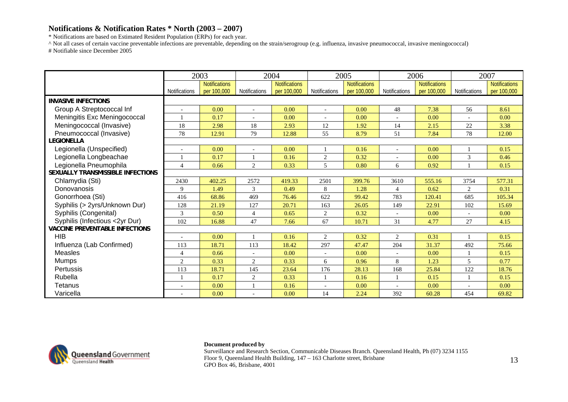\* Notifications are based on Estimated Resident Population (ERPs) for each year.

^ Not all cases of certain vaccine preventable infections are preventable, depending on the strain/serogroup (e.g. influenza, invasive pneumococcal, invasive meningococcal) # Notifiable since December 2005

|                                       |                          | 2003                 |                | 2004                 |                | 2005                 |                | 2006                 |                | 2007                 |
|---------------------------------------|--------------------------|----------------------|----------------|----------------------|----------------|----------------------|----------------|----------------------|----------------|----------------------|
|                                       |                          | <b>Notifications</b> |                | <b>Notifications</b> |                | <b>Notifications</b> |                | <b>Notifications</b> |                | <b>Notifications</b> |
|                                       | Notifications            | per 100,000          | Notifications  | per 100,000          | Notifications  | per 100,000          | Notifications  | per 100,000          | Notifications  | per 100,000          |
| <b>INVASIVE INFECTIONS</b>            |                          |                      |                |                      |                |                      |                |                      |                |                      |
| Group A Streptococcal Inf             | $\overline{a}$           | 0.00                 |                | 0.00                 |                | 0.00                 | 48             | 7.38                 | 56             | 8.61                 |
| Meningitis Exc Meningococcal          |                          | 0.17                 |                | 0.00                 |                | 0.00                 |                | 0.00                 |                | 0.00                 |
| Meningococcal (Invasive)              | 18                       | 2.98                 | 18             | 2.93                 | 12             | 1.92                 | 14             | 2.15                 | 22             | 3.38                 |
| Pneumococcal (Invasive)               | 78                       | 12.91                | 79             | 12.88                | 55             | 8.79                 | 51             | 7.84                 | 78             | 12.00                |
| <b>LEGIONELLA</b>                     |                          |                      |                |                      |                |                      |                |                      |                |                      |
| Legionella (Unspecified)              |                          | 0.00                 |                | 0.00                 |                | 0.16                 |                | 0.00                 |                | 0.15                 |
| Legionella Longbeachae                |                          | 0.17                 |                | 0.16                 | $\overline{2}$ | 0.32                 |                | 0.00                 | 3              | 0.46                 |
| Legionella Pneumophila                | $\overline{4}$           | 0.66                 | $\overline{2}$ | 0.33                 | 5              | 0.80                 | 6              | 0.92                 |                | 0.15                 |
| SEXUALLY TRANSMISSIBLE INFECTIONS     |                          |                      |                |                      |                |                      |                |                      |                |                      |
| Chlamydia (Sti)                       | 2430                     | 402.25               | 2572           | 419.33               | 2501           | 399.76               | 3610           | 555.16               | 3754           | 577.31               |
| Donovanosis                           | 9                        | 1.49                 | 3              | 0.49                 | 8              | 1.28                 | $\overline{4}$ | 0.62                 | $\overline{2}$ | 0.31                 |
| Gonorrhoea (Sti)                      | 416                      | 68.86                | 469            | 76.46                | 622            | 99.42                | 783            | 120.41               | 685            | 105.34               |
| Syphilis (> 2yrs/Unknown Dur)         | 128                      | 21.19                | 127            | 20.71                | 163            | 26.05                | 149            | 22.91                | 102            | 15.69                |
| Syphilis (Congenital)                 | 3                        | 0.50                 | $\overline{4}$ | 0.65                 | $\overline{c}$ | 0.32                 |                | 0.00                 |                | 0.00                 |
| Syphilis (Infectious <2yr Dur)        | 102                      | 16.88                | 47             | 7.66                 | 67             | 10.71                | 31             | 4.77                 | 27             | 4.15                 |
| <b>VACCINE PREVENTABLE INFECTIONS</b> |                          |                      |                |                      |                |                      |                |                      |                |                      |
| <b>HIB</b>                            | $\overline{a}$           | 0.00                 |                | 0.16                 | $\overline{2}$ | 0.32                 | $\overline{2}$ | 0.31                 | $\mathbf{1}$   | 0.15                 |
| Influenza (Lab Confirmed)             | 113                      | 18.71                | 113            | 18.42                | 297            | 47.47                | 204            | 31.37                | 492            | 75.66                |
| <b>Measles</b>                        | 4                        | 0.66                 |                | 0.00                 |                | 0.00                 |                | 0.00                 | $\mathbf{1}$   | 0.15                 |
| <b>Mumps</b>                          | 2                        | 0.33                 | $\overline{2}$ | 0.33                 | 6              | 0.96                 | 8              | 1.23                 | 5              | 0.77                 |
| Pertussis                             | 113                      | 18.71                | 145            | 23.64                | 176            | 28.13                | 168            | 25.84                | 122            | 18.76                |
| Rubella                               |                          | 0.17                 | $\overline{2}$ | 0.33                 |                | 0.16                 |                | 0.15                 | 1              | 0.15                 |
| Tetanus                               | $\overline{\phantom{a}}$ | 0.00                 |                | 0.16                 |                | 0.00                 |                | 0.00                 |                | 0.00                 |
| Varicella                             |                          | 0.00                 |                | 0.00                 | 14             | 2.24                 | 392            | 60.28                | 454            | 69.82                |



### **Document produced by**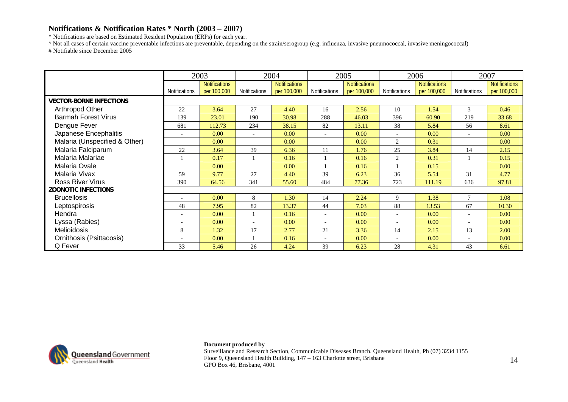\* Notifications are based on Estimated Resident Population (ERPs) for each year.

^ Not all cases of certain vaccine preventable infections are preventable, depending on the strain/serogroup (e.g. influenza, invasive pneumococcal, invasive meningococcal) # Notifiable since December 2005

|                                |                          | 2003                                |                          | 2004                                |                          | 2005                                |                          | 2006                                |                          | 2007                                |
|--------------------------------|--------------------------|-------------------------------------|--------------------------|-------------------------------------|--------------------------|-------------------------------------|--------------------------|-------------------------------------|--------------------------|-------------------------------------|
|                                | Notifications            | <b>Notifications</b><br>per 100,000 | Notifications            | <b>Notifications</b><br>per 100,000 | Notifications            | <b>Notifications</b><br>per 100,000 | Notifications            | <b>Notifications</b><br>per 100,000 | Notifications            | <b>Notifications</b><br>per 100,000 |
| <b>VECTOR-BORNE INFECTIONS</b> |                          |                                     |                          |                                     |                          |                                     |                          |                                     |                          |                                     |
| Arthropod Other                | 22                       | 3.64                                | 27                       | 4.40                                | 16                       | 2.56                                | 10                       | 1.54                                | 3                        | 0.46                                |
| <b>Barmah Forest Virus</b>     | 139                      | 23.01                               | 190                      | 30.98                               | 288                      | 46.03                               | 396                      | 60.90                               | 219                      | 33.68                               |
| Dengue Fever                   | 681                      | 112.73                              | 234                      | 38.15                               | 82                       | 13.11                               | 38                       | 5.84                                | 56                       | 8.61                                |
| Japanese Encephalitis          | $\overline{\phantom{a}}$ | 0.00                                | $\overline{\phantom{a}}$ | 0.00                                |                          | 0.00                                | $\overline{a}$           | 0.00                                | $\overline{\phantom{a}}$ | 0.00                                |
| Malaria (Unspecified & Other)  |                          | 0.00                                |                          | 0.00                                |                          | 0.00                                | 2                        | 0.31                                |                          | 0.00                                |
| Malaria Falciparum             | 22                       | 3.64                                | 39                       | 6.36                                | 11                       | 1.76                                | 25                       | 3.84                                | 14                       | 2.15                                |
| Malaria Malariae               |                          | 0.17                                |                          | 0.16                                |                          | 0.16                                | 2                        | 0.31                                |                          | 0.15                                |
| Malaria Ovale                  |                          | 0.00                                |                          | 0.00                                |                          | 0.16                                |                          | 0.15                                |                          | 0.00                                |
| Malaria Vivax                  | 59                       | 9.77                                | 27                       | 4.40                                | 39                       | 6.23                                | 36                       | 5.54                                | 31                       | 4.77                                |
| <b>Ross River Virus</b>        | 390                      | 64.56                               | 341                      | 55.60                               | 484                      | 77.36                               | 723                      | 111.19                              | 636                      | 97.81                               |
| <b>ZOONOTIC INFECTIONS</b>     |                          |                                     |                          |                                     |                          |                                     |                          |                                     |                          |                                     |
| <b>Brucellosis</b>             |                          | 0.00                                | 8                        | 1.30                                | 14                       | 2.24                                | 9                        | 1.38                                | 7                        | 1.08                                |
| Leptospirosis                  | 48                       | 7.95                                | 82                       | 13.37                               | 44                       | 7.03                                | 88                       | 13.53                               | 67                       | 10.30                               |
| Hendra                         | $\overline{\phantom{a}}$ | 0.00                                |                          | 0.16                                | $\overline{\phantom{a}}$ | 0.00                                | $\overline{\phantom{a}}$ | 0.00                                | $\overline{\phantom{0}}$ | 0.00                                |
| Lyssa (Rabies)                 | $\overline{\phantom{a}}$ | 0.00                                | $\overline{\phantom{a}}$ | 0.00 <sub>1</sub>                   | $\overline{\phantom{a}}$ | 0.00                                | $\overline{\phantom{a}}$ | 0.00                                | $\overline{\phantom{0}}$ | 0.00                                |
| <b>Melioidosis</b>             | 8                        | 1.32                                | 17                       | 2.77                                | 21                       | 3.36                                | 14                       | 2.15                                | 13                       | 2.00                                |
| Ornithosis (Psittacosis)       |                          | 0.00                                |                          | 0.16                                |                          | 0.00                                |                          | 0.00                                | $\overline{\phantom{a}}$ | 0.00                                |
| Q Fever                        | 33                       | 5.46                                | 26                       | 4.24                                | 39                       | 6.23                                | 28                       | 4.31                                | 43                       | 6.61                                |



### **Document produced by**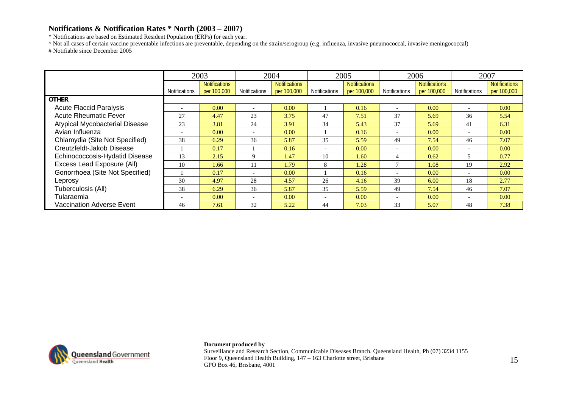\* Notifications are based on Estimated Resident Population (ERPs) for each year.

^ Not all cases of certain vaccine preventable infections are preventable, depending on the strain/serogroup (e.g. influenza, invasive pneumococcal, invasive meningococcal) # Notifiable since December 2005

|                                  |                                  | 2003                 |                          | 2004                 |               | 2005                 |                          | 2006                 |                          | 2007                 |
|----------------------------------|----------------------------------|----------------------|--------------------------|----------------------|---------------|----------------------|--------------------------|----------------------|--------------------------|----------------------|
|                                  |                                  | <b>Notifications</b> |                          | <b>Notifications</b> |               | <b>Notifications</b> |                          | <b>Notifications</b> |                          | <b>Notifications</b> |
|                                  | Notifications                    | per 100,000          | Notifications            | per 100,000          | Notifications | per 100,000          | Notifications            | per 100,000          | Notifications            | per 100,000          |
| <b>OTHER</b>                     |                                  |                      |                          |                      |               |                      |                          |                      |                          |                      |
| <b>Acute Flaccid Paralysis</b>   |                                  | 0.00                 |                          | 0.00                 |               | 0.16                 | $\overline{\phantom{0}}$ | 0.00                 |                          | 0.00                 |
| <b>Acute Rheumatic Fever</b>     | 27                               | 4.47                 | 23                       | 3.75                 | 47            | 7.51                 | 37                       | 5.69                 | 36                       | 5.54                 |
| Atypical Mycobacterial Disease   | 23                               | 3.81                 | 24                       | 3.91                 | 34            | 5.43                 | 37                       | 5.69                 | 41                       | 6.31                 |
| Avian Influenza                  |                                  | 0.00                 | $\overline{\phantom{0}}$ | 0.00                 |               | 0.16                 | $\overline{\phantom{0}}$ | 0.00                 | $\overline{\phantom{0}}$ | 0.00                 |
| Chlamydia (Site Not Specified)   | 38                               | 6.29                 | 36                       | 5.87                 | 35            | 5.59                 | 49                       | 7.54                 | 46                       | 7.07                 |
| Creutzfeldt-Jakob Disease        |                                  | 0.17                 |                          | 0.16                 |               | 0.00                 | $\overline{\phantom{0}}$ | 0.00                 | $\overline{\phantom{0}}$ | 0.00                 |
| Echinococcosis-Hydatid Disease   | 13                               | 2.15                 | $\mathbf Q$              | 1.47                 | 10            | 1.60                 | 4                        | 0.62                 | 5                        | 0.77                 |
| Excess Lead Exposure (All)       | 10                               | 1.66                 | 11                       | 1.79                 | 8             | 1.28                 | $\mathbf{r}$             | 1.08                 | 19                       | 2.92                 |
| Gonorrhoea (Site Not Specified)  |                                  | 0.17                 | $\overline{\phantom{0}}$ | 0.00                 |               | 0.16                 | $\overline{\phantom{0}}$ | 0.00                 | $\overline{\phantom{0}}$ | 0.00                 |
| Leprosy                          | 30                               | 4.97                 | 28                       | 4.57                 | 26            | 4.16                 | 39                       | 6.00                 | 18                       | 2.77                 |
| Tuberculosis (All)               | 38                               | 6.29                 | 36                       | 5.87                 | 35            | 5.59                 | 49                       | 7.54                 | 46                       | 7.07                 |
| Tularaemia                       | 0.00<br>$\overline{\phantom{0}}$ |                      | $\overline{\phantom{0}}$ | 0.00                 |               | 0.00                 | $\overline{\phantom{0}}$ | 0.00                 | $\overline{\phantom{0}}$ | 0.00                 |
| <b>Vaccination Adverse Event</b> | 46                               | 7.61                 | 32                       | 5.22                 | 44            | 7.03                 | 33                       | 5.07                 | 48                       | 7.38                 |



**Document produced by**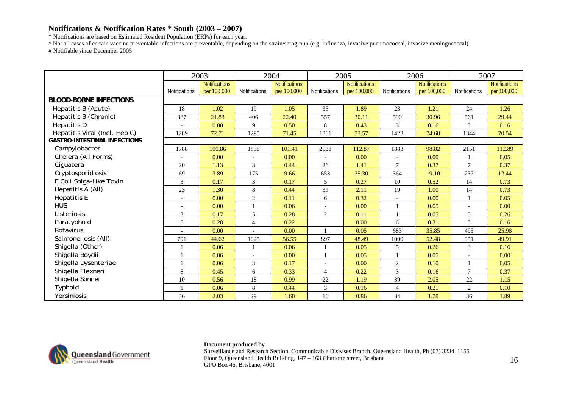\* Notifications are based on Estimated Resident Population (ERPs) for each year.

^ Not all cases of certain vaccine preventable infections are preventable, depending on the strain/serogroup (e.g. influenza, invasive pneumococcal, invasive meningococcal) # Notifiable since December 2005

|                                     |                          | 2003          |                          | 2004                 |                      | 2005                 |                | 2006                 |                          | 2007                 |
|-------------------------------------|--------------------------|---------------|--------------------------|----------------------|----------------------|----------------------|----------------|----------------------|--------------------------|----------------------|
|                                     |                          | Notifications |                          | <b>Notifications</b> |                      | <b>Notifications</b> |                | <b>Notifications</b> |                          | <b>Notifications</b> |
|                                     | <b>Notifications</b>     | per 100,000   | <b>Notifications</b>     | per 100,000          | <b>Notifications</b> | per 100,000          | Notifications  | per 100,000          | Notifications            | per 100,000          |
| <b>BLOOD-BORNE INFECTIONS</b>       |                          |               |                          |                      |                      |                      |                |                      |                          |                      |
| Hepatitis B (Acute)                 | 18                       | 1.02          | 19                       | 1.05                 | 35                   | 1.89                 | 23             | 1.21                 | 24                       | 1.26                 |
| Hepatitis B (Chronic)               | 387                      | 21.83         | 406                      | 22.40                | 557                  | 30.11                | 590            | 30.96                | 561                      | 29.44                |
| Hepatitis D                         |                          | 0.00          | 9                        | 0.50                 | 8                    | 0.43                 | 3              | 0.16                 | 3                        | 0.16                 |
| Hepatitis Viral (Incl. Hep C)       | 1289                     | 72.71         | 1295                     | 71.45                | 1361                 | 73.57                | 1423           | 74.68                | 1344                     | 70.54                |
| <b>GASTRO-INTESTINAL INFECTIONS</b> |                          |               |                          |                      |                      |                      |                |                      |                          |                      |
| Campylobacter                       | 1788                     | 100.86        | 1838                     | 101.41               | 2088                 | 112.87               | 1883           | 98.82                | 2151                     | 112.89               |
| Cholera (All Forms)                 | $\overline{\phantom{a}}$ | 0.00          | $\overline{\phantom{a}}$ | 0.00                 |                      | 0.00                 |                | 0.00                 |                          | 0.05                 |
| Ciguatera                           | 20                       | 1.13          | 8                        | 0.44                 | 26                   | 1.41                 | $\overline{7}$ | 0.37                 | $\overline{7}$           | 0.37                 |
| Cryptosporidiosis                   | 69                       | 3.89          | 175                      | 9.66                 | 653                  | 35.30                | 364            | 19.10                | 237                      | 12.44                |
| E Coli Shiga-Like Toxin             | 3                        | 0.17          | 3                        | 0.17                 | 5                    | 0.27                 | 10             | 0.52                 | 14                       | 0.73                 |
| Hepatitis A (All)                   | 23                       | 1.30          | 8                        | 0.44                 | 39                   | 2.11                 | 19             | 1.00                 | 14                       | 0.73                 |
| <b>Hepatitis E</b>                  | $\overline{a}$           | 0.00          | 2                        | 0.11                 | 6                    | 0.32                 |                | 0.00                 | 1                        | 0.05                 |
| <b>HUS</b>                          |                          | 0.00          |                          | 0.06                 |                      | 0.00                 |                | 0.05                 | $\overline{\phantom{a}}$ | 0.00                 |
| Listeriosis                         | 3                        | 0.17          | 5                        | 0.28                 | $\overline{2}$       | 0.11                 |                | 0.05                 | 5                        | 0.26                 |
| Paratyphoid                         | 5                        | 0.28          | $\overline{4}$           | 0.22                 |                      | 0.00                 | 6              | 0.31                 | 3                        | 0.16                 |
| Rotavirus                           |                          | 0.00          |                          | 0.00                 |                      | 0.05                 | 683            | 35.85                | 495                      | 25.98                |
| Salmonellosis (All)                 | 791                      | 44.62         | 1025                     | 56.55                | 897                  | 48.49                | 1000           | 52.48                | 951                      | 49.91                |
| Shigella (Other)                    |                          | 0.06          |                          | 0.06                 |                      | 0.05                 | 5              | 0.26                 | 3                        | 0.16                 |
| Shigella Boydii                     |                          | 0.06          | $\overline{\phantom{a}}$ | 0.00                 |                      | 0.05                 |                | 0.05                 |                          | 0.00                 |
| Shigella Dysenteriae                |                          | 0.06          | 3                        | 0.17                 |                      | 0.00                 | $\overline{c}$ | 0.10                 |                          | 0.05                 |
| Shigella Flexneri                   | 8                        | 0.45          | 6                        | 0.33                 | $\overline{4}$       | 0.22                 | 3              | 0.16                 | 7                        | 0.37                 |
| Shigella Sonnei                     | 10                       | 0.56          | 18                       | 0.99                 | 22                   | 1.19                 | 39             | 2.05                 | $22\,$                   | 1.15                 |
| Typhoid                             |                          | 0.06          | 8                        | 0.44                 | 3                    | 0.16                 | $\overline{4}$ | 0.21                 | $\overline{c}$           | 0.10                 |
| Yersiniosis                         | 36                       | 2.03          | 29                       | 1.60                 | 16                   | 0.86                 | 34             | 1.78                 | 36                       | 1.89                 |



### **Document produced by**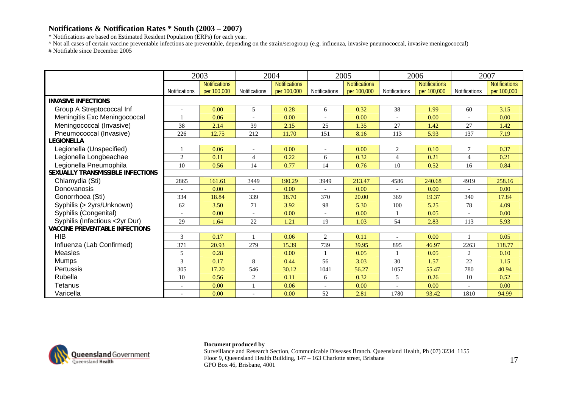\* Notifications are based on Estimated Resident Population (ERPs) for each year.

^ Not all cases of certain vaccine preventable infections are preventable, depending on the strain/serogroup (e.g. influenza, invasive pneumococcal, invasive meningococcal) # Notifiable since December 2005

|                                       |               | 2003                                |                      | 2004                                |                      | 2005                                |                          | 2006                                |                          | 2007                                |
|---------------------------------------|---------------|-------------------------------------|----------------------|-------------------------------------|----------------------|-------------------------------------|--------------------------|-------------------------------------|--------------------------|-------------------------------------|
|                                       | Notifications | <b>Notifications</b><br>per 100,000 | <b>Notifications</b> | <b>Notifications</b><br>per 100,000 | <b>Notifications</b> | <b>Notifications</b><br>per 100,000 | <b>Notifications</b>     | <b>Notifications</b><br>per 100,000 | <b>Notifications</b>     | <b>Notifications</b><br>per 100,000 |
| <b>INVASIVE INFECTIONS</b>            |               |                                     |                      |                                     |                      |                                     |                          |                                     |                          |                                     |
| Group A Streptococcal Inf             |               | 0.00                                | 5                    | 0.28                                | 6                    | 0.32                                | 38                       | 1.99                                | 60                       | 3.15                                |
| Meningitis Exc Meningococcal          |               | 0.06                                |                      | 0.00                                |                      | 0.00                                | $\overline{\phantom{a}}$ | 0.00                                |                          | 0.00                                |
| Meningococcal (Invasive)              | 38            | 2.14                                | 39                   | 2.15                                | 25                   | 1.35                                | 27                       | 1.42                                | 27                       | 1.42                                |
| Pneumococcal (Invasive)               | 226           | 12.75                               | 212                  | 11.70                               | 151                  | 8.16                                | 113                      | 5.93                                | 137                      | 7.19                                |
| <b>LEGIONELLA</b>                     |               |                                     |                      |                                     |                      |                                     |                          |                                     |                          |                                     |
| Legionella (Unspecified)              |               | 0.06                                |                      | 0.00                                |                      | 0.00                                | 2                        | 0.10                                | 7                        | 0.37                                |
| Legionella Longbeachae                | 2             | 0.11                                | $\overline{4}$       | 0.22                                | 6                    | 0.32                                | $\overline{4}$           | 0.21                                | $\overline{4}$           | 0.21                                |
| Legionella Pneumophila                | 10            | 0.56                                | 14                   | 0.77                                | 14                   | 0.76                                | 10                       | 0.52                                | 16                       | 0.84                                |
| SEXUALLY TRANSMISSIBLE INFECTIONS     |               |                                     |                      |                                     |                      |                                     |                          |                                     |                          |                                     |
| Chlamydia (Sti)                       | 2865          | 161.61                              | 3449                 | 190.29                              | 3949                 | 213.47                              | 4586                     | 240.68                              | 4919                     | 258.16                              |
| Donovanosis                           |               | 0.00                                |                      | 0.00                                |                      | 0.00                                |                          | 0.00                                |                          | 0.00                                |
| Gonorrhoea (Sti)                      | 334           | 18.84                               | 339                  | 18.70                               | 370                  | 20.00                               | 369                      | 19.37                               | 340                      | 17.84                               |
| Syphilis (> 2yrs/Unknown)             | 62            | 3.50                                | 71                   | 3.92                                | 98                   | 5.30                                | 100                      | 5.25                                | 78                       | 4.09                                |
| Syphilis (Congenital)                 |               | 0.00                                |                      | 0.00                                |                      | 0.00                                |                          | 0.05                                |                          | 0.00                                |
| Syphilis (Infectious <2yr Dur)        | 29            | 1.64                                | 22                   | 1.21                                | 19                   | 1.03                                | 54                       | 2.83                                | 113                      | 5.93                                |
| <b>VACCINE PREVENTABLE INFECTIONS</b> |               |                                     |                      |                                     |                      |                                     |                          |                                     |                          |                                     |
| <b>HIB</b>                            | 3             | 0.17                                |                      | 0.06                                | $\overline{2}$       | 0.11                                |                          | 0.00                                |                          | 0.05                                |
| Influenza (Lab Confirmed)             | 371           | 20.93                               | 279                  | 15.39                               | 739                  | 39.95                               | 895                      | 46.97                               | 2263                     | 118.77                              |
| <b>Measles</b>                        | 5             | 0.28                                |                      | 0.00                                |                      | 0.05                                |                          | 0.05                                | $\overline{c}$           | 0.10                                |
| <b>Mumps</b>                          | 3             | 0.17                                | 8                    | 0.44                                | 56                   | 3.03                                | 30                       | 1.57                                | 22                       | 1.15                                |
| <b>Pertussis</b>                      | 305           | 17.20                               | 546                  | 30.12                               | 1041                 | 56.27                               | 1057                     | 55.47                               | 780                      | 40.94                               |
| Rubella                               | 10            | 0.56                                | $\mathbf{2}$         | 0.11                                | 6                    | 0.32                                | 5                        | 0.26                                | 10                       | 0.52                                |
| Tetanus                               | $\sim$        | 0.00                                |                      | 0.06                                |                      | 0.00                                |                          | 0.00                                | $\overline{\phantom{a}}$ | 0.00                                |
| Varicella                             |               | 0.00                                |                      | 0.00                                | 52                   | 2.81                                | 1780                     | 93.42                               | 1810                     | 94.99                               |



### **Document produced by**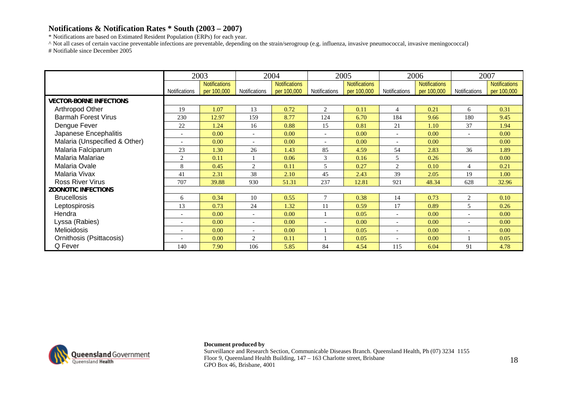\* Notifications are based on Estimated Resident Population (ERPs) for each year.

^ Not all cases of certain vaccine preventable infections are preventable, depending on the strain/serogroup (e.g. influenza, invasive pneumococcal, invasive meningococcal) # Notifiable since December 2005

|                                |                          | 2003                                |                          | 2004                                |               | 2005                                |                          | 2006                                |                          | 2007                                |
|--------------------------------|--------------------------|-------------------------------------|--------------------------|-------------------------------------|---------------|-------------------------------------|--------------------------|-------------------------------------|--------------------------|-------------------------------------|
|                                | <b>Notifications</b>     | <b>Notifications</b><br>per 100,000 | Notifications            | <b>Notifications</b><br>per 100,000 | Notifications | <b>Notifications</b><br>per 100,000 | <b>Notifications</b>     | <b>Notifications</b><br>per 100,000 | Notifications            | <b>Notifications</b><br>per 100,000 |
| <b>VECTOR-BORNE INFECTIONS</b> |                          |                                     |                          |                                     |               |                                     |                          |                                     |                          |                                     |
| Arthropod Other                | 19                       | 1.07                                | 13                       | 0.72                                | 2             | 0.11                                | 4                        | 0.21                                | 6                        | 0.31                                |
| <b>Barmah Forest Virus</b>     | 230                      | 12.97                               | 159                      | 8.77                                | 124           | 6.70                                | 184                      | 9.66                                | 180                      | 9.45                                |
| Dengue Fever                   | 22                       | 1.24                                | 16                       | 0.88                                | 15            | 0.81                                | 21                       | 1.10                                | 37                       | 1.94                                |
| Japanese Encephalitis          |                          | 0.00                                | $\overline{\phantom{a}}$ | 0.00                                |               | 0.00                                | $\overline{a}$           | 0.00                                | $\overline{\phantom{a}}$ | 0.00                                |
| Malaria (Unspecified & Other)  |                          | 0.00                                | $\overline{\phantom{a}}$ | 0.00                                |               | 0.00                                |                          | 0.00                                |                          | 0.00                                |
| Malaria Falciparum             | 23                       | 1.30                                | 26                       | 1.43                                | 85            | 4.59                                | 54                       | 2.83                                | 36                       | 1.89                                |
| Malaria Malariae               | $\overline{2}$           | 0.11                                |                          | 0.06                                | 3             | 0.16                                | 5                        | 0.26                                |                          | 0.00                                |
| Malaria Ovale                  | 8                        | 0.45                                | 2                        | 0.11                                | 5             | 0.27                                | $\overline{c}$           | 0.10                                | $\overline{4}$           | 0.21                                |
| Malaria Vivax                  | 41                       | 2.31                                | 38                       | 2.10                                | 45            | 2.43                                | 39                       | 2.05                                | 19                       | 1.00                                |
| <b>Ross River Virus</b>        | 707                      | 39.88                               | 930                      | 51.31                               | 237           | 12.81                               | 921                      | 48.34                               | 628                      | 32.96                               |
| <b>ZOONOTIC INFECTIONS</b>     |                          |                                     |                          |                                     |               |                                     |                          |                                     |                          |                                     |
| <b>Brucellosis</b>             | 6                        | 0.34                                | 10                       | 0.55                                |               | 0.38                                | 14                       | 0.73                                | 2                        | 0.10                                |
| Leptospirosis                  | 13                       | 0.73                                | 24                       | 1.32                                | 11            | 0.59                                | 17                       | 0.89                                | 5                        | 0.26                                |
| Hendra                         |                          | 0.00                                | $\overline{\phantom{a}}$ | 0.00                                |               | 0.05                                | $\sim$                   | 0.00                                | $\overline{\phantom{a}}$ | 0.00                                |
| Lyssa (Rabies)                 | $\overline{\phantom{a}}$ | 0.00                                | $\overline{\phantom{a}}$ | 0.00                                |               | 0.00                                | $\overline{\phantom{a}}$ | 0.00                                | $\overline{\phantom{a}}$ | 0.00                                |
| Melioidosis                    |                          | 0.00                                |                          | 0.00                                |               | 0.05                                |                          | 0.00                                |                          | 0.00                                |
| Ornithosis (Psittacosis)       |                          | 0.00                                | 2                        | 0.11                                |               | 0.05                                |                          | 0.00                                |                          | 0.05                                |
| Q Fever                        | 140                      | 7.90                                | 106                      | 5.85                                | 84            | 4.54                                | 115                      | 6.04                                | 91                       | 4.78                                |



### **Document produced by**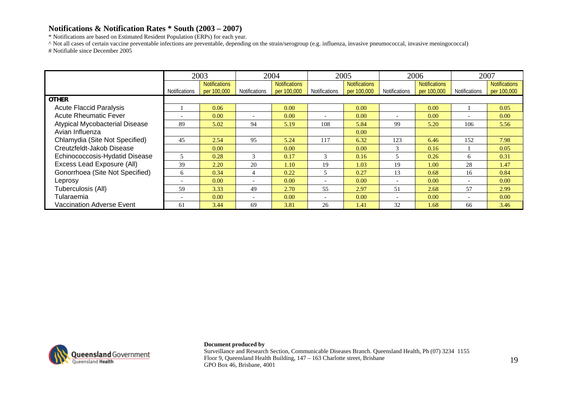\* Notifications are based on Estimated Resident Population (ERPs) for each year.

^ Not all cases of certain vaccine preventable infections are preventable, depending on the strain/serogroup (e.g. influenza, invasive pneumococcal, invasive meningococcal) # Notifiable since December 2005

|                                       |                                  | 2003                 |                          | 2004                 |                      | 2005                 |                          | 2006                 |                          | 2007                 |
|---------------------------------------|----------------------------------|----------------------|--------------------------|----------------------|----------------------|----------------------|--------------------------|----------------------|--------------------------|----------------------|
|                                       |                                  | <b>Notifications</b> |                          | <b>Notifications</b> |                      | <b>Notifications</b> |                          | <b>Notifications</b> |                          | <b>Notifications</b> |
|                                       | Notifications                    | per 100,000          | <b>Notifications</b>     | per 100,000          | <b>Notifications</b> | per 100,000          | <b>Notifications</b>     | per 100,000          | <b>Notifications</b>     | per 100,000          |
| <b>OTHER</b>                          |                                  |                      |                          |                      |                      |                      |                          |                      |                          |                      |
| <b>Acute Flaccid Paralysis</b>        |                                  | 0.06                 |                          | 0.00                 |                      | 0.00                 |                          | 0.00                 |                          | 0.05                 |
| <b>Acute Rheumatic Fever</b>          | $\overline{\phantom{0}}$         | 0.00                 | $\overline{\phantom{0}}$ | 0.00                 |                      | 0.00                 | $\overline{\phantom{0}}$ | 0.00                 |                          | 0.00                 |
| <b>Atypical Mycobacterial Disease</b> | 89                               | 5.02                 | 94                       | 5.19                 | 108                  | 5.84                 | 99                       | 5.20                 | 106                      | 5.56                 |
| Avian Influenza                       |                                  |                      |                          |                      |                      | 0.00                 |                          |                      |                          |                      |
| Chlamydia (Site Not Specified)        | 45                               | 2.54                 | 95                       | 5.24                 | 117                  | 6.32                 | 123                      | 6.46                 | 152                      | 7.98                 |
| Creutzfeldt-Jakob Disease             |                                  | 0.00                 |                          | 0.00                 |                      | 0.00                 | 3                        | 0.16                 |                          | 0.05                 |
| Echinococcosis-Hydatid Disease        |                                  | 0.28                 | $\mathcal{R}$            | 0.17                 | 3                    | 0.16                 | 5                        | 0.26                 | 6                        | 0.31                 |
| Excess Lead Exposure (All)            | 39                               | 2.20                 | 20                       | 1.10                 | 19                   | 1.03                 | 19                       | 1.00                 | 28                       | 1.47                 |
| Gonorrhoea (Site Not Specified)       | 6                                | 0.34                 | 4                        | 0.22                 |                      | 0.27                 | 13                       | 0.68                 | 16                       | 0.84                 |
| Leprosy                               | $\overline{\phantom{a}}$         | 0.00                 |                          | 0.00                 |                      | 0.00                 | $\overline{\phantom{0}}$ | 0.00                 | $\overline{\phantom{0}}$ | 0.00                 |
| Tuberculosis (All)                    | 59                               | 3.33                 | 49                       | 2.70                 | 55                   | 2.97                 | 51                       | 2.68                 | 57                       | 2.99                 |
| Tularaemia                            | 0.00<br>$\overline{\phantom{0}}$ |                      | $\overline{\phantom{0}}$ | 0.00                 |                      | 0.00                 | $\overline{\phantom{0}}$ | 0.00                 | $\overline{\phantom{a}}$ | 0.00                 |
| <b>Vaccination Adverse Event</b>      | 61                               | 3.44                 | 69                       | 3.81                 | 26                   | 1.41                 | 32                       | 1.68                 | 66                       | 3.46                 |



**Document produced by**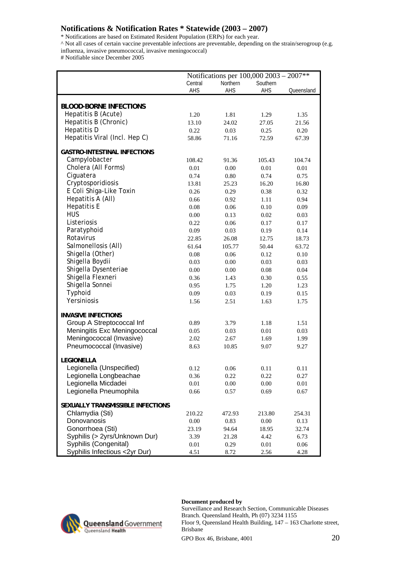\* Notifications are based on Estimated Resident Population (ERPs) for each year.

^ Not all cases of certain vaccine preventable infections are preventable, depending on the strain/serogroup (e.g.

influenza, invasive pneumococcal, invasive meningococcal)

# Notifiable since December 2005

|                                     |          | Notifications per 100,000 2003 – 2007** |          |            |
|-------------------------------------|----------|-----------------------------------------|----------|------------|
|                                     | Central  | Northern                                | Southern |            |
|                                     | AHS      | AHS                                     | AHS      | Queensland |
|                                     |          |                                         |          |            |
| <b>BLOOD-BORNE INFECTIONS</b>       |          |                                         |          |            |
| Hepatitis B (Acute)                 | 1.20     | 1.81                                    | 1.29     | 1.35       |
| Hepatitis B (Chronic)               | 13.10    | 24.02                                   | 27.05    | 21.56      |
| Hepatitis D                         | 0.22     | 0.03                                    | 0.25     | 0.20       |
| Hepatitis Viral (Incl. Hep C)       | 58.86    | 71.16                                   | 72.59    | 67.39      |
| <b>GASTRO-INTESTINAL INFECTIONS</b> |          |                                         |          |            |
| Campylobacter                       | 108.42   | 91.36                                   | 105.43   | 104.74     |
| Cholera (All Forms)                 | 0.01     | 0.00                                    | 0.01     | 0.01       |
| Ciguatera                           | 0.74     | 0.80                                    | 0.74     | 0.75       |
| Cryptosporidiosis                   | 13.81    | 25.23                                   | 16.20    | 16.80      |
| E Coli Shiga-Like Toxin             | 0.26     | 0.29                                    | 0.38     | 0.32       |
| Hepatitis A (All)                   | 0.66     | 0.92                                    | 1.11     | 0.94       |
| <b>Hepatitis E</b>                  | 0.08     | 0.06                                    | 0.10     | 0.09       |
| <b>HUS</b>                          | 0.00     | 0.13                                    | 0.02     | 0.03       |
| Listeriosis                         | 0.22     | 0.06                                    | 0.17     | 0.17       |
| Paratyphoid                         |          |                                         |          |            |
| Rotavirus                           | 0.09     | 0.03                                    | 0.19     | 0.14       |
| Salmonellosis (All)                 | 22.85    | 26.08                                   | 12.75    | 18.73      |
| Shigella (Other)                    | 61.64    | 105.77                                  | 50.44    | 63.72      |
| Shigella Boydii                     | 0.08     | 0.06                                    | 0.12     | 0.10       |
|                                     | 0.03     | 0.00                                    | 0.03     | 0.03       |
| Shigella Dysenteriae                | 0.00     | 0.00                                    | 0.08     | 0.04       |
| Shigella Flexneri                   | 0.36     | 1.43                                    | 0.30     | 0.55       |
| Shigella Sonnei                     | 0.95     | 1.75                                    | 1.20     | 1.23       |
| Typhoid                             | 0.09     | 0.03                                    | 0.19     | 0.15       |
| Yersiniosis                         | 1.56     | 2.51                                    | 1.63     | 1.75       |
| <b>INVASIVE INFECTIONS</b>          |          |                                         |          |            |
| Group A Streptococcal Inf           | 0.89     | 3.79                                    | 1.18     | 1.51       |
| Meningitis Exc Meningococcal        | 0.05     | 0.03                                    | 0.01     | 0.03       |
| Meningococcal (Invasive)            | 2.02     | 2.67                                    | 1.69     | 1.99       |
| Pneumococcal (Invasive)             | 8.63     | 10.85                                   | 9.07     | 9.27       |
|                                     |          |                                         |          |            |
| <b>LEGIONELLA</b>                   |          |                                         |          |            |
| Legionella (Unspecified)            | 0.12     | 0.06                                    | 0.11     | 0.11       |
| Legionella Longbeachae              | 0.36     | 0.22                                    | 0.22     | 0.27       |
| Legionella Micdadei                 | $0.01\,$ | $0.00\,$                                | 0.00     | 0.01       |
| Legionella Pneumophila              | 0.66     | 0.57                                    | 0.69     | 0.67       |
| SEXUALLY TRANSMISSIBLE INFECTIONS   |          |                                         |          |            |
| Chlamydia (Sti)                     | 210.22   | 472.93                                  | 213.80   | 254.31     |
| Donovanosis                         | 0.00     | 0.83                                    | 0.00     | 0.13       |
| Gonorrhoea (Sti)                    | 23.19    | 94.64                                   | 18.95    | 32.74      |
| Syphilis (> 2yrs/Unknown Dur)       | 3.39     | 21.28                                   | 4.42     | 6.73       |
| Syphilis (Congenital)               | 0.01     | 0.29                                    | 0.01     | 0.06       |
| Syphilis Infectious <2yr Dur)       | 4.51     | 8.72                                    | 2.56     | 4.28       |



### **Document produced by**

Surveillance and Research Section, Communicable Diseases Branch. Queensland Health, Ph (07) 3234 1155 Floor 9, Queensland Health Building, 147 – 163 Charlotte street, Brisbane

GPO Box 46, Brisbane, 4001 20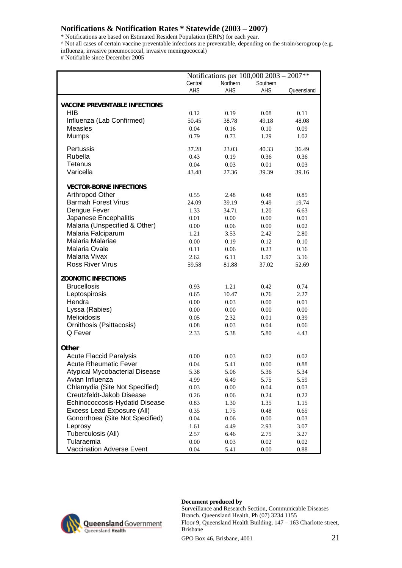\* Notifications are based on Estimated Resident Population (ERPs) for each year.

^ Not all cases of certain vaccine preventable infections are preventable, depending on the strain/serogroup (e.g.

influenza, invasive pneumococcal, invasive meningococcal)

# Notifiable since December 2005

|                                       |         | Notifications per 100,000 2003 - 2007** |          |            |
|---------------------------------------|---------|-----------------------------------------|----------|------------|
|                                       | Central | Northern                                | Southern |            |
|                                       | AHS     | AHS                                     | AHS      | Queensland |
|                                       |         |                                         |          |            |
| <b>VACCINE PREVENTABLE INFECTIONS</b> |         |                                         |          |            |
| <b>HIB</b>                            | 0.12    | 0.19                                    | 0.08     | 0.11       |
| Influenza (Lab Confirmed)             | 50.45   | 38.78                                   | 49.18    | 48.08      |
| <b>Measles</b>                        | 0.04    | 0.16                                    | 0.10     | 0.09       |
| <b>Mumps</b>                          | 0.79    | 0.73                                    | 1.29     | 1.02       |
| Pertussis                             | 37.28   | 23.03                                   | 40.33    | 36.49      |
| Rubella                               | 0.43    | 0.19                                    | 0.36     | 0.36       |
| <b>Tetanus</b>                        | 0.04    | 0.03                                    | 0.01     | 0.03       |
| Varicella                             |         |                                         |          |            |
|                                       | 43.48   | 27.36                                   | 39.39    | 39.16      |
| <b>VECTOR-BORNE INFECTIONS</b>        |         |                                         |          |            |
| Arthropod Other                       | 0.55    | 2.48                                    | 0.48     | 0.85       |
| <b>Barmah Forest Virus</b>            | 24.09   | 39.19                                   | 9.49     | 19.74      |
| Dengue Fever                          | 1.33    | 34.71                                   | 1.20     | 6.63       |
| Japanese Encephalitis                 | 0.01    | 0.00                                    | 0.00     | 0.01       |
| Malaria (Unspecified & Other)         | 0.00    | 0.06                                    | 0.00     | 0.02       |
| Malaria Falciparum                    | 1.21    | 3.53                                    | 2.42     | 2.80       |
| Malaria Malariae                      | 0.00    | 0.19                                    | 0.12     | 0.10       |
| Malaria Ovale                         |         |                                         |          |            |
| Malaria Vivax                         | 0.11    | 0.06                                    | 0.23     | 0.16       |
|                                       | 2.62    | 6.11                                    | 1.97     | 3.16       |
| <b>Ross River Virus</b>               | 59.58   | 81.88                                   | 37.02    | 52.69      |
| <b>ZOONOTIC INFECTIONS</b>            |         |                                         |          |            |
| <b>Brucellosis</b>                    | 0.93    | 1.21                                    | 0.42     | 0.74       |
| Leptospirosis                         | 0.65    | 10.47                                   | 0.76     | 2.27       |
| Hendra                                | 0.00    | 0.03                                    | 0.00     | 0.01       |
| Lyssa (Rabies)                        | 0.00    | 0.00                                    | 0.00     | 0.00       |
| Melioidosis                           | 0.05    | 2.32                                    | 0.01     | 0.39       |
|                                       |         |                                         |          |            |
| Ornithosis (Psittacosis)              | 0.08    | 0.03                                    | 0.04     | 0.06       |
| Q Fever                               | 2.33    | 5.38                                    | 5.80     | 4.43       |
| Other                                 |         |                                         |          |            |
| <b>Acute Flaccid Paralysis</b>        | 0.00    | 0.03                                    | 0.02     | 0.02       |
| <b>Acute Rheumatic Fever</b>          | 0.04    | 5.41                                    | 0.00     | 0.88       |
| Atypical Mycobacterial Disease        | 5.38    | 5.06                                    | 5.36     | 5.34       |
| Avian Influenza                       | 4.99    | 6.49                                    | 5.75     | 5.59       |
| Chlamydia (Site Not Specified)        | 0.03    | 0.00                                    | 0.04     | 0.03       |
| Creutzfeldt-Jakob Disease             |         |                                         |          |            |
| Echinococcosis-Hydatid Disease        | 0.26    | 0.06                                    | 0.24     | 0.22       |
|                                       | 0.83    | 1.30                                    | 1.35     | 1.15       |
| Excess Lead Exposure (All)            | 0.35    | 1.75                                    | 0.48     | 0.65       |
| Gonorrhoea (Site Not Specified)       | 0.04    | 0.06                                    | 0.00     | 0.03       |
| Leprosy                               | 1.61    | 4.49                                    | 2.93     | 3.07       |
| Tuberculosis (All)                    | 2.57    | 6.46                                    | 2.75     | 3.27       |
| Tularaemia                            | 0.00    | 0.03                                    | 0.02     | 0.02       |
| Vaccination Adverse Event             | 0.04    | 5.41                                    | 0.00     | 0.88       |



### **Document produced by**

Surveillance and Research Section, Communicable Diseases Branch. Queensland Health, Ph (07) 3234 1155 Floor 9, Queensland Health Building, 147 – 163 Charlotte street, Brisbane

GPO Box 46, Brisbane, 4001 21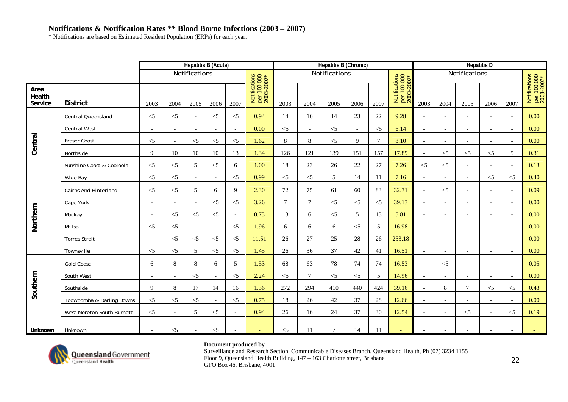\* Notifications are based on Estimated Resident Population (ERPs) for each year.

|                           |                              |                          |                          |                          | <b>Hepatitis B (Acute)</b> |                          |                                            |        |                          | Hepatitis B (Chronic) |                          |                |                                            |                          |                          | <b>Hepatitis D</b>       |                          |                          |                                            |
|---------------------------|------------------------------|--------------------------|--------------------------|--------------------------|----------------------------|--------------------------|--------------------------------------------|--------|--------------------------|-----------------------|--------------------------|----------------|--------------------------------------------|--------------------------|--------------------------|--------------------------|--------------------------|--------------------------|--------------------------------------------|
|                           |                              |                          |                          | Notifications            |                            |                          |                                            |        |                          | Notifications         |                          |                |                                            |                          |                          | Notifications            |                          |                          |                                            |
| Area<br>Health<br>Service | <b>District</b>              | 2003                     | 2004                     | 2005                     | 2006                       | 2007                     | Notifications<br>per 100,000<br>2003-2007* | 2003   | 2004                     | 2005                  | 2006                     | 2007           | Notifications<br>per 100,000<br>2003-2007* | 2003                     | 2004                     | 2005                     | 2006                     | 2007                     | Notifications<br>per 100,000<br>2003-2007* |
|                           | Central Queensland           | $<$ 5                    | $<$ 5                    | $\overline{\phantom{a}}$ | $<$ 5                      | $<$ 5                    | 0.94                                       | 14     | 16                       | 14                    | 23                       | 22             | 9.28                                       | $\sim$                   | $\sim$                   | $\blacksquare$           | $\overline{\phantom{a}}$ | $\overline{\phantom{0}}$ | 0.00                                       |
|                           | <b>Central West</b>          | $\overline{\phantom{a}}$ | $\overline{\phantom{a}}$ | $\overline{\phantom{a}}$ | $\overline{a}$             | $\overline{\phantom{a}}$ | 0.00                                       | $<$ 5  | $\overline{\phantom{a}}$ | $<$ 5                 | $\overline{\phantom{a}}$ | $<$ 5          | 6.14                                       | $\sim$                   | $\overline{\phantom{a}}$ | $\overline{\phantom{a}}$ | $\overline{\phantom{a}}$ | $\overline{\phantom{a}}$ | 0.00                                       |
| Central                   | Fraser Coast                 | $<$ 5                    | $\overline{\phantom{a}}$ | $<$ 5                    | $<$ 5                      | $<$ 5                    | 1.62                                       | 8      | $\,8\,$                  | $<$ 5                 | 9                        | $\overline{7}$ | 8.10                                       | $\overline{\phantom{a}}$ |                          | $\overline{\phantom{0}}$ |                          | $\overline{\phantom{a}}$ | 0.00                                       |
|                           | Northside                    | 9                        | 10                       | 10                       | 10                         | 13                       | 1.34                                       | 126    | 121                      | 139                   | 151                      | 157            | 17.89                                      | $\overline{\phantom{a}}$ | $<$ 5                    | $\leq$ 5                 | $\leq$ 5                 | $\overline{5}$           | 0.31                                       |
|                           | Sunshine Coast & Cooloola    | $<$ 5                    | $<$ 5                    | 5                        | $<$ 5                      | 6                        | 1.00                                       | 18     | 23                       | 26                    | 22                       | 27             | 7.26                                       | $<$ 5                    | $< 5$                    | $\overline{\phantom{a}}$ |                          |                          | 0.13                                       |
|                           | Wide Bay                     | $< 5$                    | $<$ 5                    |                          |                            | $\leq$ 5                 | 0.99                                       | $<$ 5  | $<$ 5                    | 5                     | 14                       | <b>11</b>      | 7.16                                       |                          |                          |                          | $<$ 5                    | $\leq$ 5                 | 0.40                                       |
|                           | <b>Cairns And Hinterland</b> | $<$ 5                    | $<$ 5                    | 5                        | 6                          | 9                        | 2.30                                       | 72     | 75                       | 61                    | 60                       | 83             | 32.31                                      | $\sim$                   | $<$ 5                    | $\overline{a}$           |                          |                          | 0.09                                       |
|                           | Cape York                    | $\overline{\phantom{a}}$ | $\overline{\phantom{a}}$ | $\sim$                   | $<$ 5                      | $< 5$                    | 3.26                                       | $\tau$ | $\tau$                   | $<$ 5                 | $<$ 5                    | $<$ 5          | 39.13                                      | $\sim$                   | $\overline{\phantom{a}}$ | $\overline{\phantom{a}}$ | $\overline{\phantom{0}}$ | $\overline{\phantom{0}}$ | 0.00                                       |
|                           | Mackay                       | $\bar{a}$                | $<$ 5                    | $<$ 5                    | $<$ 5                      | $\overline{\phantom{a}}$ | 0.73                                       | 13     | 6                        | $<$ 5                 | 5                        | 13             | 5.81                                       | $\overline{\phantom{a}}$ | $\overline{\phantom{a}}$ | $\overline{\phantom{a}}$ | $\overline{\phantom{a}}$ | $\overline{\phantom{a}}$ | 0.00                                       |
| Northern                  | Mt Isa                       | $<$ 5                    | $<$ 5                    | $\overline{\phantom{a}}$ | $\overline{\phantom{a}}$   | $<$ 5                    | 1.96                                       | 6      | 6                        | 6                     | $<$ 5                    | 5              | 16.98                                      | $\sim$                   | $\overline{\phantom{a}}$ | $\overline{a}$           |                          |                          | 0.00                                       |
|                           | <b>Torres Strait</b>         | $\overline{\phantom{a}}$ | $<$ 5                    | $\leq$ 5                 | $\leq$ 5                   | $<$ 5                    | 11.51                                      | 26     | 27                       | 25                    | 28                       | 26             | 253.18                                     | $\overline{\phantom{a}}$ | $\overline{\phantom{0}}$ | $\overline{\phantom{a}}$ | $\overline{\phantom{0}}$ | $\overline{\phantom{a}}$ | 0.00                                       |
|                           | Townsville                   | $<$ 5                    | $<$ 5                    | 5                        | $<$ 5                      | $\leq$ 5                 | 1.45                                       | 26     | 36                       | 37                    | 42                       | 41             | 16.51                                      | $\sim$                   |                          | $\overline{\phantom{a}}$ |                          |                          | 0.00                                       |
|                           | <b>Gold Coast</b>            | 6                        | 8                        | 8                        | 6                          | 5                        | 1.53                                       | 68     | 63                       | 78                    | 74                       | 74             | 16.53                                      | $\overline{\phantom{a}}$ | $<\!\!5$                 | $\overline{\phantom{a}}$ |                          |                          | 0.05                                       |
|                           | South West                   | $\blacksquare$           | $\overline{a}$           | $<$ 5                    | $\sim$                     | $<$ 5                    | 2.24                                       | $<$ 5  | $\overline{7}$           | $<$ 5                 | $\leq$ 5                 | 5              | 14.96                                      | $\sim$                   | $\overline{\phantom{a}}$ |                          |                          |                          | 0.00                                       |
| Southern                  | Southside                    | 9                        | 8                        | 17                       | 14                         | 16                       | 1.36                                       | 272    | 294                      | 410                   | 440                      | 424            | 39.16                                      | $\overline{\phantom{a}}$ | $\,8\,$                  | 7                        | $<$ 5                    | $\leq$ 5                 | 0.43                                       |
|                           | Toowoomba & Darling Downs    | $<$ 5                    | $<$ 5                    | $<$ 5                    |                            | $<$ 5                    | 0.75                                       | 18     | 26                       | 42                    | 37                       | 28             | 12.66                                      | $\overline{\phantom{a}}$ |                          |                          |                          |                          | 0.00                                       |
|                           | West Moreton South Burnett   | $<$ 5                    |                          | 5                        | $<$ 5                      | $\overline{\phantom{a}}$ | 0.94                                       | 26     | 16                       | 24                    | 37                       | 30             | 12.54                                      |                          |                          | $<$ 5                    |                          | $\leq$ 5                 | 0.19                                       |
| Unknown                   | Unknown                      | $\overline{\phantom{a}}$ | $<$ 5                    | $\overline{\phantom{a}}$ | $<$ 5                      | $\blacksquare$           | ÷                                          | $<$ 5  | 11                       | $\tau$                | 14                       | 11             | $\sim$                                     |                          |                          | $\overline{\phantom{a}}$ | $\overline{\phantom{a}}$ | $\overline{\phantom{a}}$ |                                            |



### **Document produced by**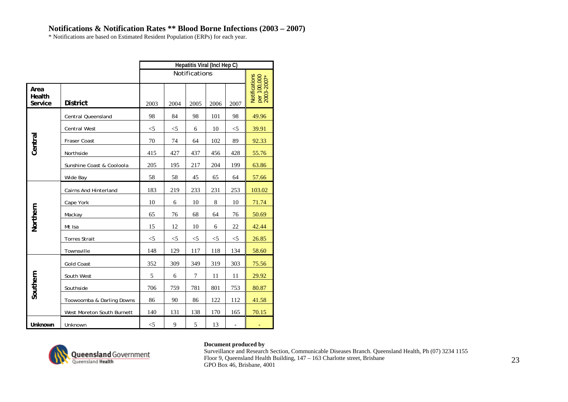\* Notifications are based on Estimated Resident Population (ERPs) for each year.

|                           | Hepatitis Viral (Incl Hep C)<br>Notifications |       |          |          |       |       |                                            |  |  |  |  |  |  |
|---------------------------|-----------------------------------------------|-------|----------|----------|-------|-------|--------------------------------------------|--|--|--|--|--|--|
|                           |                                               |       |          |          |       |       |                                            |  |  |  |  |  |  |
| Area<br>Health<br>Service | <b>District</b>                               | 2003  | 2004     | 2005     | 2006  | 2007  | Notifications<br>per 100,000<br>2003-2007* |  |  |  |  |  |  |
|                           | Central Queensland                            | 98    | 84       | 98       | 101   | 98    | 49.96                                      |  |  |  |  |  |  |
|                           | <b>Central West</b>                           | $<$ 5 | $<$ 5    | 6        | 10    | $<$ 5 | 39.91                                      |  |  |  |  |  |  |
| Central                   | Fraser Coast                                  | 70    | 74       | 64       | 102   | 89    | 92.33                                      |  |  |  |  |  |  |
|                           | Northside                                     | 415   | 427      | 437      | 456   | 428   | 55.76                                      |  |  |  |  |  |  |
|                           | Sunshine Coast & Cooloola                     | 205   | 195      | 217      | 204   | 199   | 63.86                                      |  |  |  |  |  |  |
|                           | Wide Bay                                      | 58    | 58       | 45       | 65    | 64    | 57.66                                      |  |  |  |  |  |  |
|                           | <b>Cairns And Hinterland</b>                  | 183   | 219      | 233      | 231   | 253   | 103.02                                     |  |  |  |  |  |  |
|                           | Cape York                                     | 10    | 6        | 10       | 8     | 10    | 71.74                                      |  |  |  |  |  |  |
| Northern                  | Mackay                                        | 65    | 76       | 68       | 64    | 76    | 50.69                                      |  |  |  |  |  |  |
|                           | Mt Isa                                        | 15    | 12       | 10       | 6     | 22    | 42.44                                      |  |  |  |  |  |  |
|                           | <b>Torres Strait</b>                          | $<$ 5 | $< \! 5$ | $<\!\!5$ | $<$ 5 | $<$ 5 | 26.85                                      |  |  |  |  |  |  |
|                           | Townsville                                    | 148   | 129      | 117      | 118   | 134   | 58.60                                      |  |  |  |  |  |  |
|                           | <b>Gold Coast</b>                             | 352   | 309      | 349      | 319   | 303   | 75.56                                      |  |  |  |  |  |  |
|                           | South West                                    | 5     | 6        | 7        | 11    | 11    | 29.92                                      |  |  |  |  |  |  |
| Southern                  | Southside                                     | 706   | 759      | 781      | 801   | 753   | 80.87                                      |  |  |  |  |  |  |
|                           | Toowoomba & Darling Downs                     | 86    | 90       | 86       | 122   | 112   | 41.58                                      |  |  |  |  |  |  |
|                           | West Moreton South Burnett                    | 140   | 131      | 138      | 170   | 165   | 70.15                                      |  |  |  |  |  |  |
| Unknown                   | Unknown                                       | $<$ 5 | 9        | 5        | 13    |       |                                            |  |  |  |  |  |  |



### **Document produced by**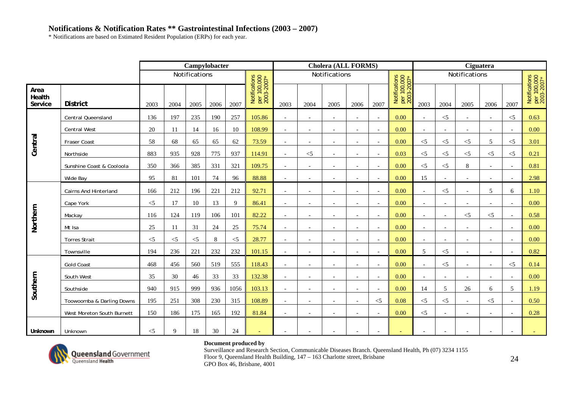\* Notifications are based on Estimated Resident Population (ERPs) for each year.

|                           |                              |          |       | Campylobacter |      |       |                                            |                          |                          | <b>Cholera (ALL FORMS)</b> |                          |                          |                                                 |                          |                          |                          | Ciguatera                |          |                                            |
|---------------------------|------------------------------|----------|-------|---------------|------|-------|--------------------------------------------|--------------------------|--------------------------|----------------------------|--------------------------|--------------------------|-------------------------------------------------|--------------------------|--------------------------|--------------------------|--------------------------|----------|--------------------------------------------|
|                           |                              |          |       | Notifications |      |       |                                            |                          |                          | Notifications              |                          |                          |                                                 |                          |                          | Notifications            |                          |          |                                            |
| Area<br>Health<br>Service | <b>District</b>              | 2003     | 2004  | 2005          | 2006 | 2007  | Notifications<br>per 100,000<br>2003-2007* | 2003                     | 2004                     | 2005                       | 2006                     | 2007                     | Notifications<br>per 100,000<br>$2003 - 2007$ * | 2003                     | 2004                     | 2005                     | 2006                     | 2007     | Notifications<br>per 100,000<br>2003-2007* |
|                           | Central Queensland           | 136      | 197   | 235           | 190  | 257   | 105.86                                     | $\sim$                   | $\overline{a}$           | $\overline{\phantom{a}}$   | $\overline{a}$           | $\sim$                   | 0.00                                            | $\sim$                   | $<$ 5                    | $\sim$                   | $\overline{a}$           | $<$ 5    | 0.63                                       |
|                           | <b>Central West</b>          | 20       | 11    | 14            | 16   | 10    | 108.99                                     | $\sim$                   | $\overline{\phantom{a}}$ | $\overline{\phantom{a}}$   | $\overline{a}$           | $\overline{\phantom{a}}$ | 0.00                                            | $\overline{\phantom{a}}$ | $\overline{\phantom{a}}$ | $\overline{\phantom{0}}$ | $\overline{\phantom{a}}$ |          | 0.00                                       |
| Central                   | Fraser Coast                 | 58       | 68    | 65            | 65   | 62    | 73.59                                      | $\sim$                   | $\blacksquare$           | $\overline{\phantom{a}}$   | $\overline{a}$           | $\sim$                   | 0.00                                            | $<$ 5                    | $<$ 5                    | $<$ 5                    | 5                        | $<$ 5    | 3.01                                       |
|                           | Northside                    | 883      | 935   | 928           | 775  | 937   | 114.91                                     | $\overline{\phantom{a}}$ | $\leq$ 5                 | $\overline{\phantom{a}}$   | $\overline{a}$           | $\sim$                   | 0.03                                            | $<$ 5                    | $<$ 5                    | $<$ 5                    | $\leq$ 5                 | $<$ 5    | 0.21                                       |
|                           | Sunshine Coast & Cooloola    | 350      | 366   | 385           | 331  | 321   | 109.75                                     | $\overline{\phantom{a}}$ | $\overline{\phantom{a}}$ | $\overline{\phantom{a}}$   | $\overline{\phantom{a}}$ | $\overline{\phantom{a}}$ | 0.00                                            | $< 5$                    | $<$ 5                    | 8                        | $\overline{\phantom{a}}$ |          | 0.81                                       |
|                           | Wide Bay                     | 95       | 81    | 101           | 74   | 96    | 88.88                                      | $\overline{\phantom{a}}$ | $\overline{\phantom{a}}$ | $\overline{\phantom{a}}$   | $\overline{\phantom{a}}$ |                          | 0.00                                            | 15                       | $\overline{\phantom{a}}$ |                          | $\overline{\phantom{a}}$ |          | 2.98                                       |
|                           | <b>Cairns And Hinterland</b> | 166      | 212   | 196           | 221  | 212   | 92.71                                      | $\sim$                   |                          | $\overline{\phantom{a}}$   | $\overline{a}$           |                          | 0.00                                            |                          | $<$ 5                    |                          | 5                        | 6        | 1.10                                       |
|                           | Cape York                    | $<\!\!5$ | 17    | 10            | 13   | 9     | 86.41                                      | $\overline{a}$           | $\overline{\phantom{a}}$ | $\overline{a}$             |                          | $\sim$                   | 0.00                                            | $\sim$                   | $\overline{a}$           |                          | $\overline{a}$           |          | 0.00                                       |
|                           | Mackay                       | 116      | 124   | 119           | 106  | 101   | 82.22                                      | $\sim$                   | $\overline{\phantom{a}}$ | $\overline{\phantom{a}}$   | $\overline{\phantom{a}}$ | $\overline{\phantom{a}}$ | 0.00                                            | $\overline{a}$           | $\overline{\phantom{a}}$ | $<$ 5                    | $\leq$ 5                 |          | 0.58                                       |
| Northern                  | Mt Isa                       | 25       | 11    | 31            | 24   | 25    | 75.74                                      | $\overline{\phantom{a}}$ | $\overline{\phantom{a}}$ | $\overline{\phantom{a}}$   | $\overline{a}$           | $\sim$                   | 0.00                                            |                          | $\overline{\phantom{a}}$ |                          | $\overline{\phantom{a}}$ |          | 0.00                                       |
|                           | <b>Torres Strait</b>         | $<$ 5    | $<$ 5 | $<$ 5         | 8    | $<$ 5 | 28.77                                      | $\sim$                   | $\overline{\phantom{a}}$ | $\overline{\phantom{a}}$   | $\overline{a}$           | $\sim$                   | 0.00                                            | $\sim$                   | $\blacksquare$           |                          | $\overline{\phantom{a}}$ |          | 0.00                                       |
|                           | Townsville                   | 194      | 236   | 221           | 232  | 232   | 101.15                                     | $\overline{\phantom{a}}$ | $\overline{\phantom{a}}$ | $\overline{\phantom{a}}$   | $\overline{\phantom{a}}$ | $\overline{\phantom{a}}$ | 0.00                                            | 5                        | $<$ 5                    | $\overline{\phantom{a}}$ | $\overline{\phantom{a}}$ |          | 0.82                                       |
|                           | <b>Gold Coast</b>            | 468      | 456   | 560           | 519  | 555   | 118.43                                     | $\overline{\phantom{a}}$ | $\overline{\phantom{a}}$ | $\overline{\phantom{a}}$   | $\overline{\phantom{a}}$ | $\sim$                   | 0.00                                            | $\overline{\phantom{a}}$ | $<$ 5                    | $\overline{\phantom{a}}$ | $\overline{\phantom{a}}$ | $\leq$ 5 | 0.14                                       |
|                           | South West                   | 35       | 30    | 46            | 33   | 33    | 132.38                                     | $\overline{a}$           | $\overline{a}$           | $\overline{a}$             | $\overline{a}$           |                          | 0.00                                            |                          | $\sim$                   |                          | $\overline{a}$           |          | 0.00                                       |
| Southern                  | Southside                    | 940      | 915   | 999           | 936  | 1056  | 103.13                                     | $\sim$                   | $\overline{\phantom{a}}$ | $\overline{\phantom{a}}$   | $\overline{a}$           | $\overline{\phantom{a}}$ | 0.00                                            | 14                       | 5                        | 26                       | 6                        | 5        | 1.19                                       |
|                           | Toowoomba & Darling Downs    | 195      | 251   | 308           | 230  | 315   | 108.89                                     | $\overline{\phantom{a}}$ | $\overline{\phantom{a}}$ | $\overline{\phantom{a}}$   | $\overline{\phantom{a}}$ | $<$ 5                    | 0.08                                            | $< 5$                    | $<$ 5                    | $\overline{\phantom{a}}$ | $<$ 5                    |          | 0.50                                       |
|                           | West Moreton South Burnett   | 150      | 186   | 175           | 165  | 192   | 81.84                                      | $\overline{\phantom{a}}$ | $\overline{\phantom{a}}$ | $\overline{\phantom{0}}$   | $\overline{\phantom{a}}$ |                          | 0.00                                            | $<\!\!5$                 |                          |                          |                          |          | 0.28                                       |
| Unknown                   | Unknown                      | $<$ 5    | 9     | 18            | 30   | 24    | $\sim$                                     | $\overline{\phantom{a}}$ | $\overline{a}$           | $\overline{a}$             | $\overline{\phantom{a}}$ | $\overline{a}$           | $\overline{\phantom{a}}$                        |                          | $\overline{\phantom{a}}$ |                          | $\overline{\phantom{a}}$ |          |                                            |



### **Document produced by**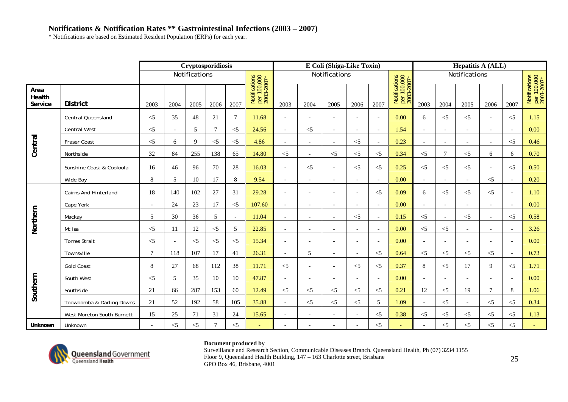\* Notifications are based on Estimated Resident Population (ERPs) for each year.

|                           |                              |                          |                          | Cryptosporidiosis |          |          |                                            |                          |                          | E Coli (Shiga-Like Toxin) |                          |                          |                                            |                          |                          | <b>Hepatitis A (ALL)</b> |                          |                          |                                            |
|---------------------------|------------------------------|--------------------------|--------------------------|-------------------|----------|----------|--------------------------------------------|--------------------------|--------------------------|---------------------------|--------------------------|--------------------------|--------------------------------------------|--------------------------|--------------------------|--------------------------|--------------------------|--------------------------|--------------------------------------------|
|                           |                              |                          |                          | Notifications     |          |          |                                            |                          |                          | Notifications             |                          |                          |                                            |                          |                          | Notifications            |                          |                          |                                            |
| Area<br>Health<br>Service | <b>District</b>              | 2003                     | 2004                     | 2005              | 2006     | 2007     | Notifications<br>per 100,000<br>2003-2007* | 2003                     | 2004                     | 2005                      | 2006                     | 2007                     | Notifications<br>per 100,000<br>2003-2007* | 2003                     | 2004                     | 2005                     | 2006                     | 2007                     | Notifications<br>per 100,000<br>2003-2007* |
|                           | Central Queensland           | $<$ 5                    | 35                       | 48                | 21       | $\tau$   | 11.68                                      | $\sim$                   | $\overline{a}$           | $\sim$                    | $\overline{\phantom{a}}$ | $\overline{\phantom{a}}$ | 0.00                                       | 6                        | $<\!\!5$                 | $<$ 5                    |                          | $<$ 5                    | 1.15                                       |
|                           | <b>Central West</b>          | $<$ 5                    | $\overline{\phantom{a}}$ | 5                 | 7        | $\leq$ 5 | 24.56                                      | $\overline{\phantom{a}}$ | $<$ 5                    | $\overline{\phantom{a}}$  | $\overline{\phantom{a}}$ | $\overline{\phantom{a}}$ | 1.54                                       | $ \,$                    | $\overline{\phantom{a}}$ | $\overline{\phantom{a}}$ | $\overline{\phantom{a}}$ | $\overline{\phantom{a}}$ | 0.00                                       |
| Central                   | <b>Fraser Coast</b>          | $\leq$                   | 6                        | $\mathbf{Q}$      | $\leq$ 5 | $<$ 5    | 4.86                                       | $\overline{\phantom{a}}$ | $\overline{\phantom{a}}$ | $\overline{\phantom{a}}$  | $\leq$ 5                 | $\overline{\phantom{a}}$ | 0.23                                       |                          | $\overline{\phantom{a}}$ | $\overline{\phantom{a}}$ |                          | $\leq$ 5                 | 0.46                                       |
|                           | Northside                    | 32                       | 84                       | 255               | 138      | 65       | 14.80                                      | $<$ 5                    |                          | $<$ 5                     | $<$ 5                    | $<$ 5                    | 0.34                                       | $<$ 5                    | $\tau$                   | $<$ 5                    | 6                        | 6                        | 0.70                                       |
|                           | Sunshine Coast & Cooloola    | 16                       | 46                       | 96                | 70       | 28       | 16.03                                      | $\sim$                   | $<\!\!5$                 | $\sim$                    | $< 5$                    | $<$ 5                    | 0.25                                       | $<$ 5                    | $<$ 5                    | $<$ 5                    |                          | $<$ 5                    | 0.50                                       |
|                           | Wide Bay                     | 8                        | 5                        | 10                | 17       | 8        | 9.54                                       |                          | $\overline{a}$           |                           | $\overline{a}$           | $\overline{a}$           | 0.00                                       |                          |                          | $\sim$                   | $<$ 5                    |                          | 0.20                                       |
|                           | <b>Cairns And Hinterland</b> | 18                       | 140                      | 102               | 27       | 31       | 29.28                                      | $\sim$                   | $\overline{a}$           | $\overline{\phantom{a}}$  | $\overline{a}$           | $\leq$ 5                 | 0.09                                       | 6                        | $<$ 5                    | $\leq$ 5                 | $\leq$ 5                 |                          | 1.10                                       |
|                           | Cape York                    | $\sim$                   | 24                       | 23                | 17       | $\leq$   | 107.60                                     | $\sim$                   | $\overline{a}$           | $\overline{\phantom{a}}$  | $\overline{a}$           | $\overline{\phantom{a}}$ | 0.00                                       | $\overline{\phantom{a}}$ | $\sim$                   | $\sim$                   | $\overline{\phantom{a}}$ | $\overline{a}$           | 0.00                                       |
| Northern                  | Mackay                       | 5                        | 30                       | 36                | 5        | $\sim$   | 11.04                                      |                          |                          | $\overline{\phantom{a}}$  | $<$ 5                    | $\overline{\phantom{a}}$ | 0.15                                       | $<$ 5                    |                          | $<$ 5                    |                          | $<$ 5                    | 0.58                                       |
|                           | Mt Isa                       | $<$ 5                    | 11                       | 12                | $\leq$ 5 | 5        | 22.85                                      | $\sim$                   | $\overline{\phantom{0}}$ |                           | $\overline{a}$           | $\sim$                   | 0.00                                       | $<$ 5                    | $< 5$                    | $\overline{\phantom{a}}$ |                          |                          | 3.26                                       |
|                           | <b>Torres Strait</b>         | $<$ 5                    | $\overline{\phantom{a}}$ | $<$ 5             | $\leq$ 5 | $<$ 5    | 15.34                                      | $\overline{\phantom{a}}$ | $\overline{\phantom{a}}$ | $\overline{\phantom{a}}$  | $\overline{\phantom{a}}$ | $\sim$                   | 0.00                                       | $\sim$                   | $\overline{\phantom{a}}$ | $\blacksquare$           |                          |                          | 0.00                                       |
|                           | Townsville                   | $\tau$                   | 118                      | 107               | 17       | 41       | 26.31                                      |                          | 5                        |                           |                          | $<$ 5                    | 0.64                                       | $<$ 5                    | $<\!\!5$                 | $\leq$ 5                 | $<$ 5                    |                          | 0.73                                       |
|                           | <b>Gold Coast</b>            | 8                        | 27                       | 68                | 112      | 38       | 11.71                                      | $\leq$                   | $\overline{\phantom{a}}$ | $\overline{\phantom{a}}$  | $\leq$ 5                 | $\leq$ 5                 | 0.37                                       | 8                        | $<$ 5                    | 17                       | 9                        | $\leq$ 5                 | 1.71                                       |
|                           | South West                   | $<$ 5                    | 5                        | 35                | 10       | 10       | 47.87                                      | $\overline{\phantom{a}}$ | $\overline{\phantom{0}}$ | $\overline{\phantom{0}}$  | $\overline{\phantom{a}}$ | $\overline{\phantom{a}}$ | 0.00                                       | $\overline{\phantom{a}}$ | $\overline{\phantom{a}}$ | $\overline{\phantom{a}}$ | $\overline{\phantom{0}}$ |                          | 0.00                                       |
| Southern                  | Southside                    | 21                       | 66                       | 287               | 153      | 60       | 12.49                                      | $<$ 5                    | $\leq$                   | $<$ 5                     | $<$ 5                    | $<$ 5                    | 0.21                                       | 12                       | $< 5$                    | 19                       | 7                        | 8                        | 1.06                                       |
|                           | Toowoomba & Darling Downs    | 21                       | 52                       | 192               | 58       | 105      | 35.88                                      | $\sim$                   | $<$ 5                    | $<$ 5                     | $<$ 5                    | 5                        | 1.09                                       | $\overline{a}$           | $<$ 5                    |                          | $<$ 5                    | $<$ 5                    | 0.34                                       |
|                           | West Moreton South Burnett   | 15                       | 25                       | 71                | 31       | 24       | 15.65                                      |                          |                          |                           |                          | $<$ 5                    | 0.38                                       | $<$ 5                    | $< 5$                    | $<$ 5                    | $<$ 5                    | $\leq$ 5                 | 1.13                                       |
| Unknown                   | Unknown                      | $\overline{\phantom{a}}$ | $<$ 5                    | $< 5$             | $\tau$   | $\leq$ 5 |                                            |                          |                          |                           |                          | $<$ 5                    |                                            |                          | $< 5$                    | $<$ 5                    | $<$ 5                    | $\leq$ 5                 |                                            |



### **Document produced by**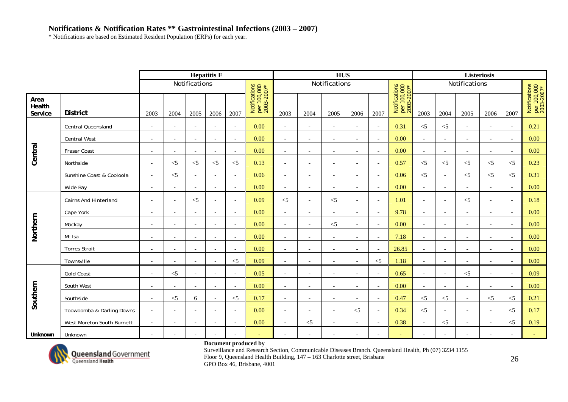\* Notifications are based on Estimated Resident Population (ERPs) for each year.

|                           |                            |                          |                          | <b>Hepatitis E</b><br>Notifications<br>Notifications<br>per 100,000<br>2003-2007*<br>2007<br>2005<br>2006<br>0.00<br>$\overline{\phantom{a}}$<br>$\overline{\phantom{a}}$<br>$\overline{\phantom{a}}$<br>0.00<br>$\sim$<br>$\overline{\phantom{a}}$<br>$\overline{\phantom{a}}$<br>0.00<br>$\overline{\phantom{a}}$<br>$\overline{\phantom{a}}$<br>$\overline{\phantom{a}}$<br>0.13<br>$\leq$ 5<br>$\leq$ 5<br>$<$ 5<br>0.06<br>$\overline{\phantom{a}}$<br>$\overline{\phantom{a}}$<br>0.00<br>$\overline{\phantom{a}}$<br>$\overline{\phantom{a}}$<br>$\overline{\phantom{a}}$<br>0.09<br>$\leq$<br>$\blacksquare$<br>$\overline{\phantom{a}}$<br>0.00<br>$\overline{\phantom{a}}$<br>$\overline{\phantom{a}}$<br>$\overline{\phantom{a}}$ |                          |                          |      |                          |                          |                          |                          |                          |                                            |                          |                          |                          |                          |                          |                                            |
|---------------------------|----------------------------|--------------------------|--------------------------|----------------------------------------------------------------------------------------------------------------------------------------------------------------------------------------------------------------------------------------------------------------------------------------------------------------------------------------------------------------------------------------------------------------------------------------------------------------------------------------------------------------------------------------------------------------------------------------------------------------------------------------------------------------------------------------------------------------------------------------------|--------------------------|--------------------------|------|--------------------------|--------------------------|--------------------------|--------------------------|--------------------------|--------------------------------------------|--------------------------|--------------------------|--------------------------|--------------------------|--------------------------|--------------------------------------------|
|                           |                            |                          |                          |                                                                                                                                                                                                                                                                                                                                                                                                                                                                                                                                                                                                                                                                                                                                              |                          |                          |      |                          |                          | <b>HUS</b>               |                          |                          |                                            |                          |                          |                          | Listeriosis              |                          |                                            |
|                           |                            |                          |                          |                                                                                                                                                                                                                                                                                                                                                                                                                                                                                                                                                                                                                                                                                                                                              |                          |                          |      |                          |                          | Notifications            |                          |                          |                                            |                          |                          | Notifications            |                          |                          |                                            |
| Area<br>Health<br>Service | <b>District</b>            | 2003                     | 2004                     |                                                                                                                                                                                                                                                                                                                                                                                                                                                                                                                                                                                                                                                                                                                                              |                          |                          |      | 2003                     | 2004                     | 2005                     | 2006                     | 2007                     | Notifications<br>per 100,000<br>2003-2007* | 2003                     | 2004                     | 2005                     | 2006                     | 2007                     | Notifications<br>per 100,000<br>2003-2007* |
|                           | Central Queensland         | $\blacksquare$           | $\overline{\phantom{a}}$ |                                                                                                                                                                                                                                                                                                                                                                                                                                                                                                                                                                                                                                                                                                                                              |                          |                          |      | $\sim$                   | $\overline{\phantom{a}}$ | $\overline{\phantom{a}}$ | $\overline{\phantom{a}}$ | $\sim$                   | 0.31                                       | $<$ 5                    | $<$ 5                    | $\overline{\phantom{a}}$ | $\overline{\phantom{a}}$ | $\overline{\phantom{a}}$ | 0.21                                       |
|                           | <b>Central West</b>        | $\sim$                   | $\overline{a}$           |                                                                                                                                                                                                                                                                                                                                                                                                                                                                                                                                                                                                                                                                                                                                              |                          |                          |      | $\sim$                   | $\overline{\phantom{a}}$ | $\overline{a}$           | $\overline{\phantom{a}}$ | $\sim$                   | 0.00                                       |                          | $\overline{\phantom{a}}$ | $\overline{\phantom{a}}$ | $\overline{\phantom{a}}$ |                          | 0.00                                       |
| Central                   | Fraser Coast               | $\blacksquare$           | $\overline{a}$           |                                                                                                                                                                                                                                                                                                                                                                                                                                                                                                                                                                                                                                                                                                                                              |                          |                          |      | $\overline{\phantom{a}}$ | $\overline{\phantom{a}}$ | $\overline{\phantom{a}}$ | $\overline{\phantom{a}}$ | $\sim$                   | 0.00                                       | $\overline{\phantom{a}}$ | $\overline{\phantom{a}}$ | $\overline{\phantom{a}}$ | $\overline{\phantom{a}}$ | $\overline{\phantom{a}}$ | 0.00                                       |
|                           | Northside                  | $\sim$                   | $<$ 5                    |                                                                                                                                                                                                                                                                                                                                                                                                                                                                                                                                                                                                                                                                                                                                              |                          |                          |      | $\overline{\phantom{a}}$ | $\overline{\phantom{a}}$ | $\overline{\phantom{a}}$ | $\overline{\phantom{a}}$ | $\sim$                   | 0.57                                       | $\leq$                   | $<$ 5                    | $<$ 5                    | $\leq$ 5                 | $\leq$ 5                 | 0.23                                       |
|                           | Sunshine Coast & Cooloola  | $\blacksquare$           | $<$ 5                    |                                                                                                                                                                                                                                                                                                                                                                                                                                                                                                                                                                                                                                                                                                                                              |                          |                          |      | $\overline{\phantom{a}}$ | $\overline{\phantom{a}}$ | $\overline{\phantom{a}}$ | $\overline{\phantom{a}}$ | $\sim$                   | 0.06                                       | $\leq$                   | $\overline{\phantom{a}}$ | $<$ 5                    | $<$ 5                    | $\leq$ 5                 | 0.31                                       |
|                           | Wide Bay                   | $\overline{\phantom{a}}$ | $\overline{\phantom{a}}$ |                                                                                                                                                                                                                                                                                                                                                                                                                                                                                                                                                                                                                                                                                                                                              |                          |                          |      | $\overline{\phantom{a}}$ | $\overline{\phantom{a}}$ | $\overline{\phantom{a}}$ | $\overline{\phantom{a}}$ | $\overline{\phantom{a}}$ | 0.00                                       | $\overline{\phantom{a}}$ | $\overline{\phantom{a}}$ | $\overline{\phantom{a}}$ |                          |                          | 0.00                                       |
|                           | Cairns And Hinterland      | $\overline{a}$           | $\overline{\phantom{a}}$ |                                                                                                                                                                                                                                                                                                                                                                                                                                                                                                                                                                                                                                                                                                                                              |                          |                          |      | $<$ 5                    | $\overline{\phantom{a}}$ | $< \! 5$                 | $\blacksquare$           | $\sim$                   | 1.01                                       | $\overline{\phantom{a}}$ | $\sim$                   | $<$ 5                    |                          | $\overline{\phantom{a}}$ | 0.18                                       |
|                           | Cape York                  | $\overline{\phantom{a}}$ | $\overline{\phantom{a}}$ |                                                                                                                                                                                                                                                                                                                                                                                                                                                                                                                                                                                                                                                                                                                                              |                          |                          |      | $\sim$                   | $\overline{\phantom{a}}$ | $\overline{\phantom{a}}$ | $\overline{\phantom{a}}$ | $\sim$                   | 9.78                                       | $\overline{a}$           | $\overline{\phantom{a}}$ | $\overline{a}$           | $\overline{\phantom{a}}$ | $\overline{\phantom{a}}$ | 0.00                                       |
| Northern                  | Mackay                     | $\sim$                   | $\overline{\phantom{a}}$ | $\sim$                                                                                                                                                                                                                                                                                                                                                                                                                                                                                                                                                                                                                                                                                                                                       | $\overline{\phantom{a}}$ | $\overline{\phantom{a}}$ | 0.00 | $\overline{\phantom{a}}$ | $\overline{\phantom{a}}$ | $<$ 5                    | $\blacksquare$           | $\sim$                   | 0.00                                       | $\overline{\phantom{a}}$ | $\overline{\phantom{a}}$ | $\overline{\phantom{a}}$ | $\overline{\phantom{0}}$ | $\overline{\phantom{a}}$ | 0.00                                       |
|                           | Mt Isa                     | $\overline{\phantom{a}}$ | $\overline{\phantom{a}}$ | $\overline{\phantom{a}}$                                                                                                                                                                                                                                                                                                                                                                                                                                                                                                                                                                                                                                                                                                                     | $\overline{\phantom{a}}$ | $\overline{\phantom{a}}$ | 0.00 | $\overline{\phantom{a}}$ | $\overline{\phantom{a}}$ | $\overline{\phantom{a}}$ | $\overline{\phantom{a}}$ | $\overline{\phantom{a}}$ | 7.18                                       | $\overline{\phantom{a}}$ | $\overline{\phantom{a}}$ | $\blacksquare$           | $\overline{\phantom{a}}$ | $\overline{\phantom{a}}$ | 0.00                                       |
|                           | <b>Torres Strait</b>       | $\overline{\phantom{a}}$ | $\overline{\phantom{a}}$ | $\overline{\phantom{a}}$                                                                                                                                                                                                                                                                                                                                                                                                                                                                                                                                                                                                                                                                                                                     | $\overline{\phantom{a}}$ | $\overline{\phantom{a}}$ | 0.00 | $\overline{\phantom{a}}$ | $\overline{\phantom{a}}$ | $\overline{\phantom{a}}$ | $\blacksquare$           | $\overline{\phantom{a}}$ | 26.85                                      | $\overline{\phantom{a}}$ | $\overline{\phantom{a}}$ | $\blacksquare$           | $\overline{\phantom{a}}$ | $\overline{\phantom{a}}$ | 0.00                                       |
|                           | Townsville                 |                          |                          |                                                                                                                                                                                                                                                                                                                                                                                                                                                                                                                                                                                                                                                                                                                                              |                          | $<$ 5                    | 0.09 |                          |                          |                          |                          | $<$ 5                    | 1.18                                       |                          |                          |                          |                          |                          | 0.00                                       |
|                           | <b>Gold Coast</b>          | $\overline{\phantom{a}}$ | $<$ 5                    | $\overline{\phantom{a}}$                                                                                                                                                                                                                                                                                                                                                                                                                                                                                                                                                                                                                                                                                                                     | $\overline{\phantom{a}}$ | $\overline{\phantom{a}}$ | 0.05 | $\overline{\phantom{a}}$ | $\overline{\phantom{a}}$ | $\overline{\phantom{a}}$ | $\overline{\phantom{a}}$ | $\overline{\phantom{a}}$ | 0.65                                       | $\overline{\phantom{a}}$ | $\overline{\phantom{a}}$ | $<$ 5                    |                          | $\overline{\phantom{a}}$ | 0.09                                       |
|                           | South West                 | $\overline{\phantom{a}}$ | $\overline{a}$           | $\sim$                                                                                                                                                                                                                                                                                                                                                                                                                                                                                                                                                                                                                                                                                                                                       | $\overline{\phantom{a}}$ | $\overline{\phantom{a}}$ | 0.00 | $\overline{\phantom{a}}$ | $\overline{\phantom{a}}$ | $\overline{\phantom{a}}$ | $\blacksquare$           | $\overline{\phantom{a}}$ | 0.00                                       | $\overline{a}$           | $\overline{\phantom{a}}$ | $\overline{\phantom{a}}$ | $\overline{a}$           | $\overline{a}$           | 0.00                                       |
| Southern                  | Southside                  | $\overline{\phantom{a}}$ | $<$ 5                    | 6                                                                                                                                                                                                                                                                                                                                                                                                                                                                                                                                                                                                                                                                                                                                            | $\overline{\phantom{a}}$ | $<$ 5                    | 0.17 | $\overline{\phantom{a}}$ | $\overline{\phantom{a}}$ | $\overline{\phantom{a}}$ | $\overline{\phantom{a}}$ | $\sim$                   | 0.47                                       | $<$ 5                    | $<$ 5                    | $\overline{\phantom{a}}$ | $<$ 5                    | $\leq$ 5                 | 0.21                                       |
|                           | Toowoomba & Darling Downs  | $\overline{\phantom{a}}$ | $\overline{\phantom{a}}$ | $\overline{\phantom{a}}$                                                                                                                                                                                                                                                                                                                                                                                                                                                                                                                                                                                                                                                                                                                     | $\overline{\phantom{a}}$ | $\overline{\phantom{a}}$ | 0.00 | $\sim$                   | $\overline{\phantom{a}}$ | $\overline{\phantom{a}}$ | $\leq$ 5                 | $\overline{\phantom{a}}$ | 0.34                                       | $\leq$ 5                 | $\overline{\phantom{a}}$ | $\blacksquare$           | $\overline{\phantom{a}}$ | $\leq$ 5                 | 0.17                                       |
|                           | West Moreton South Burnett | $\overline{\phantom{a}}$ | $\overline{\phantom{a}}$ | $\overline{\phantom{a}}$                                                                                                                                                                                                                                                                                                                                                                                                                                                                                                                                                                                                                                                                                                                     |                          | $\overline{\phantom{a}}$ | 0.00 | $\overline{\phantom{a}}$ | $<$ 5                    | $\overline{\phantom{a}}$ | $\overline{\phantom{a}}$ | $\overline{\phantom{a}}$ | 0.38                                       | $\overline{\phantom{a}}$ | $<$ 5                    | $\overline{\phantom{a}}$ | $\overline{\phantom{a}}$ | $<$ 5                    | 0.19                                       |
| Unknown                   | Unknown                    | $\overline{\phantom{a}}$ | $\overline{a}$           | $\sim$                                                                                                                                                                                                                                                                                                                                                                                                                                                                                                                                                                                                                                                                                                                                       | $\overline{\phantom{a}}$ | $\overline{\phantom{a}}$ |      |                          | $\overline{\phantom{a}}$ | $\sim$                   | $\overline{\phantom{a}}$ | $\overline{\phantom{a}}$ | $\sim$                                     | $\sim$                   | $\overline{\phantom{a}}$ | $\overline{a}$           |                          |                          |                                            |



### **Document produced by**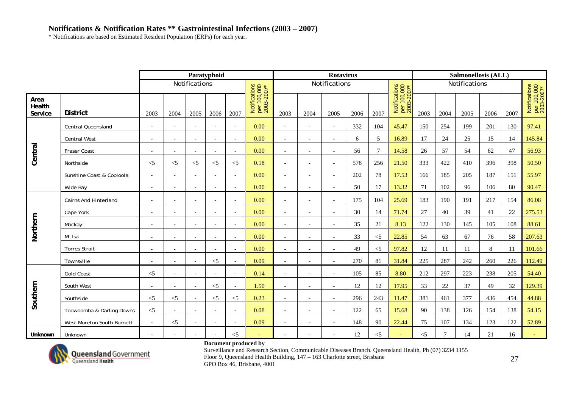\* Notifications are based on Estimated Resident Population (ERPs) for each year.

|                           |                              |                          |                          |                          | Paratyphoid              |                          |                                            |                          |                          | <b>Rotavirus</b>         |      |          |                                            |       |        | Salmonellosis (ALL) |      |      |                                            |
|---------------------------|------------------------------|--------------------------|--------------------------|--------------------------|--------------------------|--------------------------|--------------------------------------------|--------------------------|--------------------------|--------------------------|------|----------|--------------------------------------------|-------|--------|---------------------|------|------|--------------------------------------------|
|                           |                              |                          |                          | Notifications            |                          |                          |                                            |                          |                          | Notifications            |      |          |                                            |       |        | Notifications       |      |      |                                            |
| Area<br>Health<br>Service | <b>District</b>              | 2003                     | 2004                     | 2005                     | 2006                     | 2007                     | Notifications<br>per 100,000<br>2003-2007* | 2003                     | 2004                     | 2005                     | 2006 | 2007     | Notifications<br>per 100,000<br>2003-2007* | 2003  | 2004   | 2005                | 2006 | 2007 | Notifications<br>per 100,000<br>2003-2007* |
|                           | <b>Central Queensland</b>    | $\overline{\phantom{a}}$ | $\overline{\phantom{a}}$ | $\overline{\phantom{a}}$ |                          | $\overline{\phantom{a}}$ | 0.00                                       |                          |                          | $\overline{\phantom{a}}$ | 332  | 104      | 45.47                                      | 150   | 254    | 199                 | 201  | 130  | 97.41                                      |
|                           | <b>Central West</b>          |                          | $\overline{a}$           | $\overline{a}$           |                          | $\overline{\phantom{a}}$ | 0.00                                       |                          |                          | $\sim$                   | 6    | 5        | 16.89                                      | 17    | 24     | 25                  | 15   | 14   | 145.84                                     |
| Central                   | <b>Fraser Coast</b>          |                          | $\overline{\phantom{a}}$ | $\overline{\phantom{a}}$ | $\overline{\phantom{a}}$ | $\sim$                   | 0.00                                       | $\sim$                   | $\overline{\phantom{a}}$ | $\overline{\phantom{a}}$ | 56   | $\tau$   | 14.58                                      | 26    | 57     | 54                  | 62   | 47   | 56.93                                      |
|                           | Northside                    | $<$ 5                    | $<$ 5                    | $<$ 5                    | $<$ 5                    | $<$ 5                    | 0.18                                       | $\overline{\phantom{a}}$ | $\overline{\phantom{0}}$ | $\overline{\phantom{a}}$ | 578  | 256      | 21.50                                      | 333   | 422    | 410                 | 396  | 398  | 50.50                                      |
|                           | Sunshine Coast & Cooloola    | $\overline{\phantom{a}}$ | $\overline{\phantom{a}}$ | $\overline{\phantom{a}}$ |                          | $\overline{\phantom{a}}$ | 0.00                                       |                          | $\overline{\phantom{0}}$ | $\sim$                   | 202  | $78\,$   | 17.53                                      | 166   | 185    | 205                 | 187  | 151  | 55.97                                      |
|                           | Wide Bay                     | $\overline{\phantom{a}}$ | $\overline{a}$           | $\overline{\phantom{a}}$ |                          | $\overline{\phantom{a}}$ | 0.00                                       |                          |                          |                          | 50   | 17       | 13.32                                      | 71    | 102    | 96                  | 106  | 80   | 90.47                                      |
|                           | <b>Cairns And Hinterland</b> | $\overline{\phantom{a}}$ | $\overline{\phantom{a}}$ | $\overline{\phantom{a}}$ |                          | $\overline{\phantom{a}}$ | 0.00                                       |                          |                          | $\overline{\phantom{a}}$ | 175  | 104      | 25.69                                      | 183   | 190    | 191                 | 217  | 154  | 86.08                                      |
|                           | Cape York                    | $\overline{\phantom{a}}$ | $\overline{a}$           | $\overline{a}$           | $\sim$                   | $\overline{\phantom{a}}$ | 0.00                                       |                          |                          |                          | 30   | 14       | 71.74                                      | 27    | 40     | 39                  | 41   | 22   | 275.53                                     |
| Northern                  | Mackay                       | $\overline{\phantom{a}}$ | $\overline{\phantom{a}}$ | $\overline{\phantom{a}}$ | $\sim$                   | $\sim$                   | 0.00                                       | $\sim$                   | $\overline{\phantom{a}}$ | $\sim$                   | 35   | 21       | 8.13                                       | 122   | 130    | 145                 | 105  | 108  | 88.61                                      |
|                           | Mt Isa                       | $\overline{\phantom{a}}$ | $\overline{a}$           | $\overline{a}$           | $\overline{\phantom{0}}$ | $\overline{\phantom{a}}$ | 0.00                                       | $\overline{\phantom{a}}$ | $\overline{\phantom{a}}$ | $\overline{\phantom{a}}$ | 33   | $<$ 5    | 22.85                                      | 54    | 63     | 67                  | 76   | 58   | 207.63                                     |
|                           | <b>Torres Strait</b>         | $\overline{\phantom{a}}$ | $\overline{\phantom{a}}$ | $\overline{\phantom{a}}$ | $\overline{\phantom{a}}$ | $\overline{\phantom{a}}$ | 0.00                                       | $\overline{\phantom{a}}$ | $\overline{\phantom{a}}$ | $\overline{\phantom{a}}$ | 49   | $\leq$ 5 | 97.82                                      | 12    | 11     | 11                  | 8    | 11   | 101.66                                     |
|                           | Townsville                   |                          |                          | $\overline{\phantom{a}}$ | $<$ 5                    |                          | 0.09                                       |                          |                          |                          | 270  | 81       | 31.84                                      | 225   | 287    | 242                 | 260  | 226  | 112.49                                     |
|                           | <b>Gold Coast</b>            | $<$ 5                    | $\overline{\phantom{a}}$ | $\overline{\phantom{a}}$ |                          | $\overline{\phantom{a}}$ | 0.14                                       |                          |                          | $\overline{\phantom{a}}$ | 105  | 85       | 8.80                                       | 212   | 297    | 223                 | 238  | 205  | 54.40                                      |
|                           | South West                   | $\overline{\phantom{a}}$ |                          | $\overline{\phantom{a}}$ | $\leq$ 5                 | $\overline{\phantom{a}}$ | 1.50                                       |                          |                          | $\overline{\phantom{a}}$ | 12   | 12       | 17.95                                      | 33    | 22     | 37                  | 49   | 32   | 129.39                                     |
| Southern                  | Southside                    | $\leq$                   | $\leq$ 5                 | $\overline{\phantom{a}}$ | $<$ 5                    | $<$ 5                    | 0.23                                       |                          |                          | $\overline{\phantom{a}}$ | 296  | 243      | 11.47                                      | 381   | 461    | 377                 | 436  | 454  | 44.88                                      |
|                           | Toowoomba & Darling Downs    | $\leq$                   | $\overline{\phantom{a}}$ | $\overline{\phantom{a}}$ | $\overline{\phantom{a}}$ | $\overline{\phantom{a}}$ | 0.08                                       | $\overline{\phantom{0}}$ | $\overline{\phantom{a}}$ | $\overline{\phantom{a}}$ | 122  | 65       | 15.68                                      | 90    | 138    | 126                 | 154  | 138  | 54.15                                      |
|                           | West Moreton South Burnett   | $\sim$                   | $<$ 5                    | $\overline{a}$           |                          | $\overline{\phantom{a}}$ | 0.09                                       |                          |                          | $\sim$                   | 148  | 90       | 22.44                                      | 75    | 107    | 134                 | 123  | 122  | 52.89                                      |
| Unknown                   | Unknown                      | $\overline{\phantom{a}}$ |                          |                          |                          | $<$ 5                    |                                            |                          |                          |                          | 12   | $<$ 5    |                                            | $<$ 5 | $\tau$ | 14                  | 21   | 16   |                                            |



### **Document produced by**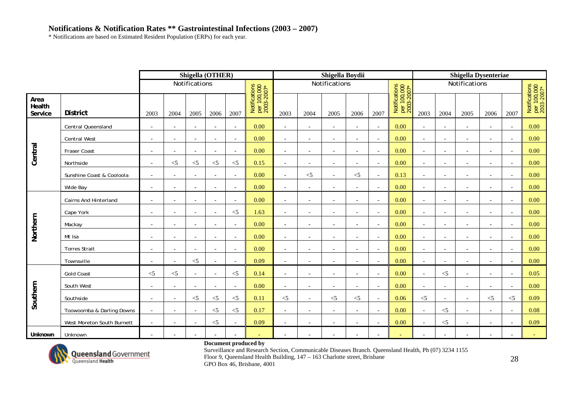\* Notifications are based on Estimated Resident Population (ERPs) for each year.

|                           |                            |                          |                          | Shigella (OTHER)         |                          |                          |                                            |                          |                          | Shigella Boydii          |                          |                          |                                            |                          |                          | <b>Shigella Dysenteriae</b> |                          |                          |                                            |
|---------------------------|----------------------------|--------------------------|--------------------------|--------------------------|--------------------------|--------------------------|--------------------------------------------|--------------------------|--------------------------|--------------------------|--------------------------|--------------------------|--------------------------------------------|--------------------------|--------------------------|-----------------------------|--------------------------|--------------------------|--------------------------------------------|
|                           |                            |                          |                          | Notifications            |                          |                          |                                            |                          |                          | Notifications            |                          |                          |                                            |                          |                          | Notifications               |                          |                          |                                            |
| Area<br>Health<br>Service | <b>District</b>            | 2003                     | 2004                     | 2005                     | 2006                     | 2007                     | Notifications<br>per 100,000<br>2003-2007* | 2003                     | 2004                     | 2005                     | 2006                     | 2007                     | Notifications<br>per 100,000<br>2003-2007* | 2003                     | 2004                     | 2005                        | 2006                     | 2007                     | Notifications<br>per 100,000<br>2003-2007* |
|                           | Central Queensland         | $\overline{\phantom{a}}$ | $\overline{\phantom{a}}$ | $\overline{\phantom{a}}$ | $\overline{\phantom{a}}$ | $\overline{\phantom{a}}$ | 0.00                                       |                          |                          | $\overline{\phantom{a}}$ | $\overline{\phantom{a}}$ | $\overline{\phantom{a}}$ | 0.00                                       | $\blacksquare$           | $\overline{\phantom{a}}$ | $\overline{\phantom{a}}$    |                          | $\overline{\phantom{a}}$ | 0.00                                       |
|                           | <b>Central West</b>        | $\overline{a}$           | $\overline{a}$           | $\overline{a}$           | $\overline{\phantom{a}}$ | $\overline{\phantom{a}}$ | 0.00                                       | $\sim$                   | $\overline{\phantom{a}}$ | $\sim$                   | $\blacksquare$           | $\sim$                   | 0.00                                       | $\sim$                   | $\overline{\phantom{a}}$ | $\overline{\phantom{a}}$    |                          |                          | 0.00                                       |
| Central                   | Fraser Coast               | $\overline{\phantom{a}}$ | $\overline{a}$           | $\overline{a}$           | $\overline{\phantom{a}}$ | $\overline{\phantom{a}}$ | 0.00                                       | $\sim$                   | $\overline{\phantom{a}}$ | $\sim$                   | $\overline{a}$           | $\overline{\phantom{a}}$ | 0.00                                       | $\overline{a}$           | $\overline{\phantom{a}}$ | $\overline{a}$              | $\overline{\phantom{a}}$ | $\overline{\phantom{a}}$ | 0.00                                       |
|                           | Northside                  | $\overline{\phantom{a}}$ | $<$ 5                    | $<$ 5                    | $<$ 5                    | $<$ 5                    | 0.15                                       | $\sim$                   | $\overline{\phantom{a}}$ | $\overline{\phantom{a}}$ | $\overline{\phantom{a}}$ | $\overline{\phantom{a}}$ | 0.00                                       | $\sim$                   | $\overline{\phantom{a}}$ | $\overline{\phantom{a}}$    | $\overline{\phantom{0}}$ | $\overline{\phantom{a}}$ | 0.00                                       |
|                           | Sunshine Coast & Cooloola  |                          |                          |                          |                          | $\overline{\phantom{a}}$ | 0.00                                       | $\overline{\phantom{a}}$ | $<$ 5                    | $\sim$                   | $<$ 5                    | $\overline{a}$           | 0.13                                       | $\overline{\phantom{a}}$ |                          | $\overline{\phantom{a}}$    |                          |                          | 0.00                                       |
|                           | Wide Bay                   | $\sim$                   | $\overline{\phantom{a}}$ | $\overline{\phantom{a}}$ | $\overline{\phantom{a}}$ | $\overline{\phantom{a}}$ | 0.00                                       |                          | $\overline{\phantom{a}}$ | $\overline{\phantom{a}}$ | $\overline{\phantom{a}}$ | $\overline{\phantom{a}}$ | 0.00                                       | $\overline{\phantom{a}}$ | $\overline{\phantom{a}}$ | $\overline{\phantom{a}}$    |                          |                          | 0.00                                       |
|                           | Cairns And Hinterland      | $\overline{a}$           | $\overline{\phantom{a}}$ | $\sim$                   | $\overline{\phantom{a}}$ | $\blacksquare$           | 0.00                                       | $\sim$                   | $\overline{\phantom{a}}$ | $\sim$                   | $\overline{a}$           | $\sim$                   | 0.00                                       | $\overline{a}$           | $\overline{\phantom{a}}$ | $\overline{\phantom{a}}$    |                          | $\overline{\phantom{a}}$ | 0.00                                       |
|                           | Cape York                  | $\overline{\phantom{a}}$ | $\overline{\phantom{a}}$ | $\overline{\phantom{a}}$ | $\overline{\phantom{a}}$ | $\leq$ 5                 | 1.63                                       | $\overline{\phantom{a}}$ | $\overline{\phantom{a}}$ | $\overline{\phantom{a}}$ | $\overline{a}$           | $\overline{a}$           | 0.00                                       | $\overline{\phantom{a}}$ | $\overline{\phantom{a}}$ | $\overline{\phantom{a}}$    |                          | $\sim$                   | 0.00                                       |
| Northern                  | Mackay                     | $\blacksquare$           | $\overline{\phantom{a}}$ | $\overline{\phantom{a}}$ | $\overline{\phantom{a}}$ | $\overline{\phantom{a}}$ | 0.00                                       | $\overline{\phantom{a}}$ | $\overline{\phantom{a}}$ | $\overline{\phantom{a}}$ | $\overline{\phantom{a}}$ | $\overline{a}$           | 0.00                                       | $\overline{\phantom{a}}$ | $\overline{\phantom{a}}$ | $\overline{\phantom{a}}$    |                          |                          | 0.00                                       |
|                           | Mt Isa                     | $\overline{\phantom{a}}$ | $\overline{\phantom{a}}$ | $\overline{\phantom{a}}$ | $\sim$                   | $\overline{\phantom{a}}$ | 0.00                                       | $\sim$                   | $\sim$                   | $\sim$                   | $\overline{\phantom{a}}$ | $\overline{\phantom{a}}$ | 0.00                                       | $\sim$                   | $\sim$                   | $\overline{\phantom{a}}$    | $\overline{\phantom{a}}$ | $\overline{a}$           | 0.00                                       |
|                           | <b>Torres Strait</b>       | $\overline{\phantom{a}}$ | $\overline{\phantom{a}}$ | $\overline{\phantom{a}}$ | $\overline{\phantom{a}}$ | $\overline{\phantom{a}}$ | 0.00                                       | $\overline{\phantom{a}}$ | $\overline{\phantom{a}}$ | $\overline{\phantom{a}}$ | $\blacksquare$           | $\sim$                   | 0.00                                       | $\overline{\phantom{a}}$ | $\overline{\phantom{a}}$ | $\blacksquare$              | $\overline{\phantom{a}}$ | $\overline{\phantom{a}}$ | 0.00                                       |
|                           | Townsville                 |                          | $\overline{\phantom{a}}$ | $<$ 5                    |                          | $\overline{\phantom{a}}$ | 0.09                                       | $\sim$                   |                          | $\overline{\phantom{0}}$ | $\overline{\phantom{a}}$ | $\sim$                   | 0.00                                       | $\overline{\phantom{a}}$ | $\overline{\phantom{a}}$ | $\overline{\phantom{a}}$    |                          |                          | 0.00                                       |
|                           | <b>Gold Coast</b>          | $<$ 5                    | $<$ 5                    | $\overline{\phantom{a}}$ | $\overline{\phantom{a}}$ | $< 5$                    | 0.14                                       | $\overline{\phantom{a}}$ | $\overline{\phantom{a}}$ | $\overline{\phantom{a}}$ | $\blacksquare$           | $\sim$                   | 0.00                                       | $\overline{\phantom{a}}$ | $<$ 5                    | $\overline{\phantom{a}}$    | $\overline{\phantom{a}}$ | $\overline{\phantom{a}}$ | 0.05                                       |
|                           | South West                 | $\overline{a}$           | $\overline{a}$           | $\overline{a}$           |                          | $\sim$                   | 0.00                                       | $\sim$                   | $\sim$                   | $\sim$                   | $\overline{a}$           | $\sim$                   | 0.00                                       |                          | $\sim$                   | $\overline{a}$              |                          |                          | 0.00                                       |
| Southern                  | Southside                  | $\blacksquare$           | $\overline{\phantom{a}}$ | $\leq$ 5                 | $< 5$                    | $\leq$ 5                 | 0.11                                       | $<$ 5                    | $\overline{\phantom{a}}$ | $<$ 5                    | $<$ 5                    | $\overline{a}$           | 0.06                                       | $<$ 5                    | $\overline{\phantom{a}}$ | $\overline{\phantom{a}}$    | $<$ 5                    | $<$ 5                    | 0.09                                       |
|                           | Toowoomba & Darling Downs  | $\overline{\phantom{a}}$ | $\overline{\phantom{a}}$ | $\overline{\phantom{a}}$ | $<$ 5                    | $\leq$ 5                 | 0.17                                       | $\sim$                   | $\overline{\phantom{a}}$ | $\overline{\phantom{a}}$ | $\overline{\phantom{a}}$ | $\overline{\phantom{a}}$ | 0.00                                       | $\overline{\phantom{a}}$ | $<$ 5                    | $\overline{\phantom{a}}$    | $\overline{\phantom{a}}$ |                          | 0.08                                       |
|                           | West Moreton South Burnett | $\sim$                   | $\overline{a}$           | $\overline{\phantom{a}}$ | $< 5$                    | $\overline{\phantom{a}}$ | 0.09                                       | $\sim$                   | $\overline{\phantom{a}}$ | $\overline{\phantom{a}}$ | $\blacksquare$           | $\blacksquare$           | 0.00                                       | $\overline{\phantom{a}}$ | $<$ 5                    | $\overline{\phantom{a}}$    |                          | $\overline{a}$           | 0.09                                       |
| Unknown                   | Unknown                    | $\overline{\phantom{a}}$ | $\overline{\phantom{a}}$ | $\overline{\phantom{a}}$ | $\overline{\phantom{a}}$ | $\overline{\phantom{0}}$ |                                            |                          |                          |                          |                          | $\blacksquare$           |                                            | $\overline{\phantom{a}}$ | $\overline{\phantom{a}}$ | $\overline{\phantom{a}}$    |                          |                          |                                            |



### **Document produced by**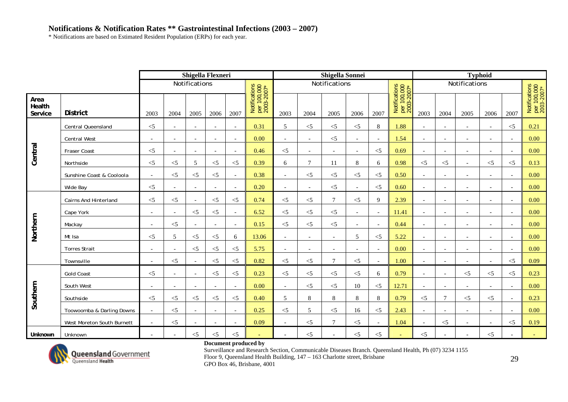\* Notifications are based on Estimated Resident Population (ERPs) for each year.

|                           |                              |                          |                          | Shigella Flexneri        |                          |                          |                                            |                          |                          | Shigella Sonnei          |                          |                          |                                            |                          |                          |                          | <b>Typhoid</b>           |                          |                                            |
|---------------------------|------------------------------|--------------------------|--------------------------|--------------------------|--------------------------|--------------------------|--------------------------------------------|--------------------------|--------------------------|--------------------------|--------------------------|--------------------------|--------------------------------------------|--------------------------|--------------------------|--------------------------|--------------------------|--------------------------|--------------------------------------------|
|                           |                              |                          |                          | Notifications            |                          |                          |                                            |                          |                          | Notifications            |                          |                          |                                            |                          |                          | Notifications            |                          |                          |                                            |
| Area<br>Health<br>Service | <b>District</b>              | 2003                     | 2004                     | 2005                     | 2006                     | 2007                     | Notifications<br>per 100,000<br>2003-2007* | 2003                     | 2004                     | 2005                     | 2006                     | 2007                     | Notifications<br>per 100,000<br>2003-2007* | 2003                     | 2004                     | 2005                     | 2006                     | 2007                     | Notifications<br>per 100,000<br>2003-2007* |
|                           | Central Queensland           | $<$ 5                    | $\overline{\phantom{a}}$ | $\overline{a}$           |                          | $\blacksquare$           | 0.31                                       | 5                        | $<$ 5                    | $<$ 5                    | $<$ 5                    | 8                        | 1.88                                       |                          |                          |                          |                          | $\leq$ 5                 | 0.21                                       |
|                           | <b>Central West</b>          | $\overline{\phantom{a}}$ | $\overline{\phantom{a}}$ | $\overline{\phantom{a}}$ | $\sim$                   | $\sim$                   | 0.00                                       | $\overline{\phantom{a}}$ | $\overline{\phantom{a}}$ | $<$ 5                    | $\overline{\phantom{a}}$ | $\overline{a}$           | 1.54                                       | $\overline{\phantom{a}}$ | $\overline{\phantom{a}}$ | $\overline{\phantom{a}}$ |                          |                          | 0.00                                       |
| Central                   | Fraser Coast                 | $<$ 5                    | $\overline{a}$           | $\overline{\phantom{a}}$ | $\overline{\phantom{0}}$ | $\overline{\phantom{a}}$ | 0.46                                       | $<$ 5                    | $\overline{\phantom{a}}$ | $\overline{\phantom{a}}$ | $\overline{\phantom{0}}$ | $<$ 5                    | 0.69                                       | $\overline{\phantom{a}}$ | $\overline{\phantom{a}}$ | $\overline{a}$           | $\overline{\phantom{0}}$ | $\overline{\phantom{a}}$ | 0.00                                       |
|                           | Northside                    | $<$ 5                    | $<$ 5                    | 5                        | $<$ 5                    | $<$ 5                    | 0.39                                       | 6                        | $\overline{7}$           | 11                       | 8                        | 6                        | 0.98                                       | $<$ 5                    | $<$ 5                    | $\overline{\phantom{a}}$ | $<$ 5                    | $\leq$ 5                 | 0.13                                       |
|                           | Sunshine Coast & Cooloola    | $\sim$                   | $<$ 5                    | $<$ 5                    | $<$ 5                    | $\sim$                   | 0.38                                       | $\overline{\phantom{a}}$ | $<$ 5                    | $<\!\!5$                 | $<$ 5                    | $<$ 5                    | 0.50                                       |                          |                          | $\overline{\phantom{a}}$ |                          |                          | 0.00                                       |
|                           | Wide Bay                     | $\leq$                   |                          | $\overline{a}$           |                          | $\overline{a}$           | 0.20                                       |                          |                          | $<$ 5                    |                          | $<$ 5                    | 0.60                                       |                          |                          |                          |                          |                          | 0.00                                       |
|                           | <b>Cairns And Hinterland</b> | $\leq$ 5                 | $<$ 5                    | $\mathbf{r}$             | $\leq$ 5                 | $\leq$ 5                 | 0.74                                       | $\leq$ 5                 | $<$ 5                    | $\tau$                   | $<$ 5                    | 9                        | 2.39                                       |                          | $\overline{\phantom{a}}$ | $\overline{a}$           |                          | $\overline{a}$           | 0.00                                       |
|                           | Cape York                    | $\overline{\phantom{a}}$ | $\overline{a}$           | $<$ 5                    | $<$ 5                    | $\overline{\phantom{a}}$ | 6.52                                       | $<$ 5                    | $<$ 5                    | $<$ 5                    | $\overline{a}$           | $\overline{\phantom{a}}$ | 11.41                                      | $\overline{\phantom{a}}$ | $\overline{\phantom{a}}$ | $\overline{\phantom{a}}$ | $\overline{\phantom{0}}$ | $\overline{\phantom{a}}$ | 0.00                                       |
|                           | Mackay                       | $\overline{\phantom{a}}$ | $<$ 5                    | $\blacksquare$           | $\overline{\phantom{a}}$ | $\overline{\phantom{a}}$ | 0.15                                       | $<$ 5                    | $<$ 5                    | $<$ 5                    | $\blacksquare$           | $\overline{\phantom{a}}$ | 0.44                                       | $\overline{\phantom{a}}$ | $\overline{\phantom{a}}$ | $\overline{\phantom{a}}$ | $\overline{\phantom{a}}$ | $\overline{\phantom{a}}$ | 0.00                                       |
| Northern                  | Mt Isa                       | $<$ 5                    | 5                        | $<$ 5                    | $<$ 5                    | 6                        | 13.06                                      | $\overline{\phantom{a}}$ | $\overline{\phantom{a}}$ | $\overline{\phantom{a}}$ | 5                        | $<$ 5                    | 5.22                                       | $\overline{\phantom{a}}$ |                          | $\overline{\phantom{a}}$ |                          | $\overline{\phantom{a}}$ | 0.00                                       |
|                           | <b>Torres Strait</b>         | $\overline{a}$           | $\overline{\phantom{a}}$ | $<$ 5                    | $< 5$                    | $\leq$ 5                 | 5.75                                       |                          |                          |                          | $\overline{a}$           | $\overline{\phantom{a}}$ | 0.00                                       | $\overline{\phantom{a}}$ |                          |                          |                          | $\overline{a}$           | 0.00                                       |
|                           | Townsville                   | $\overline{a}$           | $<$ 5                    | $\overline{a}$           | $<$ 5                    | $<$ 5                    | 0.82                                       | $<$ 5                    | $< 5$                    | $\tau$                   | $<$ 5                    | $\overline{a}$           | 1.00                                       |                          |                          |                          |                          | $\leq$ 5                 | 0.09                                       |
|                           | <b>Gold Coast</b>            | $<$ 5                    | $\overline{a}$           | $\overline{a}$           | $<$ 5                    | $<$ 5                    | 0.23                                       | $\leq$ 5                 | $\leq$ 5                 | $<$ 5                    | $<$ 5                    | 6                        | 0.79                                       | $\overline{\phantom{a}}$ |                          | $<$ 5                    | $\leq$ 5                 | $\leq$ 5                 | 0.23                                       |
|                           | South West                   | $\overline{\phantom{a}}$ | $\overline{\phantom{a}}$ | $\blacksquare$           | $\overline{\phantom{a}}$ | $\sim$                   | 0.00                                       | $\overline{\phantom{a}}$ | $<$ 5                    | $<$ 5                    | 10                       | $<$ 5                    | 12.71                                      | $\overline{\phantom{a}}$ | $\overline{\phantom{a}}$ | $\overline{\phantom{a}}$ | $\overline{\phantom{a}}$ | $\overline{\phantom{a}}$ | 0.00                                       |
| Southern                  | Southside                    | $\leq$ 5                 | $<$ 5                    | $\leq$ 5                 | $< 5$                    | $<$ 5                    | 0.40                                       | 5                        | 8                        | 8                        | 8                        | 8                        | 0.79                                       | $<$ 5                    | $\tau$                   | $<$ 5                    | $\leq$ 5                 | $\overline{\phantom{a}}$ | 0.23                                       |
|                           | Toowoomba & Darling Downs    | $\overline{\phantom{a}}$ | $<$ 5                    | $\overline{\phantom{a}}$ | $\overline{\phantom{a}}$ | $\overline{\phantom{a}}$ | 0.25                                       | $\leq$ 5                 | 5                        | $<$ 5                    | 16                       | $<$ 5                    | 2.43                                       | $\overline{\phantom{a}}$ | $\overline{\phantom{a}}$ | $\overline{\phantom{a}}$ |                          | $\overline{\phantom{a}}$ | 0.00                                       |
|                           | West Moreton South Burnett   | $\sim$                   | $<$ 5                    | $\blacksquare$           |                          | $\overline{\phantom{a}}$ | 0.09                                       |                          | $<$ 5                    | $\tau$                   | $<$ 5                    | $\overline{\phantom{a}}$ | 1.04                                       |                          | $\leq$ 5                 | $\overline{\phantom{a}}$ |                          | $\leq$ 5                 | 0.19                                       |
| Unknown                   | Unknown                      | $\overline{\phantom{a}}$ | $\overline{\phantom{a}}$ | $<$ 5                    | $< 5$                    | $<$ 5                    |                                            |                          | $< 5$                    |                          | $<$ 5                    | $<$ 5                    | $\overline{\phantom{a}}$                   | $<$ 5                    |                          |                          | $<$ 5                    |                          |                                            |



### **Document produced by**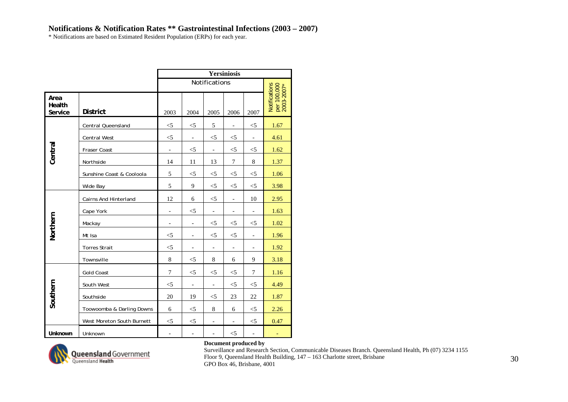\* Notifications are based on Estimated Resident Population (ERPs) for each year.

|                           |                              |                          |                          |                              | <b>Yersiniosis</b>       |                              |                                            |
|---------------------------|------------------------------|--------------------------|--------------------------|------------------------------|--------------------------|------------------------------|--------------------------------------------|
|                           |                              |                          |                          | Notifications                |                          |                              |                                            |
| Area<br>Health<br>Service | <b>District</b>              | 2003                     | 2004                     | 2005                         | 2006                     | 2007                         | Notifications<br>per 100,000<br>2003-2007* |
|                           | <b>Central Queensland</b>    | $< \! 5$                 | $<$ 5                    | 5                            | $\qquad \qquad -$        | $<$ 5                        | 1.67                                       |
|                           | <b>Central West</b>          | $<$ 5                    | $\blacksquare$           | $<$ 5                        | $<$ 5                    | $\blacksquare$               | 4.61                                       |
| Central                   | Fraser Coast                 | $\overline{\phantom{a}}$ | $<$ 5                    | $\overline{\phantom{a}}$     | $<$ 5                    | $<$ 5                        | 1.62                                       |
|                           | Northside                    | 14                       | 11                       | 13                           | 7                        | 8                            | 1.37                                       |
|                           | Sunshine Coast & Cooloola    | 5                        | $<$ 5                    | $<$ 5                        | $<$ 5                    | $<$ 5                        | 1.06                                       |
|                           | Wide Bay                     | 5                        | 9                        | $<$ 5                        | $<$ 5                    | $<$ 5                        | 3.98                                       |
|                           | <b>Cairns And Hinterland</b> | 12                       | 6                        | $<$ 5                        | $\blacksquare$           | 10                           | 2.95                                       |
|                           | Cape York                    |                          | $<$ 5                    | $\qquad \qquad \blacksquare$ | $\overline{\phantom{0}}$ | $\overline{\phantom{a}}$     | 1.63                                       |
| Northern                  | Mackay                       | $\overline{\phantom{0}}$ | $\overline{\phantom{a}}$ | $<$ 5                        | $<$ 5                    | $<$ 5                        | 1.02                                       |
|                           | Mt Isa                       | $<$ 5                    | $\blacksquare$           | $<$ 5                        | $<$ 5                    | $\overline{a}$               | 1.96                                       |
|                           | <b>Torres Strait</b>         | $<$ 5                    | $\overline{\phantom{a}}$ | $\overline{\phantom{m}}$     | $\qquad \qquad -$        | $\qquad \qquad \blacksquare$ | 1.92                                       |
|                           | Townsville                   | $8\,$                    | $<$ 5                    | 8                            | 6                        | 9                            | 3.18                                       |
|                           | <b>Gold Coast</b>            | $\overline{7}$           | $<$ 5                    | $<$ 5                        | $<$ 5                    | $\overline{7}$               | 1.16                                       |
|                           | South West                   | $<$ 5                    | $\overline{\phantom{a}}$ | $\overline{\phantom{a}}$     | $<$ 5                    | $<$ 5                        | 4.49                                       |
| Southern                  | Southside                    | 20                       | 19                       | $<$ 5                        | 23                       | 22                           | 1.87                                       |
|                           | Toowoomba & Darling Downs    | 6                        | $<$ 5                    | 8                            | 6                        | $\leq$ 5                     | 2.26                                       |
|                           | West Moreton South Burnett   | $<$ 5                    | $<$ 5                    | $\overline{\phantom{a}}$     | $\overline{\phantom{a}}$ | $<$ 5                        | 0.47                                       |
| Unknown                   | Unknown                      |                          | $\overline{\phantom{a}}$ | $\overline{\phantom{0}}$     | $<$ 5                    | $\blacksquare$               | $\overline{\phantom{a}}$                   |



### **Document produced by**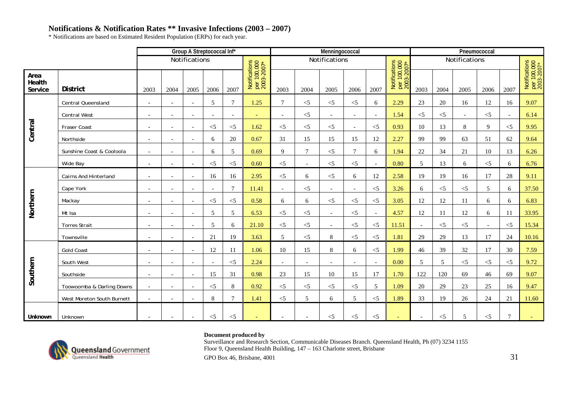\* Notifications are based on Estimated Resident Population (ERPs) for each year.

|                           |                            |                          |                              |                          | Group A Streptococcal Inf* |                          |                                            |                          |                          | Menningococcal           |                          |          |                                            |                          |          |                          | Pneumococcal   |                 |                                            |
|---------------------------|----------------------------|--------------------------|------------------------------|--------------------------|----------------------------|--------------------------|--------------------------------------------|--------------------------|--------------------------|--------------------------|--------------------------|----------|--------------------------------------------|--------------------------|----------|--------------------------|----------------|-----------------|--------------------------------------------|
|                           |                            |                          |                              | Notifications            |                            |                          |                                            |                          |                          | Notifications            |                          |          |                                            |                          |          | Notifications            |                |                 |                                            |
| Area<br>Health<br>Service | <b>District</b>            | 2003                     | 2004                         | 2005                     | 2006                       | 2007                     | Notifications<br>per 100,000<br>2003-2007* | 2003                     | 2004                     | 2005                     | 2006                     | 2007     | Notifications<br>per 100,000<br>2003-2007* | 2003                     | 2004     | 2005                     | 2006           | 2007            | Notifications<br>per 100,000<br>2003-2007* |
|                           | Central Queensland         | $\overline{\phantom{a}}$ | $\overline{\phantom{a}}$     | $\overline{\phantom{a}}$ | 5                          | $\overline{7}$           | 1.25                                       | $\tau$                   | $\leq$ 5                 | $<$ 5                    | $<$ 5                    | 6        | 2.29                                       | 23                       | 20       | 16                       | 12             | 16              | 9.07                                       |
|                           | <b>Central West</b>        | $\overline{\phantom{a}}$ | $\overline{\phantom{a}}$     | $\overline{\phantom{a}}$ | $\overline{\phantom{a}}$   | $\overline{\phantom{a}}$ | $\blacksquare$                             | $\overline{\phantom{a}}$ | $<$ 5                    | $\overline{\phantom{a}}$ | $\overline{\phantom{a}}$ |          | 1.54                                       | $\leq$ 5                 | $<$ 5    | $\overline{\phantom{a}}$ | $<$ 5          | $\sim$          | 6.14                                       |
| Central                   | Fraser Coast               | $\overline{\phantom{a}}$ | $\overline{\phantom{a}}$     | $\overline{\phantom{a}}$ | $<$ 5                      | $<$ 5                    | 1.62                                       | $\leq$ 5                 | $<$ 5                    | $<$ 5                    | $\overline{\phantom{a}}$ | $<$ 5    | 0.93                                       | 10                       | 13       | 8                        | 9              | $< 5$           | 9.95                                       |
|                           | Northside                  | $\overline{\phantom{a}}$ | $\overline{\phantom{a}}$     | $\overline{\phantom{a}}$ | 6                          | 20                       | 0.67                                       | 31                       | 15                       | 15                       | 15                       | 12       | 2.27                                       | 99                       | 99       | 63                       | 51             | 62              | 9.64                                       |
|                           | Sunshine Coast & Cooloola  | $\overline{\phantom{a}}$ | $\overline{\phantom{a}}$     | $\overline{\phantom{a}}$ | 6                          | 5                        | 0.69                                       | $\mathbf{Q}$             | $\tau$                   | $<$ 5                    | $\tau$                   | 6        | 1.94                                       | 22                       | 34       | 21                       | 10             | 13              | 6.26                                       |
|                           | Wide Bay                   | $\overline{\phantom{a}}$ | $\overline{\phantom{0}}$     | $\overline{\phantom{a}}$ | $<$ 5                      | $<$ 5                    | 0.60                                       | $\leq$ 5                 | $\overline{\phantom{a}}$ | $<$ 5                    | $< 5$                    |          | 0.80                                       | 5                        | 13       | 6                        | $<$ 5          | 6               | 6.76                                       |
|                           | Cairns And Hinterland      | $\overline{\phantom{a}}$ | $\overline{\phantom{a}}$     | $\overline{\phantom{a}}$ | 16                         | 16                       | 2.95                                       | $\leq$ 5                 | 6                        | $<$ 5                    | 6                        | 12       | 2.58                                       | 19                       | 19       | 16                       | 17             | 28              | 9.11                                       |
|                           | Cape York                  | $\overline{\phantom{a}}$ | $\overline{\phantom{a}}$     | $\overline{\phantom{a}}$ | $\overline{\phantom{a}}$   | $\overline{7}$           | 11.41                                      | $\sim$                   | $<$ 5                    | $\overline{\phantom{a}}$ |                          | $\leq$ 5 | 3.26                                       | 6                        | $\leq$ 5 | $<$ 5                    | 5              | 6               | 37.50                                      |
| Northern                  | Mackay                     | $\equiv$                 | $\overline{\phantom{a}}$     | $\overline{\phantom{0}}$ | $<$ 5                      | $\leq$ 5                 | 0.58                                       | 6                        | 6                        | $<$ 5                    | $< 5$                    | $<$ 5    | 3.05                                       | 12                       | 12       | 11                       | 6              | 6               | 6.83                                       |
|                           | Mt Isa                     | $\overline{\phantom{a}}$ | $\overline{\phantom{a}}$     | $\overline{\phantom{a}}$ | 5                          | 5                        | 6.53                                       | $\leq$ 5                 | $<$ 5                    | $\overline{\phantom{a}}$ | $<$ 5                    |          | 4.57                                       | 12                       | 11       | 12                       | 6              | 11              | 33.95                                      |
|                           | <b>Torres Strait</b>       | $\overline{\phantom{a}}$ | $\overline{\phantom{a}}$     | $\overline{\phantom{a}}$ | 5                          | 6                        | 21.10                                      | $\leq$ 5                 | $<$ 5                    | $\sim$                   | $<$ 5                    | $\leq$ 5 | 11.51                                      | $\overline{\phantom{a}}$ | $\leq$ 5 | $<$ 5                    | $\overline{a}$ | $<$ 5           | 15.34                                      |
|                           | Townsville                 | $\overline{a}$           | $\overline{\phantom{a}}$     | $\overline{\phantom{a}}$ | 21                         | 19                       | 3.63                                       | 5                        | $<$ 5                    | $\,8\,$                  | $<$ 5                    | $<$ 5    | 1.81                                       | 29                       | 29       | 13                       | 17             | 24              | 10.16                                      |
|                           | <b>Gold Coast</b>          | $\overline{\phantom{a}}$ | $\overline{\phantom{a}}$     | $\overline{\phantom{a}}$ | 12                         | 11                       | 1.06                                       | 10                       | 15                       | $8\,$                    | 6                        | $\leq$ 5 | 1.99                                       | 46                       | 39       | 32                       | 17             | 30              | 7.59                                       |
|                           | South West                 | $\overline{\phantom{a}}$ | $\overline{\phantom{a}}$     | $\overline{\phantom{a}}$ | $\overline{\phantom{a}}$   | $<$ 5                    | 2.24                                       | $\overline{\phantom{a}}$ | $\blacksquare$           | $\overline{\phantom{a}}$ | $\overline{\phantom{a}}$ |          | 0.00                                       | 5                        | 5        | $<$ 5                    | $\leq$         | $< 5$           | 9.72                                       |
| Southern                  | Southside                  | $\overline{a}$           | $\overline{\phantom{a}}$     | $\overline{a}$           | 15                         | 31                       | 0.98                                       | 23                       | 15                       | 10                       | 15                       | 17       | 1.70                                       | 122                      | 120      | 69                       | 46             | 69              | 9.07                                       |
|                           | Toowoomba & Darling Downs  | $\sim$                   | $\overline{\phantom{a}}$     | $\overline{\phantom{a}}$ | $\leq$ 5                   | 8                        | 0.92                                       | $\leq$ 5                 | $\leq$ 5                 | $<$ 5                    | $\leq$ 5                 | 5        | 1.09                                       | 20                       | 29       | 23                       | 25             | 16              | 9.47                                       |
|                           | West Moreton South Burnett | $\overline{\phantom{a}}$ | $7\phantom{.0}$<br>8<br>1.41 |                          |                            |                          |                                            | $\leq$ 5                 | 5                        | 6                        | 5                        | $<$ 5    | 1.89                                       | 33                       | 19       | 26                       | 24             | 21              | 11.60                                      |
| Unknown                   | Unknown                    | $\overline{\phantom{a}}$ | $\overline{\phantom{a}}$     | $\overline{\phantom{a}}$ | $<$ 5                      | $<$ 5                    |                                            | $\overline{\phantom{a}}$ | $\overline{\phantom{a}}$ | $<$ 5                    | $< 5$                    | $<$ 5    | $\equiv$                                   |                          | $<$ 5    | 5                        | $< 5$          | $7\phantom{.0}$ |                                            |



### **Document produced by**

Surveillance and Research Section, Communicable Diseases Branch. Queensland Health, Ph (07) 3234 1155 Floor 9, Queensland Health Building, 147 – 163 Charlotte street, Brisbane

GPO Box 46, Brisbane,  $4001$  31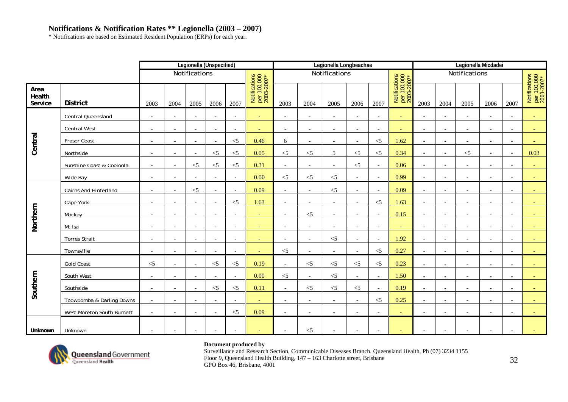# **Notifications & Notification Rates \*\* Legionella (2003 – 2007)**

\* Notifications are based on Estimated Resident Population (ERPs) for each year.

|                           |                            |                          |                          | Legionella (Unspecified) |                          |                          |                                            |                          |                          | Legionella Longbeachae   |                          |                          |                                            |                          |                          | Legionella Micdadei      |                          |                          |                                            |
|---------------------------|----------------------------|--------------------------|--------------------------|--------------------------|--------------------------|--------------------------|--------------------------------------------|--------------------------|--------------------------|--------------------------|--------------------------|--------------------------|--------------------------------------------|--------------------------|--------------------------|--------------------------|--------------------------|--------------------------|--------------------------------------------|
|                           |                            |                          |                          | Notifications            |                          |                          |                                            |                          |                          | Notifications            |                          |                          |                                            |                          |                          | Notifications            |                          |                          |                                            |
| Area<br>Health<br>Service | <b>District</b>            | 2003                     | 2004                     | 2005                     | 2006                     | 2007                     | Notifications<br>per 100,000<br>2003-2007* | 2003                     | 2004                     | 2005                     | 2006                     | 2007                     | Notifications<br>per 100,000<br>2003-2007* | 2003                     | 2004                     | 2005                     | 2006                     | 2007                     | Notifications<br>per 100,000<br>2003-2007* |
|                           | Central Queensland         | $\overline{\phantom{a}}$ | $\sim$                   | $\overline{\phantom{a}}$ | $\overline{\phantom{a}}$ | $\sim$                   | $\sim$                                     | $\overline{\phantom{a}}$ | $\overline{\phantom{a}}$ | $\overline{\phantom{a}}$ | $\overline{\phantom{a}}$ | $\overline{\phantom{a}}$ | $\sim$                                     | $\overline{\phantom{0}}$ | $\overline{\phantom{a}}$ | $\overline{\phantom{a}}$ | $\overline{\phantom{a}}$ | $\overline{\phantom{a}}$ |                                            |
|                           | Central West               | $\overline{\phantom{a}}$ | $\overline{\phantom{a}}$ | $\overline{\phantom{a}}$ | $\overline{\phantom{0}}$ | $\overline{\phantom{a}}$ | $\overline{\phantom{0}}$                   | $\overline{\phantom{a}}$ | $\overline{\phantom{a}}$ | $\overline{\phantom{a}}$ | $\overline{\phantom{a}}$ | $\overline{\phantom{a}}$ | $\sim$                                     | $\overline{\phantom{a}}$ | $\overline{\phantom{a}}$ | $\overline{\phantom{a}}$ | $\overline{\phantom{a}}$ | $\overline{\phantom{a}}$ |                                            |
| Central                   | Fraser Coast               | $\sim$                   | $\overline{a}$           | $\overline{\phantom{a}}$ | $\overline{\phantom{a}}$ | $<$ 5                    | 0.46                                       | 6                        | $\overline{\phantom{0}}$ | $\overline{\phantom{a}}$ | $\overline{a}$           | $<\!\!5$                 | 1.62                                       | $\overline{a}$           | $\overline{\phantom{a}}$ | $\overline{a}$           | $\overline{\phantom{a}}$ | $\overline{\phantom{a}}$ |                                            |
|                           | Northside                  | $\overline{\phantom{a}}$ | $\overline{\phantom{a}}$ | $\overline{\phantom{a}}$ | $<$ 5                    | $<$ 5                    | 0.05                                       | $<$ 5                    | $<\!\!5$                 | 5                        | $<$ 5                    | $<$ 5                    | 0.34                                       | $\overline{\phantom{0}}$ | $\overline{a}$           | $<$ 5                    | $\overline{\phantom{a}}$ | $\overline{\phantom{a}}$ | 0.03                                       |
|                           | Sunshine Coast & Cooloola  | $\overline{\phantom{a}}$ | $\sim$                   | $<\!\!5$                 | $<$ 5                    | $<$ 5                    | 0.31                                       | $\sim$                   | $\overline{\phantom{a}}$ | $\overline{\phantom{a}}$ | $<$ 5                    | $\overline{\phantom{a}}$ | 0.06                                       |                          |                          | $\overline{\phantom{a}}$ | $\overline{\phantom{a}}$ |                          |                                            |
|                           | Wide Bay                   | $\blacksquare$           | $\overline{a}$           | $\overline{a}$           |                          | $\bar{a}$                | 0.00                                       | $<$ 5                    | $<$ 5                    | $<$ 5                    | $\overline{a}$           | $\sim$                   | 0.99                                       |                          |                          |                          |                          |                          |                                            |
|                           | Cairns And Hinterland      | $\overline{\phantom{a}}$ | $\overline{\phantom{a}}$ | $< 5$                    | $\overline{\phantom{a}}$ | $\bar{a}$                | 0.09                                       | $\overline{\phantom{a}}$ | $\overline{\phantom{a}}$ | $<$ 5                    | $\overline{a}$           | $\overline{a}$           | 0.09                                       | $\overline{\phantom{a}}$ | $\blacksquare$           | $\overline{\phantom{a}}$ | $\overline{\phantom{a}}$ |                          |                                            |
|                           | Cape York                  | $\overline{\phantom{a}}$ | $\overline{\phantom{a}}$ | $\overline{\phantom{a}}$ | $\overline{\phantom{a}}$ | $<$ 5                    | 1.63                                       | $\overline{\phantom{a}}$ | $\overline{\phantom{a}}$ | $\overline{\phantom{a}}$ | $\overline{\phantom{a}}$ | $<$ 5                    | 1.63                                       | $\sim$                   | $\overline{\phantom{a}}$ | $\overline{\phantom{a}}$ | $\overline{\phantom{a}}$ | $\overline{\phantom{a}}$ |                                            |
|                           | Mackay                     | $\overline{\phantom{a}}$ | $\overline{\phantom{a}}$ | $\blacksquare$           |                          | $\overline{\phantom{a}}$ | $\overline{\phantom{a}}$                   | $\overline{\phantom{a}}$ | $<\!\!5$                 | $\overline{\phantom{a}}$ | $\overline{\phantom{a}}$ | $\overline{\phantom{a}}$ | 0.15                                       | $\overline{\phantom{a}}$ | $\overline{\phantom{a}}$ | $\overline{\phantom{a}}$ |                          | $\overline{\phantom{a}}$ |                                            |
| Northern                  | Mt Isa                     | $\overline{\phantom{a}}$ | $\overline{\phantom{a}}$ | $\overline{\phantom{a}}$ | $\overline{\phantom{a}}$ | $\overline{\phantom{a}}$ | $\sim$                                     | $\overline{\phantom{a}}$ | $\overline{\phantom{a}}$ | $\overline{\phantom{a}}$ | $\overline{\phantom{a}}$ | $\overline{\phantom{a}}$ | ٠                                          | $\overline{\phantom{a}}$ | $\overline{\phantom{a}}$ | $\overline{\phantom{a}}$ | $\overline{\phantom{a}}$ | $\overline{\phantom{a}}$ |                                            |
|                           | <b>Torres Strait</b>       | $\overline{\phantom{a}}$ | $\overline{\phantom{a}}$ | $\overline{\phantom{a}}$ | $\overline{\phantom{a}}$ | $\overline{\phantom{a}}$ | $\sim$                                     | $\overline{\phantom{a}}$ | $\overline{\phantom{a}}$ | $<$ 5                    | $\overline{\phantom{a}}$ | $\overline{\phantom{a}}$ | 1.92                                       | $\overline{\phantom{a}}$ | $\overline{\phantom{a}}$ | $\overline{\phantom{a}}$ | $\overline{\phantom{a}}$ | $\overline{\phantom{a}}$ |                                            |
|                           | Townsville                 | $\overline{\phantom{a}}$ | $\overline{a}$           | $\sim$                   |                          | $\overline{\phantom{a}}$ |                                            | $<$ 5                    |                          | $\overline{\phantom{a}}$ | $\overline{\phantom{a}}$ | $<\!\!5$                 | 0.27                                       |                          | $\overline{\phantom{a}}$ | $\overline{\phantom{a}}$ | $\overline{\phantom{a}}$ | $\overline{\phantom{a}}$ |                                            |
|                           | <b>Gold Coast</b>          | $<$ 5                    | $\overline{\phantom{a}}$ | $\overline{a}$           | $<$ 5                    | $<$ 5                    | 0.19                                       | $\sim$                   | $<$ 5                    | $<$ 5                    | $\leq$ 5                 | $<$ 5                    | 0.23                                       |                          | $\sim$                   | $\overline{a}$           | $\overline{\phantom{a}}$ |                          |                                            |
|                           | South West                 | $\overline{\phantom{a}}$ | $\overline{\phantom{a}}$ | $\overline{\phantom{a}}$ | $\sim$                   | $\sim$                   | 0.00                                       | $<$ 5                    | $\overline{\phantom{a}}$ | $<\!\!5$                 | $\overline{\phantom{a}}$ | $\overline{\phantom{a}}$ | 1.50                                       | $\overline{a}$           | $\overline{\phantom{a}}$ | $\overline{\phantom{a}}$ | $\overline{\phantom{a}}$ | $\overline{\phantom{a}}$ |                                            |
| Southern                  | Southside                  | $\overline{\phantom{a}}$ | $\overline{\phantom{a}}$ | $\overline{\phantom{a}}$ | $<$ 5                    | $<$ 5                    | 0.11                                       | $\overline{\phantom{a}}$ | $<\!\!5$                 | $<\!\!5$                 | $<$ 5                    | $\sim$                   | 0.19                                       | $\overline{\phantom{a}}$ | $\overline{\phantom{a}}$ | $\overline{\phantom{a}}$ | $\overline{\phantom{a}}$ | $\overline{\phantom{a}}$ |                                            |
|                           | Toowoomba & Darling Downs  | $\mathbf{r}$             | $\sim$                   | $\bar{a}$                |                          | $\bar{a}$                |                                            | $\sim$                   | $\overline{\phantom{a}}$ | $\sim$                   | $\overline{\phantom{a}}$ | $\leq$ 5                 | 0.25                                       | $\overline{a}$           | $\overline{\phantom{a}}$ | $\overline{\phantom{a}}$ | $\overline{\phantom{a}}$ |                          |                                            |
|                           | West Moreton South Burnett | $\sim$                   | $\overline{\phantom{a}}$ | $\bar{a}$                |                          | $<$ 5                    | 0.09                                       | $\sim$                   | $\overline{\phantom{0}}$ | $\overline{\phantom{a}}$ | $\overline{\phantom{a}}$ | $\overline{\phantom{0}}$ | $\overline{\phantom{a}}$                   | $\overline{\phantom{0}}$ | $\overline{\phantom{0}}$ | $\overline{\phantom{a}}$ | $\sim$                   | $\overline{\phantom{0}}$ |                                            |
| Unknown                   | Unknown                    | $\overline{\phantom{a}}$ | $\overline{\phantom{a}}$ | $\overline{\phantom{a}}$ |                          |                          |                                            |                          | $<$ 5                    | $\overline{\phantom{a}}$ | $\overline{\phantom{a}}$ | $\overline{\phantom{a}}$ | $\overline{\phantom{0}}$                   |                          |                          | $\overline{\phantom{a}}$ | $\overline{\phantom{a}}$ | $\overline{\phantom{a}}$ |                                            |



### **Document produced by**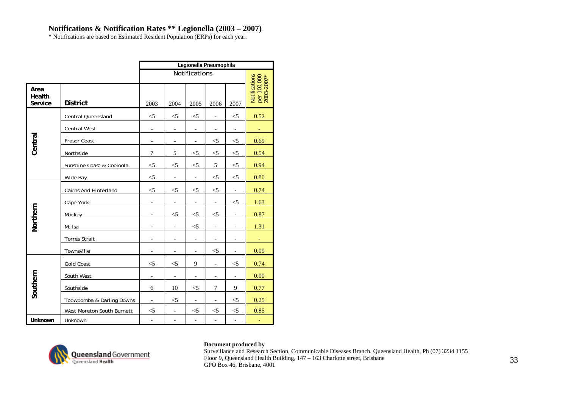# **Notifications & Notification Rates \*\* Legionella (2003 – 2007)**

\* Notifications are based on Estimated Resident Population (ERPs) for each year.

|                           |                              |                          |                          | Legionella Pneumophila       |                          |                              |                                            |
|---------------------------|------------------------------|--------------------------|--------------------------|------------------------------|--------------------------|------------------------------|--------------------------------------------|
|                           |                              |                          |                          | Notifications                |                          |                              |                                            |
| Area<br>Health<br>Service | <b>District</b>              | 2003                     | 2004                     | 2005                         | 2006                     | 2007                         | Notifications<br>per 100,000<br>2003-2007* |
|                           | <b>Central Queensland</b>    | $<$ 5                    | $<$ 5                    | $<$ 5                        | $\overline{a}$           | $<$ 5                        | 0.52                                       |
|                           | Central West                 | $\overline{\phantom{a}}$ | $\overline{\phantom{0}}$ | $\overline{a}$               | $\overline{a}$           | $\qquad \qquad \blacksquare$ | ÷                                          |
| Central                   | Fraser Coast                 | $\overline{\phantom{a}}$ | $\overline{\phantom{a}}$ | $\overline{a}$               | $<$ 5                    | $<$ 5                        | 0.69                                       |
|                           | Northside                    | $\overline{7}$           | 5                        | $<$ 5                        | $<$ 5                    | $<$ 5                        | 0.54                                       |
|                           | Sunshine Coast & Cooloola    | $<$ 5                    | $<$ 5                    | $<$ 5                        | 5                        | $<$ 5                        | 0.94                                       |
|                           | Wide Bay                     | $<$ 5                    | $\overline{\phantom{a}}$ | $\overline{\phantom{a}}$     | $<$ 5                    | $<$ 5                        | 0.80                                       |
|                           | <b>Cairns And Hinterland</b> | $<$ 5                    | $<$ 5                    | $<$ 5                        | $<$ 5                    | $\overline{\phantom{a}}$     | 0.74                                       |
|                           | Cape York                    | $\blacksquare$           | $\overline{\phantom{a}}$ | $\overline{\phantom{a}}$     | $\blacksquare$           | $<$ 5                        | 1.63                                       |
|                           | Mackay                       | $\overline{\phantom{a}}$ | $<$ 5                    | $<$ 5                        | $<$ 5                    |                              | 0.87                                       |
| Northern                  | Mt Isa                       | $\overline{\phantom{a}}$ | $\overline{\phantom{a}}$ | $<$ 5                        | $\overline{\phantom{a}}$ | $\overline{\phantom{a}}$     | 1.31                                       |
|                           | <b>Torres Strait</b>         |                          | $\overline{\phantom{a}}$ | $\qquad \qquad \blacksquare$ | $\qquad \qquad -$        | $\overline{\phantom{a}}$     |                                            |
|                           | Townsville                   | $\overline{\phantom{a}}$ | $\overline{\phantom{a}}$ | $\overline{\phantom{a}}$     | $<$ 5                    | $\overline{\phantom{a}}$     | 0.09                                       |
|                           | <b>Gold Coast</b>            | $<$ 5                    | $<$ 5                    | 9                            | $\overline{a}$           | $<$ 5                        | 0.74                                       |
|                           | South West                   | $\overline{\phantom{a}}$ | $\overline{\phantom{a}}$ | $\overline{\phantom{a}}$     | $\overline{\phantom{a}}$ | $\overline{\phantom{a}}$     | 0.00                                       |
| Southern                  | Southside                    | 6                        | 10                       | $<$ 5                        | 7                        | 9                            | 0.77                                       |
|                           | Toowoomba & Darling Downs    | $\overline{\phantom{a}}$ | $<$ 5                    | $\qquad \qquad -$            | $\qquad \qquad -$        | $<$ 5                        | 0.25                                       |
|                           | West Moreton South Burnett   | $<$ 5                    | $\overline{\phantom{a}}$ | $<$ 5                        | $<$ 5                    | $<$ 5                        | 0.85                                       |
| Unknown                   | Unknown                      | $\frac{1}{2}$            | $\overline{\phantom{a}}$ | $\blacksquare$               | $\overline{a}$           | $\overline{a}$               |                                            |



### **Document produced by**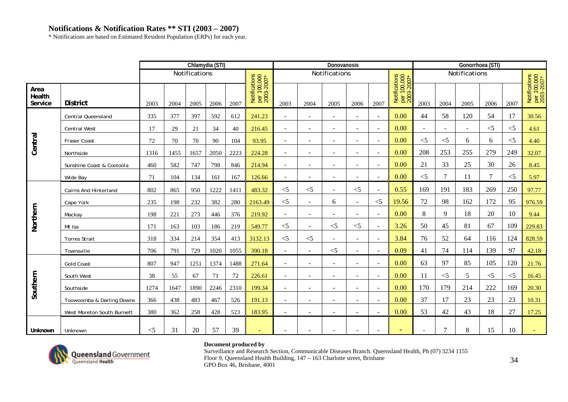\* Notifications are based on Estimated Resident Population (ERPs) for each year.

|                           |                            |          |      |               | Chlamydia (STI) |      |                                            |                |                          | Donovanosis              |                          |                          |                                            |                |                          | Gonorrhoea (STI)         |          |          |                                            |
|---------------------------|----------------------------|----------|------|---------------|-----------------|------|--------------------------------------------|----------------|--------------------------|--------------------------|--------------------------|--------------------------|--------------------------------------------|----------------|--------------------------|--------------------------|----------|----------|--------------------------------------------|
|                           |                            |          |      | Notifications |                 |      |                                            |                |                          | Notifications            |                          |                          |                                            |                |                          | Notifications            |          |          |                                            |
| Area<br>Health<br>Service | <b>District</b>            | 2003     | 2004 | 2005          | 2006            | 2007 | Notifications<br>per 100,000<br>2003-2007* | 2003           | 2004                     | 2005                     | 2006                     | 2007                     | Notifications<br>per 100,000<br>2003-2007* | 2003           | 2004                     | 2005                     | 2006     | 2007     | Notifications<br>per 100,000<br>2003-2007* |
|                           | <b>Central Queensland</b>  | 335      | 377  | 397           | 592             | 612  | 241.23                                     | $\sim$         | $\sim$                   | $\sim$                   | $\overline{a}$           | $\sim$                   | 0.00                                       | 44             | 58                       | 120                      | 54       | 17       | 30.56                                      |
|                           | <b>Central West</b>        | 17       | 29   | 21            | 34              | 40   | 216.45                                     | $\sim$         | $\sim$                   | $\sim$                   | $\overline{\phantom{a}}$ | $\sim$                   | 0.00                                       | $\blacksquare$ | $\overline{\phantom{a}}$ | $\overline{\phantom{a}}$ | $\leq$ 5 | $<$ 5    | 4.61                                       |
| Central                   | Fraser Coast               | 72       | 70   | 70            | 90              | 104  | 93.95                                      | $\sim$         |                          | $\sim$                   | ÷,                       | $\sim$                   | 0.00                                       | $<$ 5          | $<$ 5                    | 6                        | 6        | $<$ 5    | 4.40                                       |
|                           | Northside                  | 1316     | 1455 | 1657          | 2050            | 2223 | 224.28                                     | $\sim$         | $\sim$                   | $\sim$                   | $\overline{\phantom{a}}$ | $\sim$                   | 0.00                                       | 208            | 253                      | 255                      | 279      | 249      | 32.07                                      |
|                           | Sunshine Coast & Cooloola  | 460      | 582  | 747           | 798             | 846  | 214.94                                     | $\sim$         | $\sim$                   | $\overline{\phantom{a}}$ | $\overline{\phantom{a}}$ | $\sim$                   | 0.00                                       | 21             | 33                       | 25                       | 30       | 26       | 8.45                                       |
|                           | Wide Bay                   | 71       | 104  | 134           | 161             | 167  | 126.66                                     |                |                          |                          |                          | $\sim$                   | 0.00                                       | $\leq 5$       | $\tau$                   | 11                       | 7        | $\leq$ 5 | 5.97                                       |
|                           | Cairns And Hinterland      | 802      | 865  | 950           | 1222            | 1411 | 483.32                                     | $<$ 5          | $\leq$ 5                 | $\sim$                   | $<$ 5                    | $\sim$                   | 0.55                                       | 169            | 191                      | 183                      | 269      | 250      | 97.77                                      |
|                           | Cape York                  | 235      | 198  | 232           | 382             | 280  | 2163.49                                    | $<$ 5          | $\sim$                   | 6                        | $\sim$                   | $<$ 5                    | 19.56                                      | 72             | 98                       | 162                      | 172      | 95       | 976.59                                     |
|                           | Mackay                     | 198      | 221  | 273           | 446             | 376  | 219.92                                     | $\blacksquare$ | $\overline{\phantom{a}}$ | $\overline{\phantom{a}}$ | $\overline{\phantom{a}}$ | $\blacksquare$           | 0.00                                       | 8              | 9                        | 18                       | 20       | 10       | 9.44                                       |
| Northern                  | Mt Isa                     | 171      | 163  | 103           | 186             | 219  | 549.77                                     | $<$ 5          | $\sim$                   | $<$ 5                    | $<$ 5                    | $\blacksquare$           | 3.26                                       | 50             | 45                       | 81                       | 67       | 109      | 229.83                                     |
|                           | <b>Torres Strait</b>       | 318      | 334  | 214           | 354             | 413  | 3132.13                                    | $<$ 5          | $\leq$ 5                 | $\sim$                   | $\sim$                   | $\sim$                   | 3.84                                       | 76             | 52                       | 64                       | 116      | 124      | 828.59                                     |
|                           | Townsville                 | 706      | 791  | 729           | 1020            | 1055 | 390.18                                     |                |                          | $<$ 5                    | $\overline{a}$           | $\overline{\phantom{a}}$ | 0.09                                       | 41             | 74                       | 114                      | 139      | 97       | 42.18                                      |
|                           | <b>Gold Coast</b>          | 807      | 947  | 1251          | 1374            | 1488 | 271.64                                     | $\sim$         |                          | $\sim$                   |                          | $\overline{\phantom{a}}$ | 0.00                                       | 63             | 97                       | 85                       | 105      | 120      | 21.76                                      |
|                           | South West                 | 38       | 55   | 67            | 71              | 72   | 226.61                                     | $\sim$         | $\overline{\phantom{a}}$ | $\overline{\phantom{a}}$ | $\blacksquare$           | $\blacksquare$           | 0.00                                       | 11             | $<$ 5                    | 5                        | $<$ 5    | $<$ 5    | 16.45                                      |
| Southern                  | Southside                  | 1274     | 1647 | 1890          | 2246            | 2310 | 199.34                                     | $\sim$         | $\sim$                   | $\sim$                   | $\overline{\phantom{a}}$ | $\sim$                   | 0.00                                       | 170            | 179                      | 214                      | 222      | 169      | 20.30                                      |
|                           | Toowoomba & Darling Downs  | 366      | 438  | 483           | 467             | 526  | 191.13                                     | $\sim$         |                          | $\overline{\phantom{a}}$ | $\overline{a}$           | $\sim$                   | 0.00                                       | 37             | 17                       | 23                       | 23       | 23       | 10.31                                      |
|                           | West Moreton South Burnett | 380      | 362  | 258           | 428             | 523  | 183.95                                     |                |                          |                          |                          | ÷.                       | 0.00                                       | 53             | 42                       | 43                       | 18       | 27       | 17.25                                      |
| Unknown                   | Unknown                    | $\leq$ 5 | 31   | 20            | 57              | 39   | $\overline{\phantom{a}}$                   |                |                          |                          |                          | $\overline{\phantom{a}}$ | $\overline{\phantom{a}}$                   |                | $\overline{7}$           | 8                        | 15       | 10       | $\sim$                                     |



### **Document produced by**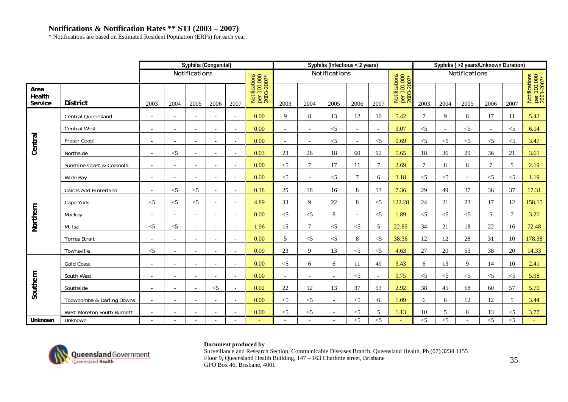\* Notifications are based on Estimated Resident Population (ERPs) for each year.

|                           |                              |                          |                          | Syphilis (Congenital)    |                          |                          |                                            |                          |                          | Syphilis (Infectious < 2 years) |                          |                          |                                            |        |                          | Syphilis (>2 years/Unknown Duration) |                          |          |                                            |
|---------------------------|------------------------------|--------------------------|--------------------------|--------------------------|--------------------------|--------------------------|--------------------------------------------|--------------------------|--------------------------|---------------------------------|--------------------------|--------------------------|--------------------------------------------|--------|--------------------------|--------------------------------------|--------------------------|----------|--------------------------------------------|
|                           |                              |                          |                          | Notifications            |                          |                          |                                            |                          |                          | Notifications                   |                          |                          |                                            |        |                          | Notifications                        |                          |          |                                            |
| Area<br>Health<br>Service | <b>District</b>              | 2003                     | 2004                     | 2005                     | 2006                     | 2007                     | Notifications<br>per 100,000<br>2003-2007* | 2003                     | 2004                     | 2005                            | 2006                     | 2007                     | Notifications<br>per 100,000<br>2003-2007* | 2003   | 2004                     | 2005                                 | 2006                     | 2007     | Notifications<br>per 100,000<br>2003-2007* |
|                           | <b>Central Queensland</b>    | $\overline{\phantom{0}}$ | $\overline{\phantom{a}}$ | $\overline{\phantom{a}}$ |                          | $\overline{\phantom{a}}$ | 0.00                                       | 9                        | $\,8\,$                  | 13                              | 12                       | 10                       | 5.42                                       | $\tau$ | 9                        | 8                                    | 17                       | 11       | 5.42                                       |
|                           | <b>Central West</b>          | $\overline{\phantom{a}}$ | $\overline{\phantom{a}}$ | $\overline{\phantom{a}}$ |                          | $\sim$                   | 0.00                                       | $\overline{\phantom{a}}$ | $\sim$                   | $<\!\!5$                        | $\overline{\phantom{a}}$ | $\overline{\phantom{a}}$ | 3.07                                       | $<$ 5  | $\overline{\phantom{a}}$ | $<$ 5                                | $\overline{\phantom{a}}$ | $\leq$ 5 | 6.14                                       |
| Central                   | Fraser Coast                 | $\overline{\phantom{a}}$ | $\overline{\phantom{a}}$ | $\overline{\phantom{a}}$ |                          | $\overline{\phantom{a}}$ | 0.00                                       | $\overline{\phantom{0}}$ | $\overline{\phantom{0}}$ | $<$ 5                           | $\overline{\phantom{0}}$ | $<$ 5                    | 0.69                                       | $<$ 5  | $<$ 5                    | $<$ 5                                | $<$ 5                    | $\leq$ 5 | 3.47                                       |
|                           | Northside                    | $\overline{\phantom{a}}$ | $<$ 5                    | $\overline{\phantom{a}}$ | $\overline{\phantom{a}}$ | $\overline{\phantom{a}}$ | 0.03                                       | 23                       | 26                       | 18                              | 60                       | 92                       | 5.65                                       | 18     | 36                       | 29                                   | 36                       | 21       | 3.61                                       |
|                           | Sunshine Coast & Cooloola    | $\overline{\phantom{a}}$ | $\overline{\phantom{a}}$ | $\sim$                   |                          | $\overline{\phantom{a}}$ | 0.00                                       | $<$ 5                    | $\tau$                   | 17                              | 11                       | $\overline{7}$           | 2.69                                       | $\tau$ | 8                        | 8                                    | $\overline{7}$           | 5        | 2.19                                       |
|                           | Wide Bay                     | $\overline{\phantom{a}}$ | $\overline{\phantom{a}}$ | $\overline{\phantom{a}}$ |                          | $\overline{\phantom{a}}$ | 0.00                                       | $<$ 5                    | $\overline{\phantom{a}}$ | $<$ 5                           | $\overline{7}$           | 6                        | 3.18                                       | $<$ 5  | $<$ 5                    | $\overline{a}$                       | $<$ 5                    | $\leq$ 5 | 1.19                                       |
|                           | <b>Cairns And Hinterland</b> | $\overline{\phantom{a}}$ | $<$ 5                    | $\leq$ 5                 |                          | $\overline{\phantom{a}}$ | 0.18                                       | 25                       | 18                       | 16                              | 8                        | 13                       | 7.36                                       | 29     | 49                       | 37                                   | 36                       | 37       | 17.31                                      |
|                           | Cape York                    | $\leq$ 5                 | $<$ 5                    | $<$ 5                    | $\sim$                   | $\overline{\phantom{a}}$ | 4.89                                       | 33                       | 9                        | $22\,$                          | 8                        | $<$ 5                    | 122.28                                     | 24     | 21                       | 23                                   | 17                       | 12       | 158.15                                     |
|                           | Mackay                       | $\overline{\phantom{a}}$ | $\overline{\phantom{a}}$ | $\overline{\phantom{a}}$ |                          | $\overline{\phantom{a}}$ | 0.00                                       | $<$ 5                    | $<$ 5                    | $8\,$                           | $\overline{\phantom{a}}$ | $<$ 5                    | 1.89                                       | $<$ 5  | $<$ 5                    | $<$ 5                                | 5                        | 7        | 3.20                                       |
| Northern                  | Mt Isa                       | $\leq$ 5                 | $<$ 5                    | $\overline{\phantom{a}}$ | $\overline{\phantom{a}}$ | $\overline{\phantom{a}}$ | 1.96                                       | 15                       | $\overline{7}$           | $<$ 5                           | $<$ 5                    | 5                        | 22.85                                      | 34     | 21                       | 18                                   | 22                       | 16       | 72.48                                      |
|                           | <b>Torres Strait</b>         | $\overline{\phantom{a}}$ |                          | $\overline{\phantom{a}}$ |                          | $\blacksquare$           | 0.00                                       | 5                        | $<$ 5                    | $<$ 5                           | 8                        | $\leq$ 5                 | 38.36                                      | 12     | 12                       | 28                                   | 31                       | 10       | 178.38                                     |
|                           | Townsville                   | $<$ 5                    |                          | $\overline{\phantom{a}}$ |                          | $\overline{\phantom{a}}$ | 0.09                                       | 23                       | 9                        | 13                              | $\leq$ 5                 | $<$ 5                    | 4.63                                       | 27     | 20                       | 53                                   | 38                       | 20       | 14.33                                      |
|                           | <b>Gold Coast</b>            |                          | $\overline{\phantom{a}}$ | $\blacksquare$           |                          |                          | 0.00                                       | $\leq$ 5                 | 6                        | 6                               | 11                       | 49                       | 3.43                                       | 6      | 13                       | 9                                    | 14                       | 10       | 2.41                                       |
|                           | South West                   | $\overline{\phantom{a}}$ | $\overline{\phantom{a}}$ | $\overline{\phantom{a}}$ |                          | $\sim$                   | 0.00                                       |                          |                          | $\overline{\phantom{a}}$        | $\leq$ 5                 | $\overline{\phantom{a}}$ | 0.75                                       | $<$ 5  | $<$ 5                    | $<$ 5                                | $< 5$                    | $\leq$ 5 | 5.98                                       |
| Southern                  | Southside                    | $\overline{\phantom{a}}$ | $\overline{\phantom{a}}$ | $\overline{a}$           | $\leq$ 5                 | $\sim$                   | 0.02                                       | 22                       | 12                       | 13                              | 37                       | 53                       | 2.92                                       | 38     | 45                       | 68                                   | 60                       | 57       | 5.70                                       |
|                           | Toowoomba & Darling Downs    | $\overline{\phantom{a}}$ | $\overline{a}$           | $\bar{a}$                | $\overline{\phantom{a}}$ | $\sim$                   | 0.00                                       | $<$ 5                    | $<$ 5                    | $\sim$                          | $\leq$ 5                 | 6                        | 1.09                                       | 6      | 6                        | 12                                   | 12                       | 5        | 3.44                                       |
|                           | West Moreton South Burnett   |                          |                          | $\overline{a}$           |                          |                          | 0.00                                       | $<$ 5                    | $<$ 5                    |                                 | $<$ 5                    | 5                        | 1.13                                       | 10     | 5                        | 8                                    | 13                       | $<$ 5    | 3.77                                       |
| Unknown                   | Unknown                      | $\overline{\phantom{a}}$ |                          | $\overline{\phantom{a}}$ |                          |                          |                                            |                          |                          | $\overline{\phantom{a}}$        | $<$ 5                    | $\overline{\leq}$        | $\equiv$                                   | $<$ 5  | $<$ 5                    |                                      | $< 5$                    | $\leq$ 5 |                                            |



### **Document produced by**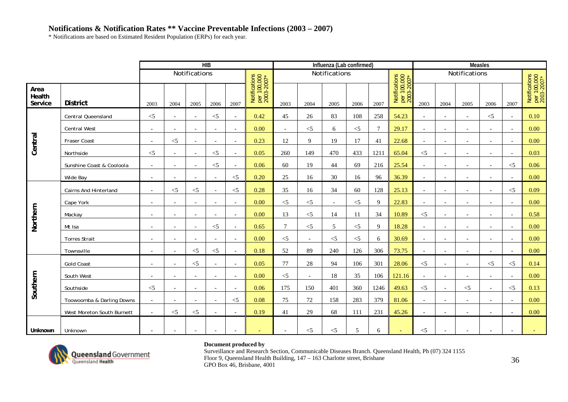\* Notifications are based on Estimated Resident Population (ERPs) for each year.

|                           |                            |                          |                          |                          | HIB                      |                          |                                            |                          |                          | Influenza (Lab confirmed) |          |                |                                            |                          |                          | <b>Measles</b>           |                          |                          |                                            |
|---------------------------|----------------------------|--------------------------|--------------------------|--------------------------|--------------------------|--------------------------|--------------------------------------------|--------------------------|--------------------------|---------------------------|----------|----------------|--------------------------------------------|--------------------------|--------------------------|--------------------------|--------------------------|--------------------------|--------------------------------------------|
|                           |                            |                          |                          | Notifications            |                          |                          |                                            |                          |                          | Notifications             |          |                |                                            |                          |                          | Notifications            |                          |                          |                                            |
| Area<br>Health<br>Service | <b>District</b>            | 2003                     | 2004                     | 2005                     | 2006                     | 2007                     | Notifications<br>per 100,000<br>2003-2007* | 2003                     | 2004                     | 2005                      | 2006     | 2007           | Notifications<br>per 100,000<br>2003-2007* | 2003                     | 2004                     | 2005                     | 2006                     | 2007                     | Notifications<br>per 100,000<br>2003-2007* |
|                           | Central Queensland         | $<$ 5                    | $\overline{\phantom{a}}$ | $\sim$                   | $<$ 5                    | $\sim$                   | 0.42                                       | 45                       | 26                       | 83                        | 108      | 258            | 54.23                                      | $\sim$                   | $\overline{\phantom{a}}$ | $\overline{\phantom{a}}$ | $\leq$ 5                 | $\overline{\phantom{a}}$ | 0.10                                       |
|                           | <b>Central West</b>        | $\overline{\phantom{a}}$ | $\overline{\phantom{a}}$ | $\overline{\phantom{a}}$ |                          | $\sim$                   | 0.00                                       | $\overline{\phantom{a}}$ | $<$ 5                    | $\sqrt{6}$                | $< 5$    | $\overline{7}$ | 29.17                                      | $\overline{\phantom{a}}$ |                          | $\blacksquare$           |                          |                          | 0.00                                       |
| Central                   | Fraser Coast               | $\overline{a}$           | $<$ 5                    | $\overline{\phantom{a}}$ | $\sim$                   | $\sim$                   | 0.23                                       | 12                       | 9                        | 19                        | 17       | 41             | 22.68                                      | $\overline{\phantom{a}}$ | $\overline{\phantom{a}}$ |                          |                          |                          | 0.00                                       |
|                           | Northside                  | $<$ 5                    | $\sim$                   | $\overline{\phantom{a}}$ | $<$ 5                    | $\sim$                   | 0.05                                       | 260                      | 149                      | 470                       | 433      | 1211           | 65.04                                      | $<$ 5                    | $\sim$                   | $\overline{\phantom{0}}$ | $\overline{\phantom{0}}$ | $\overline{\phantom{0}}$ | 0.03                                       |
|                           | Sunshine Coast & Cooloola  | $\overline{\phantom{a}}$ | $\overline{\phantom{a}}$ | $\overline{\phantom{a}}$ | $<$ 5                    | $\sim$                   | 0.06                                       | 60                       | 19                       | 44                        | 69       | 216            | 25.54                                      | $\overline{\phantom{a}}$ | $\sim$                   | $\overline{\phantom{a}}$ | $\overline{\phantom{a}}$ | $\leq$ 5                 | 0.06                                       |
|                           | Wide Bay                   | $\blacksquare$           | $\overline{\phantom{a}}$ | $\blacksquare$           |                          | $<$ 5                    | 0.20                                       | 25                       | 16                       | 30                        | 16       | 96             | 36.39                                      | $\overline{\phantom{a}}$ |                          |                          |                          |                          | 0.00                                       |
|                           | Cairns And Hinterland      | $\sim$                   | $<$ 5                    | $<$ 5                    | $\sim$                   | $<$ 5                    | 0.28                                       | 35                       | 16                       | 34                        | 60       | 128            | 25.13                                      | $\sim$                   | $\overline{\phantom{a}}$ | $\blacksquare$           |                          | $\leq$ 5                 | 0.09                                       |
|                           | Cape York                  | $\overline{\phantom{a}}$ | $\overline{\phantom{a}}$ | $\overline{\phantom{a}}$ | $\overline{\phantom{a}}$ | $\sim$                   | 0.00                                       | $\leq$ 5                 | $<$ 5                    | $\overline{\phantom{a}}$  | $\leq$ 5 | 9              | 22.83                                      | $\overline{\phantom{a}}$ | $\overline{\phantom{a}}$ | $\overline{\phantom{a}}$ | $\overline{\phantom{a}}$ | $\overline{\phantom{a}}$ | 0.00                                       |
|                           | Mackay                     | $\blacksquare$           | $\overline{\phantom{0}}$ | $\blacksquare$           |                          | $\sim$                   | 0.00                                       | 13                       | $<$ 5                    | 14                        | 11       | 34             | 10.89                                      | $<$ 5                    |                          |                          |                          |                          | 0.58                                       |
| Northern                  | Mt Isa                     | $\overline{\phantom{a}}$ | $\overline{\phantom{a}}$ | $\overline{\phantom{a}}$ | $<$ 5                    | $\sim$                   | 0.65                                       | $\tau$                   | $<$ 5                    | 5                         | $\leq$ 5 | 9              | 18.28                                      | $\overline{\phantom{a}}$ | $\overline{\phantom{a}}$ | $\overline{\phantom{a}}$ | $\overline{\phantom{a}}$ | $\overline{\phantom{0}}$ | 0.00                                       |
|                           | <b>Torres Strait</b>       | $\overline{\phantom{a}}$ | $\overline{\phantom{a}}$ | $\overline{\phantom{a}}$ | $\overline{\phantom{a}}$ | $ \,$                    | 0.00                                       | $<$ 5                    | $\overline{\phantom{a}}$ | $<$ 5                     | $<$ 5    | 6              | 30.69                                      | $\overline{\phantom{a}}$ | $\overline{\phantom{a}}$ | $\overline{\phantom{a}}$ | $\overline{\phantom{a}}$ | $\overline{\phantom{a}}$ | 0.00                                       |
|                           | Townsville                 | $\blacksquare$           | $\overline{\phantom{a}}$ | $<$ 5                    | $<$ 5                    | $\overline{\phantom{a}}$ | 0.18                                       | 52                       | 89                       | 240                       | 126      | 306            | 73.75                                      | $\overline{\phantom{a}}$ |                          | $\overline{\phantom{a}}$ |                          | $\overline{\phantom{a}}$ | 0.00                                       |
|                           | <b>Gold Coast</b>          | $\overline{a}$           | $\overline{\phantom{a}}$ | $<$ 5                    | $\overline{a}$           | $\sim$                   | 0.05                                       | 77                       | 28                       | 94                        | 106      | 301            | 28.06                                      | $<$ 5                    | $\sim$                   | $\overline{\phantom{a}}$ | $<$ 5                    | $\leq$ 5                 | 0.14                                       |
|                           | South West                 | $\qquad \qquad -$        | $\overline{\phantom{a}}$ | $\overline{\phantom{a}}$ | $\overline{\phantom{0}}$ | $\overline{\phantom{a}}$ | 0.00                                       | $\leq$ 5                 | $\overline{\phantom{a}}$ | 18                        | 35       | 106            | 121.16                                     | $\overline{\phantom{a}}$ | $\overline{\phantom{a}}$ | $\overline{\phantom{a}}$ |                          | $\overline{a}$           | 0.00                                       |
| Southern                  | Southside                  | $<$ 5                    | $\overline{\phantom{a}}$ | $\overline{\phantom{a}}$ | $\overline{\phantom{a}}$ | $ \,$                    | 0.06                                       | 175                      | 150                      | 401                       | 360      | 1246           | 49.63                                      | $<$ 5                    | $\overline{\phantom{a}}$ | $<$ 5                    | $\overline{\phantom{a}}$ | $\leq$ 5                 | 0.13                                       |
|                           | Toowoomba & Darling Downs  | $\sim$                   | $\overline{a}$           | $\overline{a}$           | $\sim$                   | $<$ 5                    | 0.08                                       | 75                       | 72                       | 158                       | 283      | 379            | 81.06                                      | $\sim$                   |                          | $\overline{a}$           |                          |                          | 0.00                                       |
|                           | West Moreton South Burnett | $\sim$                   | $<$ 5                    | $<$ 5                    |                          | $\sim$                   | 0.19                                       | 41                       | 29                       | 68                        | 111      | 231            | 45.26                                      | $\overline{\phantom{a}}$ |                          | $\overline{\phantom{a}}$ | $\overline{\phantom{a}}$ | $\overline{\phantom{a}}$ | 0.00                                       |
| Unknown                   | Unknown                    | $\overline{\phantom{a}}$ | $\overline{\phantom{a}}$ | $\overline{\phantom{a}}$ |                          | $\overline{\phantom{a}}$ |                                            |                          | $<$ 5                    | $<$ 5                     | 5        | 6              | $\equiv$                                   | $<$ 5                    |                          | $\overline{\phantom{a}}$ |                          | $\overline{\phantom{a}}$ |                                            |



### **Document produced by**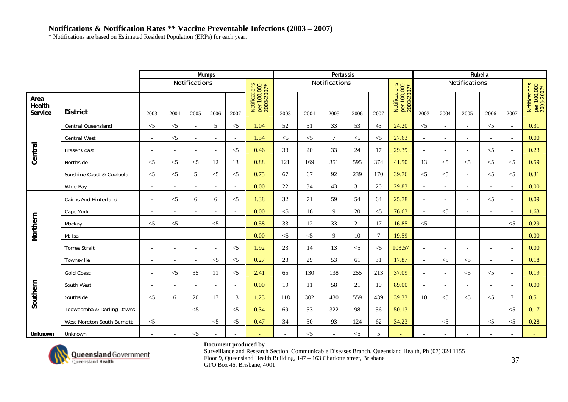# **Notifications & Notification Rates \*\* Vaccine Preventable Infections (2003 – 2007)**

\* Notifications are based on Estimated Resident Population (ERPs) for each year.

|                           |                              |                          |                          |                          | <b>Mumps</b>             |                          |                                            |          |       | Pertussis     |          |                |                                            |                          |                          |                          | Rubella                  |                          |                                            |
|---------------------------|------------------------------|--------------------------|--------------------------|--------------------------|--------------------------|--------------------------|--------------------------------------------|----------|-------|---------------|----------|----------------|--------------------------------------------|--------------------------|--------------------------|--------------------------|--------------------------|--------------------------|--------------------------------------------|
|                           |                              |                          |                          | Notifications            |                          |                          |                                            |          |       | Notifications |          |                |                                            |                          |                          | Notifications            |                          |                          |                                            |
| Area<br>Health<br>Service | <b>District</b>              | 2003                     | 2004                     | 2005                     | 2006                     | 2007                     | Notifications<br>per 100,000<br>2003-2007* | 2003     | 2004  | 2005          | 2006     | 2007           | Notifications<br>per 100,000<br>2003-2007* | 2003                     | 2004                     | 2005                     | 2006                     | 2007                     | Notifications<br>per 100,000<br>2003-2007* |
|                           | <b>Central Queensland</b>    | $< 5$                    | $<$ 5                    | $\overline{\phantom{a}}$ | 5                        | $<$ 5                    | 1.04                                       | 52       | 51    | 33            | 53       | 43             | 24.20                                      | $<$ 5                    |                          | $\overline{a}$           | $<$ 5                    |                          | 0.31                                       |
|                           | <b>Central West</b>          | $\sim$                   | $<$ 5                    | $\overline{\phantom{a}}$ | $\overline{a}$           | $\overline{\phantom{a}}$ | 1.54                                       | $<$ 5    | $<$ 5 | $\tau$        | $\leq$ 5 | $<$ 5          | 27.63                                      | $\overline{\phantom{a}}$ | $\overline{\phantom{a}}$ | $\overline{\phantom{a}}$ | $\overline{\phantom{a}}$ | $\overline{\phantom{0}}$ | 0.00                                       |
| Central                   | <b>Fraser Coast</b>          | $\overline{\phantom{a}}$ | $\overline{\phantom{a}}$ | $\overline{\phantom{a}}$ | $\overline{\phantom{0}}$ | $<$ 5                    | 0.46                                       | 33       | 20    | 33            | 24       | 17             | 29.39                                      | $\overline{\phantom{a}}$ | $\overline{\phantom{a}}$ | $\overline{\phantom{a}}$ | $\leq$ 5                 |                          | 0.23                                       |
|                           | Northside                    | $<\!\!5$                 | $<$ 5                    | $<$ 5                    | 12                       | 13                       | 0.88                                       | 121      | 169   | 351           | 595      | 374            | 41.50                                      | 13                       | $<\!\!5$                 | $<$ 5                    | $<$ 5                    | $<$ 5                    | 0.59                                       |
|                           | Sunshine Coast & Cooloola    | $<$ 5                    | $<$ 5                    | 5                        | $\leq$ 5                 | $<$ 5                    | 0.75                                       | 67       | 67    | 92            | 239      | 170            | 39.76                                      | $<$ 5                    | $<$ 5                    | $\overline{a}$           | $\leq$ 5                 | $\leq$ 5                 | 0.31                                       |
|                           | Wide Bay                     | $\overline{a}$           |                          | $\overline{a}$           |                          | $\sim$                   | 0.00                                       | 22       | 34    | 43            | 31       | 20             | 29.83                                      | $\overline{\phantom{a}}$ |                          |                          |                          |                          | 0.00                                       |
|                           | <b>Cairns And Hinterland</b> | $\sim$                   | $<$ 5                    | 6                        | 6                        | $<$ 5                    | 1.38                                       | 32       | 71    | 59            | 54       | 64             | 25.78                                      | $\sim$                   | $\sim$                   | $\overline{a}$           | $\leq$ 5                 |                          | 0.09                                       |
|                           | Cape York                    | $\overline{a}$           | $\overline{\phantom{a}}$ | $\overline{\phantom{0}}$ |                          | $\sim$                   | 0.00                                       | $<$ 5    | 16    | 9             | 20       | $<$ 5          | 76.63                                      | $\overline{\phantom{a}}$ | $<\!\!5$                 | $\overline{\phantom{a}}$ |                          | $\overline{\phantom{0}}$ | 1.63                                       |
|                           | Mackay                       | $<$ 5                    | $<$ 5                    | $\sim$                   | $\leq$ 5                 | $\sim$                   | 0.58                                       | 33       | 12    | 33            | 21       | 17             | 16.85                                      | $<$ 5                    | $\sim$                   | $\overline{\phantom{a}}$ | $\overline{a}$           | $\leq$ 5                 | 0.29                                       |
| Northern                  | Mt Isa                       | $\overline{\phantom{a}}$ | $\overline{\phantom{a}}$ | $\overline{\phantom{a}}$ | $\overline{\phantom{a}}$ | $\overline{\phantom{a}}$ | 0.00                                       | $\leq$ 5 | $<$ 5 | $\mathbf{Q}$  | 10       | $\overline{7}$ | 19.59                                      | $\overline{\phantom{a}}$ | $\overline{\phantom{a}}$ | $\overline{\phantom{a}}$ | $\overline{\phantom{a}}$ | $\overline{\phantom{a}}$ | 0.00                                       |
|                           | <b>Torres Strait</b>         | $\blacksquare$           |                          | $\overline{\phantom{a}}$ |                          | $<$ 5                    | 1.92                                       | 23       | 14    | 13            | $\leq$ 5 | $<$ 5          | 103.57                                     | $\overline{\phantom{a}}$ |                          |                          |                          |                          | 0.00                                       |
|                           | Townsville                   |                          |                          |                          | $\leq$ 5                 | $\leq$                   | 0.27                                       | 23       | 29    | 53            | 61       | 31             | 17.87                                      |                          | $\leq$ 5                 | $\leq$ 5                 |                          |                          | 0.18                                       |
|                           | <b>Gold Coast</b>            | $\bar{a}$                | $<$ 5                    | 35                       | 11                       | $\leq$ 5                 | 2.41                                       | 65       | 130   | 138           | 255      | 213            | 37.09                                      | $\sim$                   |                          | $<$ 5                    | $<$ 5                    |                          | 0.19                                       |
|                           | South West                   | $\overline{a}$           | $\overline{\phantom{a}}$ | $\sim$                   | $\overline{\phantom{a}}$ | $\overline{\phantom{a}}$ | 0.00                                       | 19       | 11    | 58            | 21       | 10             | 89.00                                      | $\sim$                   | $\sim$                   | $\overline{a}$           |                          |                          | 0.00                                       |
| Southern                  | Southside                    | $< 5$                    | 6                        | 20                       | 17                       | 13                       | 1.23                                       | 118      | 302   | 430           | 559      | 439            | 39.33                                      | 10                       | $<\!\!5$                 | $<$ 5                    | $<$ 5                    | $\mathcal{I}$            | 0.51                                       |
|                           | Toowoomba & Darling Downs    | $\overline{\phantom{a}}$ | $\overline{\phantom{a}}$ | $\leq$ 5                 | $\overline{a}$           | $\leq$ 5                 | 0.34                                       | 69       | 53    | 322           | 98       | 56             | 50.13                                      | $\sim$                   | $\overline{\phantom{a}}$ | $\overline{\phantom{a}}$ | $\overline{\phantom{a}}$ | $\leq$ 5                 | 0.17                                       |
|                           | West Moreton South Burnett   | $<$ 5                    | $\overline{\phantom{a}}$ | $\overline{\phantom{a}}$ | $<$ 5                    | $<$ 5                    | 0.47                                       | 34       | 50    | 93            | 124      | 62             | 34.23                                      | $\overline{\phantom{a}}$ | $< 5$                    | $\overline{\phantom{a}}$ | $<$ 5                    | $\leq$ 5                 | 0.28                                       |
| Unknown                   | Unknown                      | $\blacksquare$           | $\sim$                   | $<$ 5                    |                          |                          |                                            |          | $<$ 5 |               | $<$ 5    | 5              |                                            |                          |                          |                          |                          |                          |                                            |



### **Document produced by**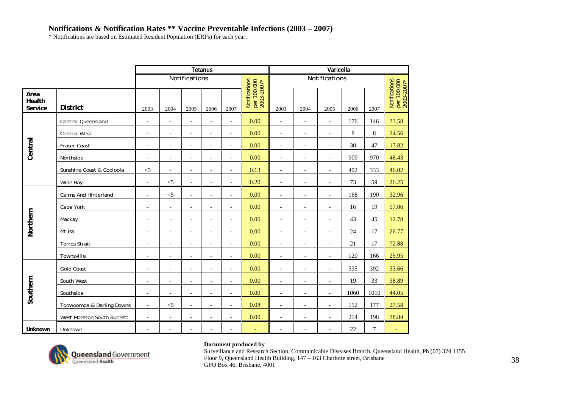# **Notifications & Notification Rates \*\* Vaccine Preventable Infections (2003 – 2007)**

\* Notifications are based on Estimated Resident Population (ERPs) for each year.

|                           |                            |                          |                          |                          | <b>Tetanus</b>           |                          |                                            |                          |                          | Varicella                |         |        |                                            |
|---------------------------|----------------------------|--------------------------|--------------------------|--------------------------|--------------------------|--------------------------|--------------------------------------------|--------------------------|--------------------------|--------------------------|---------|--------|--------------------------------------------|
|                           |                            |                          |                          | Notifications            |                          |                          |                                            |                          |                          | Notifications            |         |        |                                            |
| Area<br>Health<br>Service | <b>District</b>            | 2003                     | 2004                     | 2005                     | 2006                     | 2007                     | Notifications<br>per 100,000<br>2003-2007* | 2003                     | 2004                     | 2005                     | 2006    | 2007   | Notifications<br>per 100,000<br>2003-2007* |
|                           | Central Queensland         | $\overline{a}$           | $\overline{\phantom{a}}$ | $\overline{\phantom{a}}$ | $\overline{\phantom{a}}$ | $\overline{\phantom{a}}$ | 0.00                                       | $\overline{\phantom{a}}$ | $\overline{\phantom{a}}$ | $\overline{\phantom{a}}$ | 176     | 146    | 33.58                                      |
|                           | <b>Central West</b>        | $\overline{\phantom{a}}$ | $\overline{\phantom{a}}$ | $\overline{\phantom{a}}$ | $\overline{\phantom{a}}$ | $\overline{\phantom{a}}$ | 0.00                                       | $\overline{\phantom{a}}$ | $\overline{\phantom{a}}$ | $\overline{\phantom{a}}$ | $\,8\,$ | 8      | 24.56                                      |
| Central                   | Fraser Coast               | $\overline{\phantom{a}}$ | $\overline{\phantom{a}}$ | $\overline{a}$           | $\overline{\phantom{a}}$ | $\overline{\phantom{a}}$ | 0.00                                       | $\overline{\phantom{a}}$ | $\overline{\phantom{a}}$ | $\overline{\phantom{a}}$ | 30      | 47     | 17.82                                      |
|                           | Northside                  | $\overline{\phantom{a}}$ | $\overline{a}$           | $\overline{a}$           | $\overline{a}$           | $\overline{\phantom{a}}$ | 0.00                                       | $\overline{\phantom{a}}$ | $\overline{\phantom{a}}$ | $\overline{a}$           | 909     | 970    | 48.43                                      |
|                           | Sunshine Coast & Cooloola  | $<$ 5                    | $\overline{a}$           | $\overline{a}$           | $\overline{a}$           | $\overline{\phantom{a}}$ | 0.13                                       | $\blacksquare$           | $\overline{\phantom{a}}$ | $\overline{a}$           | 402     | 333    | 46.02                                      |
|                           | Wide Bay                   | $\overline{a}$           | $<$ 5                    | $\overline{a}$           | $\overline{a}$           | $\overline{a}$           | 0.20                                       | $\sim$                   | $\overline{a}$           | $\overline{a}$           | 73      | 59     | 26.25                                      |
|                           | Cairns And Hinterland      | $\overline{\phantom{a}}$ | $< 5$                    | $\overline{\phantom{a}}$ | $\overline{a}$           | $\overline{\phantom{a}}$ | 0.09                                       | $\overline{\phantom{a}}$ | $\overline{\phantom{a}}$ | $\overline{\phantom{a}}$ | 168     | 190    | 32.96                                      |
|                           | Cape York                  | $\overline{\phantom{a}}$ | $\overline{\phantom{a}}$ | $\overline{a}$           | $\overline{a}$           | $\overline{\phantom{a}}$ | 0.00                                       | $\overline{\phantom{a}}$ | $\overline{\phantom{a}}$ | $\overline{a}$           | 16      | 19     | 57.06                                      |
| Northern                  | Mackay                     | $\overline{\phantom{a}}$ | $\overline{\phantom{a}}$ | $\overline{\phantom{a}}$ | $\overline{\phantom{a}}$ | $\overline{\phantom{a}}$ | 0.00                                       | $\overline{\phantom{a}}$ | $\overline{\phantom{a}}$ | $\overline{\phantom{a}}$ | 43      | 45     | 12.78                                      |
|                           | Mt Isa                     | $\overline{\phantom{a}}$ | $\overline{\phantom{a}}$ | $\overline{\phantom{a}}$ | $\overline{a}$           | $\blacksquare$           | 0.00                                       | $\overline{a}$           | $\overline{\phantom{a}}$ | $\overline{\phantom{a}}$ | 24      | 17     | 26.77                                      |
|                           | <b>Torres Strait</b>       | $\overline{\phantom{a}}$ | $\overline{\phantom{a}}$ | $\overline{a}$           | $\overline{\phantom{a}}$ | $\blacksquare$           | 0.00                                       | $\overline{\phantom{a}}$ | $\overline{\phantom{a}}$ | $\overline{a}$           | 21      | 17     | 72.88                                      |
|                           | Townsville                 | $\overline{\phantom{a}}$ | $\overline{\phantom{a}}$ | $\overline{\phantom{a}}$ | $\overline{a}$           | $\overline{\phantom{a}}$ | 0.00                                       | $\overline{\phantom{a}}$ | $\overline{\phantom{a}}$ | $\overline{\phantom{a}}$ | 120     | 166    | 25.95                                      |
|                           | <b>Gold Coast</b>          |                          | $\overline{a}$           | $\overline{a}$           | $\overline{a}$           | $\overline{\phantom{a}}$ | 0.00                                       | $\overline{\phantom{a}}$ | $\overline{\phantom{a}}$ | $\overline{a}$           | 335     | 392    | 33.66                                      |
|                           | South West                 | $\overline{\phantom{a}}$ | $\overline{\phantom{a}}$ | $\overline{\phantom{a}}$ | $\overline{\phantom{a}}$ | $\overline{\phantom{a}}$ | 0.00                                       | $\overline{\phantom{a}}$ | $\overline{\phantom{a}}$ | $\overline{\phantom{a}}$ | 19      | 33     | 38.89                                      |
| Southern                  | Southside                  | $\overline{\phantom{a}}$ | $\overline{\phantom{a}}$ | $\overline{\phantom{a}}$ | $\overline{\phantom{a}}$ | $\overline{\phantom{a}}$ | 0.00                                       | $\overline{\phantom{a}}$ | $\overline{\phantom{a}}$ | $\overline{\phantom{a}}$ | 1060    | 1010   | 44.05                                      |
|                           | Toowoomba & Darling Downs  | $\overline{\phantom{a}}$ | $<$ 5                    | $\overline{\phantom{a}}$ | $\overline{\phantom{a}}$ | $\overline{\phantom{a}}$ | 0.08                                       | $\overline{\phantom{a}}$ | $\overline{\phantom{a}}$ | $\overline{\phantom{a}}$ | 152     | 177    | 27.58                                      |
|                           | West Moreton South Burnett | $\overline{a}$           | $\overline{a}$           | $\overline{a}$           | $\overline{\phantom{a}}$ | $\overline{\phantom{a}}$ | 0.00                                       | $\overline{\phantom{a}}$ | $\overline{\phantom{a}}$ | $\overline{a}$           | 214     | 198    | 38.84                                      |
| Unknown                   | Unknown                    |                          | $\overline{a}$           |                          | $\overline{a}$           |                          |                                            |                          |                          |                          | 22      | $\tau$ | ۳                                          |



### **Document produced by**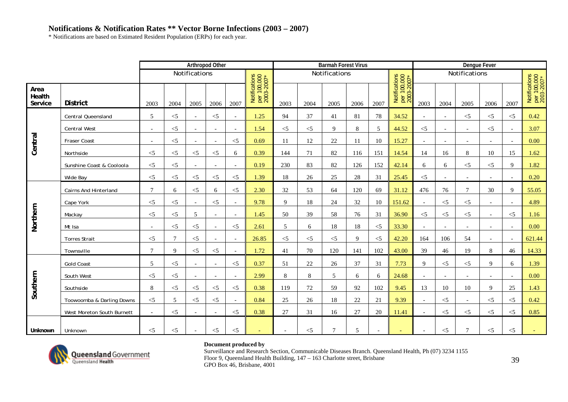\* Notifications are based on Estimated Resident Population (ERPs) for each year.

|                           |                              |           |                |                          | <b>Arthropod Other</b>   |                          |                                            |                          |        | <b>Barmah Forest Virus</b> |      |                          |                                            |                          |                          | <b>Dengue Fever</b>      |                          |                          |                                            |
|---------------------------|------------------------------|-----------|----------------|--------------------------|--------------------------|--------------------------|--------------------------------------------|--------------------------|--------|----------------------------|------|--------------------------|--------------------------------------------|--------------------------|--------------------------|--------------------------|--------------------------|--------------------------|--------------------------------------------|
|                           |                              |           |                | Notifications            |                          |                          |                                            |                          |        | Notifications              |      |                          |                                            |                          |                          | Notifications            |                          |                          |                                            |
| Area<br>Health<br>Service | <b>District</b>              | 2003      | 2004           | 2005                     | 2006                     | 2007                     | Notifications<br>per 100,000<br>2003-2007* | 2003                     | 2004   | 2005                       | 2006 | 2007                     | Notifications<br>per 100,000<br>2003-2007* | 2003                     | 2004                     | 2005                     | 2006                     | 2007                     | Notifications<br>per 100,000<br>2003-2007* |
|                           | <b>Central Queensland</b>    | 5         | $<$ 5          | $\overline{\phantom{a}}$ | $<$ 5                    | $\sim$                   | 1.25                                       | 94                       | 37     | 41                         | 81   | 78                       | 34.52                                      | $\sim$                   | $\overline{\phantom{a}}$ | $\leq$ 5                 | $\leq$ 5                 | $\leq$ 5                 | 0.42                                       |
|                           | <b>Central West</b>          | $\sim$    | $<$ 5          | $\overline{\phantom{a}}$ | $\overline{\phantom{a}}$ | $\overline{\phantom{a}}$ | 1.54                                       | $<$ 5                    | $<$ 5  | 9                          | 8    | 5                        | 44.52                                      | $<$ 5                    | $\sim$                   | $\blacksquare$           | $<$ 5                    |                          | 3.07                                       |
| Central                   | Fraser Coast                 | $\bar{a}$ | $<$ 5          | $\blacksquare$           | $\overline{\phantom{a}}$ | $\leq$ 5                 | 0.69                                       | 11                       | 12     | 22                         | 11   | 10                       | 15.27                                      | $\overline{\phantom{a}}$ | $\overline{\phantom{a}}$ | $\overline{\phantom{a}}$ | $\overline{\phantom{a}}$ | $\overline{\phantom{a}}$ | 0.00                                       |
|                           | Northside                    | $<$ 5     | $<$ 5          | $<$ 5                    | $\leq$ 5                 | 6                        | 0.39                                       | 144                      | 71     | 82                         | 116  | 151                      | 14.54                                      | 14                       | 16                       | 8                        | 10                       | 15                       | 1.62                                       |
|                           | Sunshine Coast & Cooloola    | $<$ 5     | $<$ 5          | $\blacksquare$           |                          | $\overline{\phantom{a}}$ | 0.19                                       | 230                      | 83     | 82                         | 126  | 152                      | 42.14                                      | 6                        | 6                        | $<$ 5                    | $<$ 5                    | $\mathbf Q$              | 1.82                                       |
|                           | Wide Bay                     | $< 5$     | $<$ 5          | $<$ 5                    | $<$ 5                    | $\leq$ 5                 | 1.39                                       | 18                       | 26     | 25                         | 28   | 31                       | 25.45                                      | $<$ 5                    |                          |                          |                          |                          | 0.20                                       |
|                           | <b>Cairns And Hinterland</b> | $\tau$    | 6              | $\leq$ 5                 | 6                        | $\leq$ 5                 | 2.30                                       | 32                       | 53     | 64                         | 120  | 69                       | 31.12                                      | 476                      | 76                       | $\tau$                   | 30                       | $\mathbf{Q}$             | 55.05                                      |
|                           | Cape York                    | $<$ 5     | $<$ 5          | $\overline{\phantom{a}}$ | $\leq$ 5                 | $\sim$                   | 9.78                                       | 9                        | 18     | 24                         | 32   | 10                       | 151.62                                     | $\overline{\phantom{a}}$ | $<$ 5                    | $\leq$ 5                 | $\overline{\phantom{a}}$ | $\overline{\phantom{a}}$ | 4.89                                       |
|                           | Mackay                       | $<$ 5     | $<$ 5          | 5                        | $\overline{\phantom{a}}$ | $\overline{\phantom{a}}$ | 1.45                                       | 50                       | 39     | 58                         | 76   | 31                       | 36.90                                      | $<$ 5                    | $<$ 5                    | $<$ 5                    | $\overline{\phantom{a}}$ | $\leq$ 5                 | 1.16                                       |
| Northern                  | Mt Isa                       | $\sim$    | $<$ 5          | $<$ 5                    | $\overline{\phantom{a}}$ | $<$ 5                    | 2.61                                       | 5                        | 6      | 18                         | 18   | $<$ 5                    | 33.30                                      | $\sim$                   | $\sim$                   | $\overline{\phantom{a}}$ | $\overline{a}$           |                          | 0.00                                       |
|                           | <b>Torres Strait</b>         | $<$ 5     | $\overline{7}$ | $<$ 5                    |                          | $\sim$                   | 26.85                                      | $<$ 5                    | $\leq$ | $<$ 5                      | 9    | $<$ 5                    | 42.20                                      | 164                      | 106                      | 54                       | $\overline{a}$           | $\overline{\phantom{0}}$ | 621.44                                     |
|                           | Townsville                   | $\tau$    | 9              | $<$ 5                    | $<$ 5                    | $\overline{\phantom{a}}$ | 1.72                                       | 41                       | 70     | 120                        | 141  | 102                      | 43.00                                      | 39                       | 46                       | 19                       | 8                        | 46                       | 14.33                                      |
|                           | <b>Gold Coast</b>            | 5         | $<$ 5          | $\overline{\phantom{a}}$ |                          | $\leq$ 5                 | 0.37                                       | 51                       | 22     | 26                         | 37   | 31                       | 7.73                                       | 9                        | $<$ 5                    | $\leq$ 5                 | $\mathbf Q$              | 6                        | 1.39                                       |
|                           | South West                   | $< 5$     | $<$ 5          | $\overline{\phantom{a}}$ |                          | $\overline{\phantom{a}}$ | 2.99                                       | 8                        | 8      | 5                          | 6    | 6                        | 24.68                                      | $\overline{\phantom{a}}$ |                          |                          | $\overline{\phantom{a}}$ |                          | 0.00                                       |
| Southern                  | Southside                    | 8         | $<$ 5          | $<$ 5                    | $<$ 5                    | $<$ 5                    | 0.38                                       | 119                      | 72     | 59                         | 92   | 102                      | 9.45                                       | 13                       | 10                       | 10                       | 9                        | 25                       | 1.43                                       |
|                           | Toowoomba & Darling Downs    | $<$ 5     | 5              | $<$ 5                    | $<$ 5                    | $\sim$                   | 0.84                                       | 25                       | 26     | 18                         | 22   | 21                       | 9.39                                       | $\overline{\phantom{a}}$ | $<$ 5                    |                          | $\leq$ 5                 | $\leq$ 5                 | 0.42                                       |
|                           | West Moreton South Burnett   | $\sim$    | $<$ 5          | $\overline{\phantom{a}}$ | $\overline{\phantom{a}}$ | $\leq$ 5                 | 0.38                                       | 27                       | 31     | 16                         | 27   | 20                       | 11.41                                      | $\overline{\phantom{a}}$ | $<$ 5                    | $\leq$ 5                 | $<$ 5                    | $\leq$ 5                 | 0.85                                       |
| Unknown                   | Unknown                      | $<$ 5     | $<$ 5          | $\overline{\phantom{a}}$ | $<$ 5                    | $<$ 5                    | $\overline{\phantom{0}}$                   | $\overline{\phantom{a}}$ | $<$ 5  | 7                          | 5    | $\overline{\phantom{a}}$ | $\sim$                                     | $\overline{\phantom{a}}$ | $<$ 5                    | $\tau$                   | $<$ 5                    | $\leq$ 5                 |                                            |



### **Document produced by**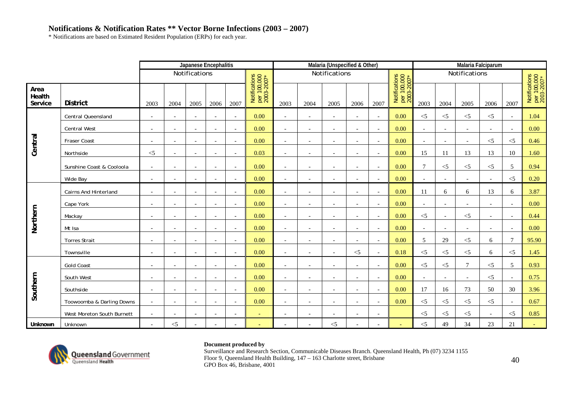\* Notifications are based on Estimated Resident Population (ERPs) for each year.

|                           |                            |                          |                          | Japanese Encephalitis    |                          |                          |                                            |                          |                          | Malaria (Unspecified & Other) |                          |                          |                                            |                          |                          | <b>Malaria Falciparum</b> |          |                          |                                            |
|---------------------------|----------------------------|--------------------------|--------------------------|--------------------------|--------------------------|--------------------------|--------------------------------------------|--------------------------|--------------------------|-------------------------------|--------------------------|--------------------------|--------------------------------------------|--------------------------|--------------------------|---------------------------|----------|--------------------------|--------------------------------------------|
|                           |                            |                          |                          | Notifications            |                          |                          |                                            |                          |                          | Notifications                 |                          |                          |                                            |                          |                          | Notifications             |          |                          |                                            |
| Area<br>Health<br>Service | <b>District</b>            | 2003                     | 2004                     | 2005                     | 2006                     | 2007                     | Notifications<br>per 100,000<br>2003-2007* | 2003                     | 2004                     | 2005                          | 2006                     | 2007                     | Notifications<br>per 100,000<br>2003-2007* | 2003                     | 2004                     | 2005                      | 2006     | 2007                     | Notifications<br>per 100,000<br>2003-2007* |
|                           | Central Queensland         | $\overline{\phantom{a}}$ | $\blacksquare$           | $\sim$                   |                          | $\overline{\phantom{a}}$ | 0.00                                       | $\sim$                   | $\overline{a}$           | $\overline{\phantom{a}}$      | $\overline{\phantom{a}}$ | $\overline{\phantom{a}}$ | 0.00                                       | $<$ 5                    | $< 5$                    | $<$ 5                     | $<$ 5    |                          | 1.04                                       |
|                           | <b>Central West</b>        | $\blacksquare$           | $\overline{\phantom{a}}$ | $\overline{\phantom{a}}$ | $\overline{\phantom{a}}$ | $\overline{\phantom{a}}$ | 0.00                                       | $\sim$                   | $\overline{\phantom{a}}$ | $\overline{\phantom{a}}$      | $\overline{\phantom{a}}$ | $\blacksquare$           | 0.00                                       | $\sim$                   | $\overline{\phantom{a}}$ | $\overline{\phantom{a}}$  |          | $\overline{\phantom{a}}$ | 0.00                                       |
|                           | Fraser Coast               | $\overline{\phantom{a}}$ | $\overline{\phantom{a}}$ | $\sim$                   | $\overline{\phantom{a}}$ | $\sim$                   | 0.00                                       | $\sim$                   | $\overline{a}$           | $\overline{\phantom{a}}$      | $\overline{a}$           | $\sim$                   | 0.00                                       | $\overline{\phantom{a}}$ |                          | $\overline{\phantom{a}}$  | $<$ 5    | $\leq$ 5                 | 0.46                                       |
| Central                   | Northside                  | $< 5$                    | $\blacksquare$           | $\overline{\phantom{a}}$ |                          | $\sim$                   | 0.03                                       | $\overline{\phantom{a}}$ | $\overline{\phantom{a}}$ | $\overline{\phantom{a}}$      | $\overline{\phantom{a}}$ | $\sim$                   | 0.00                                       | 15                       | 11                       | 13                        | 13       | 10                       | 1.60                                       |
|                           | Sunshine Coast & Cooloola  | $\sim$                   | $\overline{\phantom{a}}$ | $\overline{\phantom{a}}$ | $\overline{\phantom{a}}$ | $\overline{\phantom{a}}$ | 0.00                                       | $\sim$                   | $\overline{\phantom{0}}$ | $\overline{a}$                | $\overline{\phantom{a}}$ | $\overline{\phantom{a}}$ | 0.00                                       | $\tau$                   | $< 5$                    | $\leq$ 5                  | $<$ 5    | 5                        | 0.94                                       |
|                           | Wide Bay                   | $\blacksquare$           | $\overline{\phantom{a}}$ | $\overline{\phantom{a}}$ | $\overline{\phantom{a}}$ | $\blacksquare$           | 0.00                                       | $\overline{\phantom{a}}$ | $\overline{\phantom{a}}$ |                               | $\overline{\phantom{a}}$ | $\overline{\phantom{a}}$ | 0.00                                       | $\overline{\phantom{a}}$ |                          |                           |          | $<$ 5                    | 0.20                                       |
|                           | Cairns And Hinterland      | $\blacksquare$           | $\overline{\phantom{a}}$ | $\overline{\phantom{a}}$ | $\overline{\phantom{a}}$ | $\overline{\phantom{a}}$ | 0.00                                       | $\overline{\phantom{a}}$ | $\overline{\phantom{a}}$ | $\overline{\phantom{a}}$      | $\overline{\phantom{a}}$ | $\overline{\phantom{a}}$ | 0.00                                       | 11                       | 6                        | 6                         | 13       | 6                        | 3.87                                       |
|                           | Cape York                  | $\overline{\phantom{a}}$ | $\overline{\phantom{a}}$ | $\overline{\phantom{a}}$ |                          | $\overline{\phantom{a}}$ | 0.00                                       | $\overline{\phantom{a}}$ |                          |                               | $\overline{\phantom{a}}$ | $\sim$                   | 0.00                                       | $\overline{\phantom{a}}$ |                          |                           |          |                          | 0.00                                       |
| Northern                  | Mackay                     | $\overline{\phantom{a}}$ | $\overline{a}$           | $\overline{a}$           |                          | $\sim$                   | 0.00                                       |                          |                          |                               | $\overline{a}$           | $\overline{a}$           | 0.00                                       | $<$ 5                    |                          | $<$ 5                     |          |                          | 0.44                                       |
|                           | Mt Isa                     | $\blacksquare$           | $\overline{\phantom{a}}$ | $\overline{\phantom{a}}$ | $\overline{\phantom{a}}$ | $\sim$                   | 0.00                                       | $\overline{\phantom{a}}$ | $\overline{a}$           | $\overline{\phantom{a}}$      | $\overline{\phantom{a}}$ | $\sim$                   | 0.00                                       | $\sim$                   | $\overline{\phantom{a}}$ | ٠                         |          |                          | 0.00                                       |
|                           | <b>Torres Strait</b>       | $\overline{\phantom{a}}$ | $\overline{\phantom{a}}$ | $\overline{\phantom{a}}$ | $\overline{a}$           | $\sim$                   | 0.00                                       | $\sim$                   | $\overline{\phantom{0}}$ | $\overline{\phantom{0}}$      | $\overline{\phantom{a}}$ | $\overline{\phantom{a}}$ | 0.00                                       | 5                        | 29                       | $<$ 5                     | 6        |                          | 95.90                                      |
|                           | Townsville                 | $\overline{\phantom{a}}$ | $\overline{\phantom{a}}$ | $\overline{\phantom{a}}$ |                          | $\overline{\phantom{a}}$ | 0.00                                       | $\overline{\phantom{a}}$ |                          | $\overline{\phantom{a}}$      | $<$ 5                    | $\overline{\phantom{a}}$ | 0.18                                       | $<$ 5                    | $< 5$                    | $<$ 5                     | 6        | $<$ 5                    | 1.45                                       |
|                           | <b>Gold Coast</b>          | $\blacksquare$           | $\overline{\phantom{a}}$ | $\overline{\phantom{a}}$ | $\overline{a}$           | $\sim$                   | 0.00                                       | $\sim$                   | $\overline{a}$           | $\overline{\phantom{a}}$      | $\overline{\phantom{a}}$ | $\overline{\phantom{a}}$ | 0.00                                       | $<$ 5                    | $<$ 5                    | 7                         | $\leq$ 5 | .5                       | 0.93                                       |
|                           | South West                 | $\blacksquare$           | $\overline{\phantom{a}}$ | $\overline{\phantom{a}}$ | $\overline{a}$           | $\overline{\phantom{a}}$ | 0.00                                       | $\sim$                   | $\overline{\phantom{a}}$ | $\overline{\phantom{a}}$      | $\overline{\phantom{a}}$ | $\overline{\phantom{a}}$ | 0.00                                       | $\overline{\phantom{a}}$ |                          | $\overline{\phantom{a}}$  | $<$ 5    |                          | 0.75                                       |
| Southern                  | Southside                  | $\overline{\phantom{a}}$ | $\overline{\phantom{a}}$ | $\overline{\phantom{a}}$ |                          | $\overline{\phantom{a}}$ | 0.00                                       | $\overline{\phantom{a}}$ |                          |                               | $\overline{\phantom{a}}$ | $\overline{\phantom{a}}$ | 0.00                                       | 17                       | 16                       | 73                        | 50       | 30                       | 3.96                                       |
|                           | Toowoomba & Darling Downs  | $\sim$                   | $\overline{a}$           | $\overline{a}$           |                          | $\sim$                   | 0.00                                       |                          |                          |                               | $\overline{a}$           | $\overline{a}$           | 0.00                                       | $<$ 5                    | $<$ 5                    | $<$ 5                     | $<$ 5    |                          | 0.67                                       |
|                           | West Moreton South Burnett |                          |                          | $\overline{a}$           |                          |                          |                                            |                          |                          |                               |                          |                          |                                            | $< 5$                    | $\leq$ 5                 | $\leq$                    |          | $<$ 5                    | 0.85                                       |
| Unknown                   | Unknown                    | $\overline{a}$           | $<$ 5                    | $\overline{\phantom{a}}$ |                          | $\overline{\phantom{a}}$ |                                            |                          |                          | $<$ 5                         | $\overline{a}$           | $\overline{a}$           |                                            | $<$ 5                    | 49                       | 34                        | 23       | 21                       |                                            |



### **Document produced by**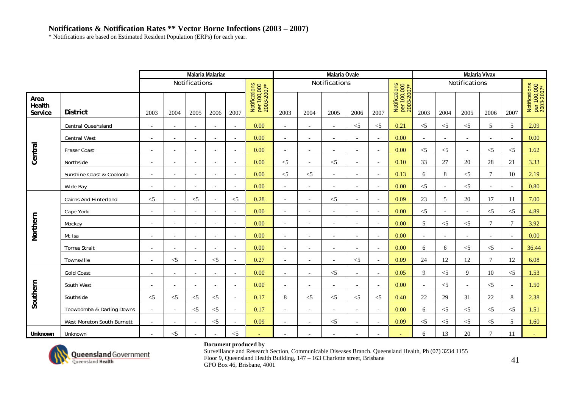\* Notifications are based on Estimated Resident Population (ERPs) for each year.

|                           |                              |                          |                          |                          | <b>Malaria Malariae</b>  |                          |                                            |                          |                          | Malaria Ovale            |                          |                          |                                            |                          |                          |                          | <b>Malaria Vivax</b>     |                          |                                            |
|---------------------------|------------------------------|--------------------------|--------------------------|--------------------------|--------------------------|--------------------------|--------------------------------------------|--------------------------|--------------------------|--------------------------|--------------------------|--------------------------|--------------------------------------------|--------------------------|--------------------------|--------------------------|--------------------------|--------------------------|--------------------------------------------|
|                           |                              |                          |                          | Notifications            |                          |                          |                                            |                          |                          | Notifications            |                          |                          |                                            |                          |                          | Notifications            |                          |                          |                                            |
| Area<br>Health<br>Service | <b>District</b>              | 2003                     | 2004                     | 2005                     | 2006                     | 2007                     | Notifications<br>per 100,000<br>2003-2007* | 2003                     | 2004                     | 2005                     | 2006                     | 2007                     | Notifications<br>per 100,000<br>2003-2007* | 2003                     | 2004                     | 2005                     | 2006                     | 2007                     | Notifications<br>per 100,000<br>2003-2007* |
|                           | <b>Central Queensland</b>    | $\overline{\phantom{a}}$ | $\overline{\phantom{a}}$ | $\overline{\phantom{a}}$ |                          | $\overline{\phantom{a}}$ | 0.00                                       | $\overline{\phantom{a}}$ | $\overline{\phantom{0}}$ | $\overline{a}$           | $<$ 5                    | $<$ 5                    | 0.21                                       | $<$ 5                    | $<$ 5                    | $<$ 5                    | 5                        | .5                       | 2.09                                       |
|                           | <b>Central West</b>          | $\overline{\phantom{a}}$ | $\overline{\phantom{a}}$ | $\sim$                   | $\sim$                   | $\sim$                   | 0.00                                       | $\overline{\phantom{a}}$ | $\overline{\phantom{0}}$ | $\sim$                   | $\overline{\phantom{0}}$ | $\overline{\phantom{a}}$ | 0.00                                       | $\sim$                   | $\sim$                   | $\overline{\phantom{a}}$ | $\overline{\phantom{a}}$ | $\overline{a}$           | 0.00                                       |
| Central                   | <b>Fraser Coast</b>          | $\overline{\phantom{a}}$ | $\overline{\phantom{a}}$ | $\overline{\phantom{a}}$ |                          | $\overline{\phantom{a}}$ | 0.00                                       | $\overline{\phantom{a}}$ | $\overline{\phantom{a}}$ | $\overline{\phantom{a}}$ | $\overline{\phantom{a}}$ | $\sim$                   | 0.00                                       | $\leq$                   | $<$ 5                    | $\overline{\phantom{a}}$ | $<$ 5                    | $\leq$ 5                 | 1.62                                       |
|                           | Northside                    | $\overline{\phantom{a}}$ | $\overline{\phantom{a}}$ | $\overline{\phantom{a}}$ |                          | $\blacksquare$           | 0.00                                       | $<$ 5                    | $\overline{\phantom{a}}$ | $<$ 5                    | $\overline{\phantom{a}}$ | $\overline{\phantom{a}}$ | 0.10                                       | 33                       | 27                       | 20                       | 28                       | 21                       | 3.33                                       |
|                           | Sunshine Coast & Cooloola    | $\sim$                   | $\overline{\phantom{a}}$ | $\overline{\phantom{a}}$ | $\sim$                   | $\sim$                   | 0.00                                       | $<$ 5                    | $< 5$                    | $\overline{\phantom{a}}$ | $\blacksquare$           | $\sim$                   | 0.13                                       | 6                        | 8                        | $<$ 5                    | $\overline{7}$           | 10                       | 2.19                                       |
|                           | Wide Bay                     | $\overline{\phantom{a}}$ | $\overline{\phantom{a}}$ | $\overline{\phantom{a}}$ |                          | $\overline{\phantom{a}}$ | 0.00                                       |                          |                          |                          |                          | $\overline{\phantom{a}}$ | 0.00                                       | $<$ 5                    | $\overline{\phantom{a}}$ | $<$ 5                    |                          |                          | 0.80                                       |
|                           | <b>Cairns And Hinterland</b> | $\leq$                   | $\overline{a}$           | $<$ 5                    | $\overline{\phantom{a}}$ | $\leq$ 5                 | 0.28                                       | $\overline{\phantom{a}}$ | $\overline{\phantom{a}}$ | $<$ 5                    | $\blacksquare$           | $\sim$                   | 0.09                                       | 23                       | 5                        | 20                       | 17                       | -11                      | 7.00                                       |
|                           | Cape York                    | $\overline{\phantom{a}}$ | $\overline{\phantom{a}}$ | $\overline{\phantom{a}}$ | $\overline{\phantom{0}}$ | $\overline{\phantom{a}}$ | 0.00                                       | $\overline{a}$           | $\overline{\phantom{0}}$ | $\overline{\phantom{0}}$ | $\overline{\phantom{a}}$ | $\overline{\phantom{a}}$ | 0.00                                       | $<$ 5                    |                          | $\overline{a}$           | $<$ 5                    | $\leq$ 5                 | 4.89                                       |
|                           | Mackay                       | $\overline{\phantom{a}}$ | $\overline{\phantom{a}}$ | $\overline{\phantom{a}}$ | $\overline{\phantom{a}}$ | $\sim$                   | 0.00                                       | $\overline{\phantom{a}}$ | $\overline{\phantom{a}}$ | $\overline{\phantom{a}}$ | $\overline{\phantom{a}}$ | $\overline{\phantom{a}}$ | 0.00                                       | 5                        | $<$ 5                    | $<$ 5                    | $\overline{7}$           | 7                        | 3.92                                       |
| Northern                  | Mt Isa                       | $\overline{\phantom{a}}$ | $\overline{\phantom{a}}$ | $\overline{\phantom{a}}$ |                          | $\overline{\phantom{a}}$ | 0.00                                       | $\overline{\phantom{a}}$ | $\overline{\phantom{a}}$ | $\overline{\phantom{a}}$ | $\overline{\phantom{a}}$ | $\overline{\phantom{a}}$ | 0.00                                       | $\blacksquare$           | $\overline{\phantom{a}}$ | $\overline{\phantom{a}}$ | $\overline{\phantom{a}}$ | $\overline{a}$           | 0.00                                       |
|                           | <b>Torres Strait</b>         | $\overline{a}$           | $\overline{\phantom{a}}$ | $\overline{a}$           | $\overline{\phantom{0}}$ | $\overline{\phantom{a}}$ | 0.00                                       | $\overline{\phantom{a}}$ | $\overline{\phantom{0}}$ | $\overline{\phantom{0}}$ | $\overline{\phantom{0}}$ | $\overline{a}$           | 0.00                                       | 6                        | 6                        | $<$ 5                    | $<$ 5                    | $\overline{\phantom{a}}$ | 36.44                                      |
|                           | Townsville                   | $\overline{\phantom{a}}$ | $<$ 5                    | $\sim$                   | $<$ 5                    | $\overline{\phantom{a}}$ | 0.27                                       |                          |                          | $\overline{\phantom{a}}$ | $<$ 5                    | $\overline{a}$           | 0.09                                       | 24                       | 12                       | 12                       | $\overline{7}$           | 12                       | 6.08                                       |
|                           | <b>Gold Coast</b>            | $\overline{\phantom{a}}$ | $\overline{a}$           | $\overline{a}$           | $\overline{\phantom{a}}$ | $\sim$                   | 0.00                                       |                          | $\overline{\phantom{a}}$ | $<$ 5                    | $\overline{a}$           | $\sim$                   | 0.05                                       | 9                        | $< 5$                    | 9                        | 10                       | $<$ 5                    | 1.53                                       |
|                           | South West                   | $\overline{\phantom{a}}$ | $\overline{\phantom{a}}$ | $\sim$                   | $\overline{\phantom{a}}$ | $\overline{\phantom{a}}$ | 0.00                                       | $\overline{\phantom{a}}$ | $\overline{\phantom{a}}$ | $\overline{\phantom{a}}$ | $\blacksquare$           | $\overline{\phantom{a}}$ | 0.00                                       | $\overline{\phantom{a}}$ | $\leq$ 5                 | $\overline{\phantom{a}}$ | $<$ 5                    | $\overline{a}$           | 1.50                                       |
| Southern                  | Southside                    | $<$ 5                    | $<$ 5                    | $<$ 5                    | $<$ 5                    | $\overline{\phantom{a}}$ | 0.17                                       | 8                        | $<$ 5                    | $<$ 5                    | $<$ 5                    | $<$ 5                    | 0.40                                       | 22                       | 29                       | 31                       | $22\,$                   | 8                        | 2.38                                       |
|                           | Toowoomba & Darling Downs    | $\sim$                   | $\overline{\phantom{a}}$ | $<$ 5                    | $<$ 5                    | $\sim$                   | 0.17                                       | $\overline{\phantom{a}}$ | $\overline{\phantom{a}}$ | $\overline{\phantom{a}}$ | $\overline{\phantom{a}}$ | $\overline{\phantom{a}}$ | 0.00                                       | 6                        | $<$ 5                    | $<$ 5                    | $\leq$ 5                 | $<$ 5                    | 1.51                                       |
|                           | West Moreton South Burnett   | $\sim$                   | $\overline{\phantom{a}}$ | $\overline{\phantom{a}}$ | $<$ 5                    | $\overline{\phantom{a}}$ | 0.09                                       | $\overline{\phantom{a}}$ | $\overline{\phantom{a}}$ | $<$ 5                    | $\overline{\phantom{0}}$ | $\overline{\phantom{a}}$ | 0.09                                       | $<$ 5                    | $<$ 5                    | $<$ 5                    | $<\!\!5$                 | 5                        | 1.60                                       |
| Unknown                   | Unknown                      | $\sim$                   | $<$ 5                    | $\overline{a}$           | $\sim$                   | $<$ 5                    |                                            |                          |                          | $\overline{a}$           |                          | $\overline{a}$           | <b>A</b>                                   | 6                        | 13                       | 20                       | $\tau$                   | 11                       |                                            |



### **Document produced by**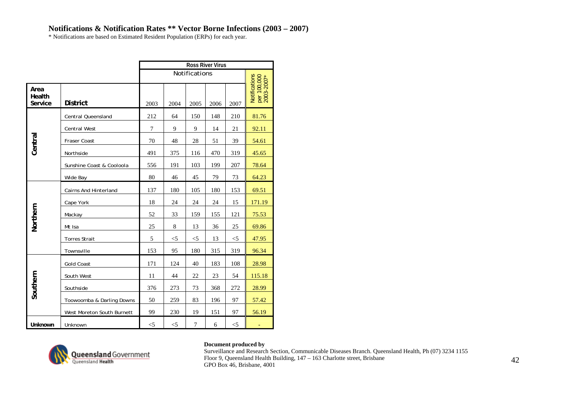\* Notifications are based on Estimated Resident Population (ERPs) for each year.

|                           |                              |       |       |                | <b>Ross River Virus</b> |          |                                            |
|---------------------------|------------------------------|-------|-------|----------------|-------------------------|----------|--------------------------------------------|
|                           |                              |       |       | Notifications  |                         |          |                                            |
| Area<br>Health<br>Service | <b>District</b>              | 2003  | 2004  | 2005           | 2006                    | 2007     | Notifications<br>per 100,000<br>2003-2007* |
|                           | Central Queensland           | 212   | 64    | 150            | 148                     | 210      | 81.76                                      |
|                           | <b>Central West</b>          | 7     | 9     | 9              | 14                      | 21       | 92.11                                      |
| Central                   | Fraser Coast                 | 70    | 48    | 28             | 51                      | 39       | 54.61                                      |
|                           | Northside                    | 491   | 375   | 116            | 470                     | 319      | 45.65                                      |
|                           | Sunshine Coast & Cooloola    | 556   | 191   | 103            | 199                     | 207      | 78.64                                      |
|                           | Wide Bay                     | 80    | 46    | 45             | 79                      | 73       | 64.23                                      |
|                           | <b>Cairns And Hinterland</b> | 137   | 180   | 105            | 180                     | 153      | 69.51                                      |
|                           | Cape York                    | 18    | 24    | 24             | 24                      | 15       | 171.19                                     |
| Northern                  | Mackay                       | 52    | 33    | 159            | 155                     | 121      | 75.53                                      |
|                           | Mt Isa                       | 25    | 8     | 13             | 36                      | 25       | 69.86                                      |
|                           | <b>Torres Strait</b>         | 5     | $<$ 5 | $<$ 5          | 13                      | $<$ 5    | 47.95                                      |
|                           | Townsville                   | 153   | 95    | 180            | 315                     | 319      | 96.34                                      |
|                           | <b>Gold Coast</b>            | 171   | 124   | 40             | 183                     | 108      | 28.98                                      |
|                           | South West                   | 11    | 44    | 22             | 23                      | 54       | 115.18                                     |
| Southern                  | Southside                    | 376   | 273   | 73             | 368                     | 272      | 28.99                                      |
|                           | Toowoomba & Darling Downs    | 50    | 259   | 83             | 196                     | 97       | 57.42                                      |
|                           | West Moreton South Burnett   | 99    | 230   | 19             | 151                     | 97       | 56.19                                      |
| Unknown                   | Unknown                      | $<$ 5 | $<$ 5 | $\overline{7}$ | 6                       | $<\!\!5$ |                                            |



### **Document produced by**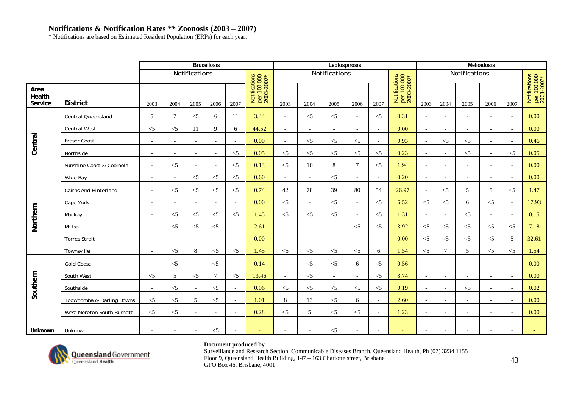# **Notifications & Notification Rates \*\* Zoonosis (2003 – 2007)**

\* Notifications are based on Estimated Resident Population (ERPs) for each year.

|                           |                              |                          |                          |                          | <b>Brucellosis</b>       |                          |                                            |                          |                          | Leptospirosis            |                          |                          |                                            |                          |                          |                          | <b>Melioidosis</b>       |                          |                                            |
|---------------------------|------------------------------|--------------------------|--------------------------|--------------------------|--------------------------|--------------------------|--------------------------------------------|--------------------------|--------------------------|--------------------------|--------------------------|--------------------------|--------------------------------------------|--------------------------|--------------------------|--------------------------|--------------------------|--------------------------|--------------------------------------------|
|                           |                              |                          |                          | Notifications            |                          |                          |                                            |                          |                          | Notifications            |                          |                          |                                            |                          |                          | Notifications            |                          |                          |                                            |
| Area<br>Health<br>Service | <b>District</b>              | 2003                     | 2004                     | 2005                     | 2006                     | 2007                     | Notifications<br>per 100,000<br>2003-2007* | 2003                     | 2004                     | 2005                     | 2006                     | 2007                     | Notifications<br>per 100,000<br>2003-2007* | 2003                     | 2004                     | 2005                     | 2006                     | 2007                     | Notifications<br>per 100,000<br>2003-2007* |
|                           | Central Queensland           | 5                        | 7                        | $<$ 5                    | 6                        | 11                       | 3.44                                       | $\sim$                   | $<\!\!5$                 | $\leq$ 5                 | $\sim$                   | $<$ 5                    | 0.31                                       | $\sim$                   | $\overline{\phantom{a}}$ | $\overline{\phantom{a}}$ |                          | $\overline{\phantom{0}}$ | 0.00                                       |
|                           | <b>Central West</b>          | $<$ 5                    | $<$ 5                    | 11                       | 9                        | 6                        | 44.52                                      | $\overline{a}$           | $\overline{\phantom{0}}$ | $\overline{a}$           | $\overline{\phantom{a}}$ | $\sim$                   | 0.00                                       | $\overline{\phantom{a}}$ | $\overline{a}$           | $\overline{\phantom{0}}$ | $\overline{\phantom{0}}$ | $\overline{\phantom{a}}$ | 0.00                                       |
| Central                   | Fraser Coast                 | $\overline{\phantom{a}}$ | $\overline{\phantom{a}}$ | $\blacksquare$           | $\overline{\phantom{0}}$ | $\overline{\phantom{a}}$ | 0.00                                       | $\overline{\phantom{a}}$ | $<$ 5                    | $<$ 5                    | $<$ 5                    | $\blacksquare$           | 0.93                                       | $\sim$                   | $<$ 5                    | $<$ 5                    | $\overline{\phantom{a}}$ | $\overline{\phantom{a}}$ | 0.46                                       |
|                           | Northside                    | $\sim$                   | $\overline{\phantom{a}}$ | $\overline{\phantom{a}}$ | $\overline{\phantom{a}}$ | $<$ 5                    | 0.05                                       | $\leq$ 5                 | $<\!\!5$                 | $\leq$ 5                 | $<$ 5                    | $<$ 5                    | 0.23                                       | $\overline{\phantom{a}}$ | $\overline{\phantom{a}}$ | $<$ 5                    | $\overline{\phantom{a}}$ | $\leq$ 5                 | 0.05                                       |
|                           | Sunshine Coast & Cooloola    | $ \,$                    | $<$ 5                    | $\overline{\phantom{a}}$ | $\overline{a}$           | $<$ 5                    | 0.13                                       | $<$ 5                    | 10                       | $\,8$                    | $\overline{7}$           | $<$ 5                    | 1.94                                       | $\overline{\phantom{a}}$ | $\overline{\phantom{a}}$ | $\overline{\phantom{a}}$ | $\overline{\phantom{a}}$ | $\overline{\phantom{a}}$ | 0.00                                       |
|                           | Wide Bay                     | $\overline{\phantom{a}}$ | $\overline{\phantom{a}}$ | $<$ 5                    | $<$ 5                    | $<$ 5                    | 0.60                                       |                          |                          | $<$ 5                    |                          | $\overline{\phantom{a}}$ | 0.20                                       |                          |                          |                          |                          |                          | 0.00                                       |
|                           | <b>Cairns And Hinterland</b> | $\sim$                   | $<$ 5                    | $\leq$ 5                 | $\leq$ 5                 | $<$ 5                    | 0.74                                       | 42                       | 78                       | 39                       | 80                       | 54                       | 26.97                                      | $\sim$                   | $\leq$ 5                 | 5                        | 5                        | $\leq$ 5                 | 1.47                                       |
|                           | Cape York                    | $\overline{\phantom{a}}$ | $\overline{\phantom{a}}$ | $\overline{\phantom{a}}$ | $\overline{\phantom{0}}$ | $\overline{\phantom{a}}$ | 0.00                                       | $<$ 5                    | $\overline{\phantom{a}}$ | $<$ 5                    | $\overline{\phantom{a}}$ | $\leq$ 5                 | 6.52                                       | $\leq$ 5                 | $\leq$ 5                 | 6                        | $\leq$ 5                 | $\overline{\phantom{a}}$ | 17.93                                      |
|                           | Mackay                       | $\overline{\phantom{a}}$ | $<$ 5                    | $<$ 5                    | $<$ 5                    | $\leq$ 5                 | 1.45                                       | $<$ 5                    | $\leq$                   | $<$ 5                    | $\overline{\phantom{a}}$ | $<$ 5                    | 1.31                                       | $\overline{\phantom{a}}$ | $\overline{\phantom{a}}$ | $<$ 5                    |                          | $\overline{\phantom{a}}$ | 0.15                                       |
| Northern                  | Mt Isa                       | $\overline{\phantom{a}}$ | $<$ 5                    | $<$ 5                    | $<$ 5                    | $\sim$                   | 2.61                                       | $\overline{a}$           | $\overline{\phantom{a}}$ | $\overline{\phantom{a}}$ | $<$ 5                    | $<$ 5                    | 3.92                                       | $<$ 5                    | $<$ 5                    | $<$ 5                    | $<$ 5                    | $\leq$ 5                 | 7.18                                       |
|                           | <b>Torres Strait</b>         | $\bar{a}$                | $\overline{\phantom{a}}$ | $\sim$                   | $\overline{\phantom{a}}$ | $\overline{a}$           | 0.00                                       | $\sim$                   | $\overline{\phantom{a}}$ | $\overline{\phantom{a}}$ | $\overline{\phantom{a}}$ | $\overline{\phantom{a}}$ | 0.00                                       | $\leq$ 5                 | $\leq$ 5                 | $\leq$ 5                 | $\leq$ 5                 | 5                        | 32.61                                      |
|                           | Townsville                   | $\overline{\phantom{a}}$ | $<$ 5                    | 8                        | $<$ 5                    | $<\!\!5$                 | 1.45                                       | $\leq$ 5                 | $<\!\!5$                 | $<$ 5                    | $<$ 5                    | 6                        | 1.54                                       | $<$ 5                    | $\tau$                   | 5                        | $<$ 5                    | $\leq$ 5                 | 1.54                                       |
|                           | <b>Gold Coast</b>            |                          | $<$ 5                    | $\blacksquare$           | $<$ 5                    | $\overline{\phantom{a}}$ | 0.14                                       | $\sim$                   | $<\!\!5$                 | $<$ 5                    | 6                        | $<$ 5                    | 0.56                                       |                          | $\overline{\phantom{a}}$ | $\overline{\phantom{a}}$ |                          |                          | 0.00                                       |
|                           | South West                   | $<$ 5                    | 5                        | $<$ 5                    | $\tau$                   | $<$ 5                    | 13.46                                      | $\overline{\phantom{a}}$ | $<$ 5                    | $\overline{\phantom{a}}$ | $\overline{\phantom{a}}$ | $<$ 5                    | 3.74                                       | $\overline{\phantom{a}}$ | $\overline{\phantom{a}}$ |                          |                          |                          | 0.00                                       |
| Southern                  | Southside                    | $\overline{\phantom{a}}$ | $<$ 5                    | $\overline{\phantom{a}}$ | $\leq$ 5                 | $\sim$                   | 0.06                                       | $<$ 5                    | $<$ 5                    | $<$ 5                    | $<$ 5                    | $<$ 5                    | 0.19                                       | $\overline{\phantom{a}}$ | $\overline{\phantom{a}}$ | $\leq$ 5                 | $\overline{\phantom{a}}$ | $\overline{\phantom{a}}$ | 0.02                                       |
|                           | Toowoomba & Darling Downs    | $<$ 5                    | $<$ 5                    | 5                        | $\leq$ 5                 | $\overline{\phantom{a}}$ | 1.01                                       | 8                        | 13                       | $<$ 5                    | 6                        | $\sim$                   | 2.60                                       |                          |                          | $\overline{\phantom{a}}$ |                          |                          | 0.00                                       |
|                           | West Moreton South Burnett   | $<$ 5                    | $<$ 5                    | $\overline{\phantom{a}}$ | $\overline{\phantom{0}}$ | $\overline{\phantom{a}}$ | 0.28                                       | $\leq$ 5                 | 5                        | $<$ 5                    | $< 5$                    | $\overline{\phantom{a}}$ | 1.23                                       | $\overline{\phantom{0}}$ | $\overline{\phantom{a}}$ | $\overline{\phantom{a}}$ |                          |                          | 0.00                                       |
| Unknown                   | Unknown                      | $\overline{\phantom{a}}$ | $\overline{\phantom{0}}$ | $\overline{\phantom{a}}$ | $\leq$ 5                 | $\overline{\phantom{a}}$ | $\overline{\phantom{0}}$                   |                          | $\overline{a}$           | $<$ 5                    | $\overline{a}$           | $\overline{\phantom{a}}$ | $\overline{\phantom{0}}$                   | $\overline{\phantom{0}}$ | $\overline{\phantom{0}}$ | $\overline{\phantom{a}}$ | $\overline{\phantom{0}}$ | $\overline{\phantom{0}}$ |                                            |



### **Document produced by**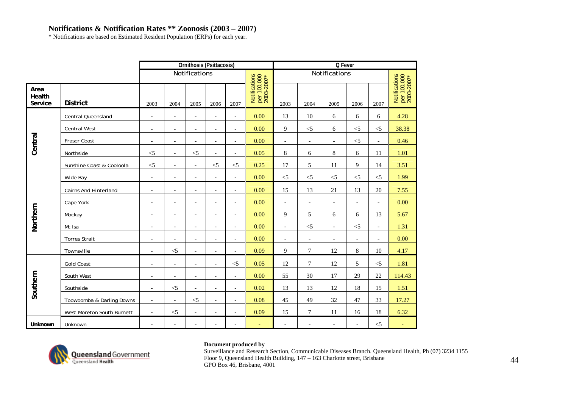# **Notifications & Notification Rates \*\* Zoonosis (2003 – 2007)**

\* Notifications are based on Estimated Resident Population (ERPs) for each year.

|                           |                              |                          |                          | Ornithosis (Psittacosis)     |                          |                          |                                            |                          |                          | Q Fever                  |                          |                          |                                            |
|---------------------------|------------------------------|--------------------------|--------------------------|------------------------------|--------------------------|--------------------------|--------------------------------------------|--------------------------|--------------------------|--------------------------|--------------------------|--------------------------|--------------------------------------------|
|                           |                              |                          |                          | Notifications                |                          |                          |                                            |                          |                          | Notifications            |                          |                          |                                            |
| Area<br>Health<br>Service | <b>District</b>              | 2003                     | 2004                     | 2005                         | 2006                     | 2007                     | Notifications<br>per 100,000<br>2003-2007* | 2003                     | 2004                     | 2005                     | 2006                     | 2007                     | Notifications<br>per 100,000<br>2003-2007* |
|                           | <b>Central Queensland</b>    | $\blacksquare$           | $\overline{\phantom{a}}$ | $\overline{\phantom{a}}$     | $\blacksquare$           | $\overline{\phantom{a}}$ | 0.00                                       | 13                       | 10                       | 6                        | 6                        | 6                        | 4.28                                       |
|                           | Central West                 | $\overline{a}$           | $\overline{\phantom{a}}$ | $\overline{\phantom{a}}$     | $\overline{\phantom{a}}$ | $\overline{\phantom{a}}$ | 0.00                                       | 9                        | $<$ 5                    | 6                        | $<$ 5                    | $<$ 5                    | 38.38                                      |
| Central                   | Fraser Coast                 | $\overline{a}$           | $\overline{\phantom{a}}$ | $\overline{a}$               | $\overline{\phantom{a}}$ | $\blacksquare$           | 0.00                                       | $\overline{a}$           | $\blacksquare$           | $\overline{\phantom{a}}$ | $< 5$                    | $\overline{\phantom{a}}$ | 0.46                                       |
|                           | Northside                    | $<\!\!5$                 | $\overline{\phantom{a}}$ | $\leq$ 5                     | $\overline{a}$           | $\blacksquare$           | 0.05                                       | $\,8\,$                  | 6                        | 8                        | 6                        | 11                       | 1.01                                       |
|                           | Sunshine Coast & Cooloola    | $<\!\!5$                 | $\overline{\phantom{a}}$ | $\blacksquare$               | $<$ 5                    | $<$ 5                    | 0.25                                       | 17                       | 5                        | 11                       | 9                        | 14                       | 3.51                                       |
|                           | Wide Bay                     | $\overline{\phantom{a}}$ | $\overline{a}$           | $\overline{a}$               | $\overline{\phantom{a}}$ | $\overline{\phantom{a}}$ | 0.00                                       | $<$ 5                    | $\leq$                   | $\leq$ 5                 | $< 5$                    | $\leq$                   | 1.99                                       |
|                           | <b>Cairns And Hinterland</b> | $\blacksquare$           | $\overline{\phantom{a}}$ | $\overline{a}$               | $\overline{a}$           | $\blacksquare$           | 0.00                                       | 15                       | 13                       | 21                       | 13                       | 20                       | 7.55                                       |
|                           | Cape York                    | $\overline{\phantom{a}}$ | $\blacksquare$           | $\overline{\phantom{a}}$     | $\overline{\phantom{a}}$ | $\overline{\phantom{a}}$ | 0.00                                       | $\overline{\phantom{a}}$ | $\overline{\phantom{a}}$ | $\overline{\phantom{a}}$ | $\overline{\phantom{a}}$ | $\overline{\phantom{a}}$ | 0.00                                       |
| Northern                  | Mackay                       | $\overline{\phantom{a}}$ | $\overline{\phantom{a}}$ | $\qquad \qquad \blacksquare$ | $\overline{a}$           | $\overline{\phantom{a}}$ | 0.00                                       | 9                        | 5                        | 6                        | 6                        | 13                       | 5.67                                       |
|                           | Mt Isa                       | $\overline{a}$           | $\overline{\phantom{a}}$ | $\overline{a}$               | $\overline{\phantom{a}}$ | $\blacksquare$           | 0.00                                       | $\overline{\phantom{a}}$ | $<$ 5                    | $\overline{\phantom{a}}$ | $<$ 5                    | $\blacksquare$           | 1.31                                       |
|                           | <b>Torres Strait</b>         | $\overline{\phantom{a}}$ | $\blacksquare$           | $\overline{a}$               | $\overline{\phantom{a}}$ | $\overline{\phantom{a}}$ | 0.00                                       | $\blacksquare$           | $\overline{\phantom{a}}$ | $\overline{a}$           | $\overline{\phantom{a}}$ | $\overline{\phantom{a}}$ | 0.00                                       |
|                           | Townsville                   | $\overline{\phantom{a}}$ | $<$ 5                    | $\overline{a}$               | $\overline{\phantom{a}}$ | $\blacksquare$           | 0.09                                       | 9                        | $\tau$                   | 12                       | 8                        | 10                       | 4.17                                       |
|                           | Gold Coast                   | $\overline{\phantom{a}}$ | $\overline{\phantom{a}}$ | $\overline{a}$               | $\overline{a}$           | $<$ 5                    | 0.05                                       | 12                       | $7\phantom{.0}$          | 12                       | 5                        | $\leq$                   | 1.81                                       |
|                           | South West                   | $\overline{\phantom{a}}$ | $\overline{\phantom{a}}$ | $\overline{\phantom{a}}$     | $\overline{\phantom{a}}$ | $\overline{\phantom{a}}$ | 0.00                                       | 55                       | 30                       | 17                       | 29                       | 22                       | 114.43                                     |
| Southern                  | Southside                    | $\overline{\phantom{a}}$ | $<$ 5                    | $\overline{\phantom{a}}$     | $\overline{\phantom{a}}$ | $\overline{\phantom{a}}$ | 0.02                                       | 13                       | 13                       | 12                       | 18                       | 15                       | 1.51                                       |
|                           | Toowoomba & Darling Downs    | $\overline{\phantom{a}}$ | $\overline{\phantom{a}}$ | $\leq$ 5                     | $\overline{\phantom{a}}$ | $\overline{\phantom{a}}$ | 0.08                                       | 45                       | 49                       | 32                       | 47                       | 33                       | 17.27                                      |
|                           | West Moreton South Burnett   | $\overline{\phantom{a}}$ | $<$ 5                    | $\frac{1}{2}$                | $\overline{\phantom{a}}$ | $\blacksquare$           | 0.09                                       | 15                       | $\tau$                   | 11                       | 16                       | 18                       | 6.32                                       |
| Unknown                   | Unknown                      | $\overline{\phantom{a}}$ | $\overline{\phantom{a}}$ | $\overline{a}$               | $\overline{\phantom{a}}$ | $\overline{\phantom{a}}$ | $\overline{\phantom{a}}$                   | $\overline{\phantom{a}}$ | $\overline{\phantom{a}}$ | $\overline{\phantom{a}}$ | $\overline{\phantom{a}}$ | $\leq$                   |                                            |



### **Document produced by**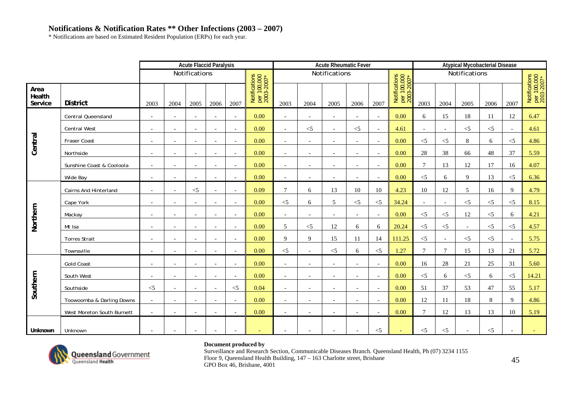\* Notifications are based on Estimated Resident Population (ERPs) for each year.

|                           |                            |                          |                          | <b>Acute Flaccid Paralysis</b> |                          |                          |                                            |                          |                          | <b>Acute Rheumatic Fever</b> |                          |                          |                                            |                          |                          | <b>Atypical Mycobacterial Disease</b> |          |                          |                                            |
|---------------------------|----------------------------|--------------------------|--------------------------|--------------------------------|--------------------------|--------------------------|--------------------------------------------|--------------------------|--------------------------|------------------------------|--------------------------|--------------------------|--------------------------------------------|--------------------------|--------------------------|---------------------------------------|----------|--------------------------|--------------------------------------------|
|                           |                            |                          |                          | Notifications                  |                          |                          |                                            |                          |                          | Notifications                |                          |                          |                                            |                          |                          | Notifications                         |          |                          |                                            |
| Area<br>Health<br>Service | <b>District</b>            | 2003                     | 2004                     | 2005                           | 2006                     | 2007                     | Notifications<br>per 100,000<br>2003-2007* | 2003                     | 2004                     | 2005                         | 2006                     | 2007                     | Notifications<br>per 100,000<br>2003-2007* | 2003                     | 2004                     | 2005                                  | 2006     | 2007                     | Notifications<br>per 100,000<br>2003-2007* |
|                           | Central Queensland         | $ \,$                    | $\overline{\phantom{a}}$ | $\overline{\phantom{a}}$       | $\overline{\phantom{a}}$ | $\sim$                   | 0.00                                       | $\overline{\phantom{a}}$ | $\overline{\phantom{a}}$ | $\overline{\phantom{a}}$     | $\overline{\phantom{a}}$ | $\sim$                   | 0.00                                       | 6                        | 15                       | 18                                    | 11       | 12                       | 6.47                                       |
|                           | <b>Central West</b>        | $\blacksquare$           | $\overline{\phantom{a}}$ | $\overline{\phantom{a}}$       | $\overline{\phantom{a}}$ | $\overline{\phantom{a}}$ | 0.00                                       | $\overline{\phantom{a}}$ | $<$ 5                    | $\overline{\phantom{a}}$     | $<$ 5                    | $\sim$                   | 4.61                                       | $\overline{\phantom{a}}$ | $\sim$                   | $<$ 5                                 | $<$ 5    |                          | 4.61                                       |
| Central                   | Fraser Coast               | $\blacksquare$           | $\overline{\phantom{a}}$ | $\blacksquare$                 |                          | $\sim$                   | 0.00                                       | $\overline{\phantom{a}}$ |                          | $\overline{\phantom{a}}$     | $\overline{\phantom{a}}$ | $\sim$                   | 0.00                                       | $<$ 5                    | $< 5$                    | 8                                     | 6        | $\leq$ 5                 | 4.86                                       |
|                           | Northside                  | $\overline{\phantom{a}}$ | $\overline{\phantom{a}}$ | $\overline{\phantom{a}}$       | $\overline{\phantom{a}}$ | $\sim$                   | 0.00                                       | $\sim$                   | $\overline{\phantom{a}}$ | $\overline{\phantom{a}}$     | $\overline{\phantom{a}}$ | $\overline{\phantom{a}}$ | 0.00                                       | 28                       | 38                       | 66                                    | 48       | 37                       | 5.59                                       |
|                           | Sunshine Coast & Cooloola  | $\sim$                   | $\overline{\phantom{a}}$ | $\overline{\phantom{a}}$       |                          | $\overline{\phantom{a}}$ | 0.00                                       | $\overline{\phantom{a}}$ |                          | $\overline{\phantom{a}}$     | $\overline{\phantom{a}}$ | $\overline{\phantom{a}}$ | 0.00                                       | $\tau$                   | 13                       | 12                                    | 17       | 16                       | 4.07                                       |
|                           | Wide Bay                   |                          | $\overline{\phantom{a}}$ | $\overline{a}$                 |                          | $\sim$                   | 0.00                                       |                          |                          |                              |                          | $\sim$                   | 0.00                                       | $< 5$                    | 6                        | 9                                     | 13       | $\leq$ 5                 | 6.36                                       |
|                           | Cairns And Hinterland      | $\sim$                   | $\blacksquare$           | $<$ 5                          | $\overline{\phantom{a}}$ | $\overline{\phantom{a}}$ | 0.09                                       | $\tau$                   | 6                        | 13                           | 10                       | 10                       | 4.23                                       | 10                       | 12                       | 5                                     | 16       | $\mathbf Q$              | 4.79                                       |
|                           | Cape York                  | $\blacksquare$           | $\overline{\phantom{a}}$ | $\overline{\phantom{a}}$       | $\overline{\phantom{a}}$ | $\overline{\phantom{a}}$ | 0.00                                       | $<$ 5                    | 6                        | 5                            | $< 5$                    | $<$ 5                    | 34.24                                      | $\sim$                   | $\overline{\phantom{a}}$ | $<$ 5                                 | $<$ 5    | $\leq$ 5                 | 8.15                                       |
|                           | Mackay                     | $\overline{\phantom{a}}$ | $\overline{\phantom{a}}$ | $\overline{a}$                 | $\overline{\phantom{a}}$ | $\overline{a}$           | 0.00                                       | $\overline{\phantom{a}}$ | $\overline{\phantom{0}}$ |                              | $\overline{a}$           | $\sim$                   | 0.00                                       | $<$ 5                    | $< 5$                    | 12                                    | $<$ 5    | 6                        | 4.21                                       |
| Northern                  | Mt Isa                     | $\sim$                   | $\overline{\phantom{a}}$ | $\overline{\phantom{a}}$       | $\overline{\phantom{a}}$ | $\sim$                   | 0.00                                       | 5                        | $<$ 5                    | 12                           | 6                        | 6                        | 20.24                                      | $<$ 5                    | $<$ 5                    | $\overline{\phantom{a}}$              | $\leq$ 5 | $\leq$ 5                 | 4.57                                       |
|                           | <b>Torres Strait</b>       | $\blacksquare$           | $\overline{\phantom{a}}$ | $\overline{\phantom{a}}$       | $\overline{\phantom{a}}$ | $\overline{\phantom{a}}$ | 0.00                                       | 9                        | 9                        | 15                           | 11                       | 14                       | 111.25                                     | $<$ 5                    | $\overline{\phantom{a}}$ | $<$ 5                                 | $<$ 5    |                          | 5.75                                       |
|                           | Townsville                 | $\overline{a}$           | $\overline{\phantom{a}}$ | $\overline{a}$                 |                          | $\sim$                   | 0.00                                       | $<$ 5                    |                          | $<$ 5                        | 6                        | $<$ 5                    | 1.27                                       | $\tau$                   | $\tau$                   | 15                                    | 13       | 21                       | 5.72                                       |
|                           | <b>Gold Coast</b>          | $\overline{a}$           | $\overline{\phantom{a}}$ | $\overline{\phantom{a}}$       |                          | $\sim$                   | 0.00                                       | $\sim$                   |                          | $\sim$                       | $\overline{\phantom{a}}$ | $\sim$                   | 0.00                                       | 16                       | 28                       | 21                                    | 25       | 31                       | 5.60                                       |
|                           | South West                 | $\overline{\phantom{a}}$ | $\sim$                   | $\sim$                         | $\overline{\phantom{a}}$ | $\sim$                   | 0.00                                       | $\sim$                   | $\overline{a}$           | $\overline{\phantom{a}}$     | $\overline{a}$           | $\sim$                   | 0.00                                       | $<$ 5                    | 6                        | $\leq$ 5                              | 6        | $\leq$ 5                 | 14.21                                      |
| Southern                  | Southside                  | $<$ 5                    | $\blacksquare$           | $\overline{\phantom{a}}$       | $\overline{\phantom{a}}$ | $<$ 5                    | 0.04                                       | $\overline{\phantom{a}}$ | $\overline{\phantom{a}}$ | $\overline{\phantom{a}}$     | $\overline{\phantom{a}}$ | $\sim$                   | 0.00                                       | 51                       | 37                       | 53                                    | 47       | 55                       | 5.17                                       |
|                           | Toowoomba & Darling Downs  | $ \,$                    | $\bar{a}$                | $\sim$                         | $\sim$                   | $\sim$                   | 0.00                                       | $\sim$                   |                          | $\overline{\phantom{a}}$     | $\overline{\phantom{a}}$ | $\overline{a}$           | 0.00                                       | 12                       | 11                       | 18                                    | 8        | $\mathbf Q$              | 4.86                                       |
|                           | West Moreton South Burnett | $\sim$                   | $\sim$                   | $\sim$                         | $\overline{\phantom{a}}$ | $\sim$                   | 0.00                                       | $\sim$                   | $\overline{\phantom{a}}$ | $\overline{\phantom{a}}$     | $\overline{a}$           | $\sim$                   | 0.00                                       | $\overline{7}$           | 12                       | 13                                    | 13       | 10                       | 5.19                                       |
| Unknown                   | Unknown                    | $\overline{\phantom{a}}$ | $\overline{\phantom{a}}$ | $\overline{\phantom{a}}$       |                          | $\overline{\phantom{a}}$ |                                            |                          |                          | $\overline{\phantom{a}}$     | $\blacksquare$           | $<$ 5                    | $\equiv$                                   | $<$ 5                    | $<$ 5                    | $\overline{\phantom{a}}$              | $<$ 5    | $\overline{\phantom{a}}$ |                                            |



### **Document produced by**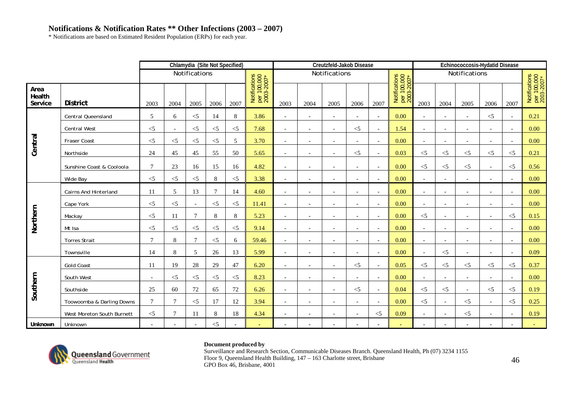\* Notifications are based on Estimated Resident Population (ERPs) for each year.

|                           |                            |                          |                          | Chlamydia (Site Not Specified) |          |       |                                            |                          |                          | Creutzfeld-Jakob Disease |                          |                          |                                            |                          |                          | Echinococcosis-Hydatid Disease |                          |                          |                                            |
|---------------------------|----------------------------|--------------------------|--------------------------|--------------------------------|----------|-------|--------------------------------------------|--------------------------|--------------------------|--------------------------|--------------------------|--------------------------|--------------------------------------------|--------------------------|--------------------------|--------------------------------|--------------------------|--------------------------|--------------------------------------------|
|                           |                            |                          |                          | Notifications                  |          |       |                                            |                          |                          | Notifications            |                          |                          |                                            |                          |                          | Notifications                  |                          |                          |                                            |
| Area<br>Health<br>Service | <b>District</b>            | 2003                     | 2004                     | 2005                           | 2006     | 2007  | Notifications<br>per 100,000<br>2003-2007* | 2003                     | 2004                     | 2005                     | 2006                     | 2007                     | Notifications<br>per 100,000<br>2003-2007* | 2003                     | 2004                     | 2005                           | 2006                     | 2007                     | Notifications<br>per 100,000<br>2003-2007* |
|                           | Central Queensland         | 5                        | 6                        | $<$ 5                          | 14       | 8     | 3.86                                       | $\sim$                   | $\overline{\phantom{a}}$ | $\overline{\phantom{a}}$ | $\overline{a}$           | $\sim$                   | 0.00                                       |                          |                          | $\overline{\phantom{a}}$       | $<$ 5                    |                          | 0.21                                       |
|                           | <b>Central West</b>        | $<$ 5                    | $\overline{\phantom{a}}$ | $<$ 5                          | $\leq$ 5 | $<$ 5 | 7.68                                       | $\overline{\phantom{a}}$ |                          | $\overline{\phantom{a}}$ | $\leq$ 5                 | $\overline{\phantom{a}}$ | 1.54                                       | $\overline{\phantom{a}}$ |                          |                                |                          |                          | 0.00                                       |
| Central                   | Fraser Coast               | $<$ 5                    | $<$ 5                    | $<$ 5                          | $<$ 5    | 5     | 3.70                                       | $\sim$                   | $\overline{\phantom{a}}$ | $\overline{\phantom{a}}$ | $\overline{a}$           | $\overline{a}$           | 0.00                                       |                          | $\overline{\phantom{a}}$ | $\overline{\phantom{a}}$       |                          |                          | 0.00                                       |
|                           | Northside                  | 24                       | 45                       | 45                             | 55       | 50    | 5.65                                       | $\overline{\phantom{a}}$ | $\overline{\phantom{a}}$ | $\sim$                   | $\leq$ 5                 | $\overline{\phantom{a}}$ | 0.03                                       | $<$ 5                    | $<$ 5                    | $<$ 5                          | $<$ 5                    | $<$ 5                    | 0.21                                       |
|                           | Sunshine Coast & Cooloola  | $\tau$                   | 23                       | 16                             | 15       | 16    | 4.82                                       | $\sim$                   | $\overline{\phantom{a}}$ | $\overline{\phantom{a}}$ | $\overline{\phantom{a}}$ | $\sim$                   | 0.00                                       | $<$ 5                    | $<$ 5                    | $\leq$                         | $\overline{\phantom{a}}$ | $\leq$ 5                 | 0.56                                       |
|                           | Wide Bay                   | $<$ 5                    | $<$ 5                    | $<$ 5                          | 8        | $<$ 5 | 3.38                                       |                          |                          |                          |                          | $\overline{\phantom{0}}$ | 0.00                                       |                          |                          |                                |                          |                          | 0.00                                       |
|                           | Cairns And Hinterland      | 11                       | 5                        | 13                             | $\tau$   | 14    | 4.60                                       | $\sim$                   | $\overline{\phantom{a}}$ | $\overline{\phantom{a}}$ | $\overline{a}$           | $\sim$                   | 0.00                                       |                          |                          | $\overline{\phantom{a}}$       |                          | $\overline{\phantom{a}}$ | 0.00                                       |
|                           | Cape York                  | $<$ 5                    | $<$ 5                    | $\overline{\phantom{a}}$       | $<$ 5    | $<$ 5 | 11.41                                      | $\overline{\phantom{a}}$ | $\overline{\phantom{a}}$ | $\overline{\phantom{a}}$ | $\overline{\phantom{a}}$ | $\sim$                   | 0.00                                       | $\overline{\phantom{a}}$ | $\overline{\phantom{a}}$ | $\overline{\phantom{a}}$       | $\overline{\phantom{a}}$ | $\overline{\phantom{a}}$ | 0.00                                       |
| Northern                  | Mackay                     | $<$ 5                    | -11                      | $\tau$                         | 8        | 8     | 5.23                                       | $\sim$                   |                          | $\sim$                   | $\overline{a}$           | $\overline{\phantom{a}}$ | 0.00                                       | $<$ 5                    | $\sim$                   | $\overline{a}$                 |                          | $<$ 5                    | 0.15                                       |
|                           | Mt Isa                     | $<$ 5                    | $\leq$ 5                 | $<$ 5                          | $\leq$ 5 | $<$ 5 | 9.14                                       | $\sim$                   | $\overline{\phantom{a}}$ | $\overline{\phantom{a}}$ | $\overline{\phantom{a}}$ | $\overline{\phantom{a}}$ | 0.00                                       | $\overline{\phantom{a}}$ | $\overline{\phantom{a}}$ | $\overline{a}$                 |                          | $\overline{\phantom{a}}$ | 0.00                                       |
|                           | <b>Torres Strait</b>       | $\tau$                   | 8                        | $\tau$                         | $\leq$ 5 | 6     | 59.46                                      | $\overline{\phantom{a}}$ | $\overline{\phantom{a}}$ | $\overline{\phantom{a}}$ | $\overline{\phantom{a}}$ | $\sim$                   | 0.00                                       | $\overline{\phantom{a}}$ | $\overline{\phantom{a}}$ | $\overline{\phantom{a}}$       | $\overline{\phantom{a}}$ | $\overline{\phantom{a}}$ | 0.00                                       |
|                           | Townsville                 | 14                       | 8                        | 5                              | 26       | 13    | 5.99                                       |                          |                          |                          |                          | $\sim$                   | 0.00                                       |                          | $< 5$                    |                                |                          |                          | 0.09                                       |
|                           | <b>Gold Coast</b>          | 11                       | 19                       | 28                             | 29       | 47    | 6.20                                       | $\sim$                   | $\overline{\phantom{a}}$ | $\overline{\phantom{a}}$ | $\leq$ 5                 | $\sim$                   | 0.05                                       | $<$ 5                    | $<$ 5                    | $\leq$                         | $\leq$ 5                 | $\leq$ 5                 | 0.37                                       |
|                           | South West                 | $\overline{\phantom{a}}$ | $<$ 5                    | $<$ 5                          | $<$ 5    | $<$ 5 | 8.23                                       | $\sim$                   | $\overline{\phantom{a}}$ | $\overline{\phantom{a}}$ | $\overline{\phantom{a}}$ | $\overline{\phantom{a}}$ | 0.00                                       |                          | $\sim$                   | $\sim$                         |                          | $\overline{\phantom{a}}$ | 0.00                                       |
| Southern                  | Southside                  | 25                       | 60                       | 72                             | 65       | 72    | 6.26                                       | $\overline{\phantom{a}}$ |                          | $\overline{\phantom{a}}$ | $\leq$ 5                 | $\overline{\phantom{a}}$ | 0.04                                       | $<$ 5                    | $<$ 5                    | $\overline{\phantom{a}}$       | $<$ 5                    | $\leq$ 5                 | 0.19                                       |
|                           | Toowoomba & Darling Downs  | $\tau$                   | $\overline{7}$           | $<$ 5                          | 17       | 12    | 3.94                                       |                          |                          |                          | $\overline{a}$           | $\sim$                   | 0.00                                       | $<$ 5                    |                          | $<$ 5                          |                          | $<$ 5                    | 0.25                                       |
|                           | West Moreton South Burnett | $< 5$                    | $\overline{7}$           | 11                             | $\,8\,$  | 18    | 4.34                                       |                          |                          |                          |                          | $<$ 5                    | 0.09                                       |                          |                          | $<$ 5                          |                          |                          | 0.19                                       |
| Unknown                   | Unknown                    |                          |                          | $\overline{\phantom{a}}$       | $\leq$ 5 |       |                                            |                          |                          |                          |                          |                          |                                            |                          |                          |                                |                          |                          |                                            |



### **Document produced by**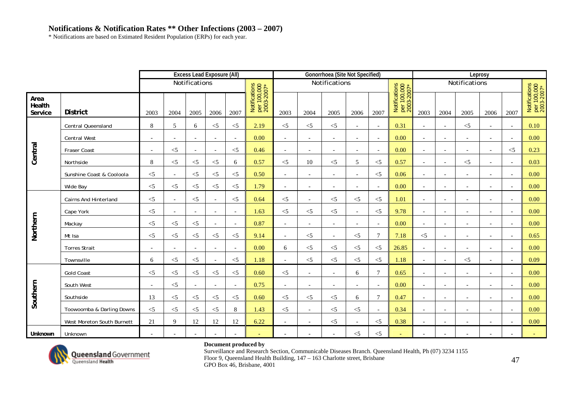\* Notifications are based on Estimated Resident Population (ERPs) for each year.

|                           |                              |                          |                          | <b>Excess Lead Exposure (All)</b> |                          |                          |                                            |                          |                          | Gonorrhoea (Site Not Specified) |                          |                          |                                            |                          |                          |                          | Leprosy                  |                          |                                            |
|---------------------------|------------------------------|--------------------------|--------------------------|-----------------------------------|--------------------------|--------------------------|--------------------------------------------|--------------------------|--------------------------|---------------------------------|--------------------------|--------------------------|--------------------------------------------|--------------------------|--------------------------|--------------------------|--------------------------|--------------------------|--------------------------------------------|
|                           |                              |                          |                          | Notifications                     |                          |                          |                                            |                          |                          | Notifications                   |                          |                          |                                            |                          |                          | Notifications            |                          |                          |                                            |
| Area<br>Health<br>Service | <b>District</b>              | 2003                     | 2004                     | 2005                              | 2006                     | 2007                     | Notifications<br>per 100,000<br>2003-2007* | 2003                     | 2004                     | 2005                            | 2006                     | 2007                     | Notifications<br>per 100,000<br>2003-2007* | 2003                     | 2004                     | 2005                     | 2006                     | 2007                     | Notifications<br>per 100,000<br>2003-2007* |
|                           | <b>Central Queensland</b>    | 8                        | 5                        | 6                                 | $<$ 5                    | $<$ 5                    | 2.19                                       | $\leq$ 5                 | $<$ 5                    | $\leq$ 5                        | $\overline{a}$           | $\overline{\phantom{a}}$ | 0.31                                       |                          | $\overline{\phantom{a}}$ | $<$ 5                    | $\overline{\phantom{a}}$ | $\blacksquare$           | 0.10                                       |
|                           | <b>Central West</b>          | $\overline{a}$           | ÷,                       | $\sim$                            | $\sim$                   | $\sim$                   | 0.00                                       | $\overline{\phantom{a}}$ | $\overline{\phantom{a}}$ | $\sim$                          | $\overline{a}$           | $\overline{\phantom{a}}$ | 0.00                                       | $\sim$                   | $\overline{a}$           | $\overline{\phantom{a}}$ | $\overline{\phantom{a}}$ | $\overline{a}$           | 0.00                                       |
| Central                   | Fraser Coast                 | $\overline{a}$           | $\leq$ 5                 | $\sim$                            | $\overline{\phantom{a}}$ | $<$ 5                    | 0.46                                       | $\sim$                   | $\overline{\phantom{a}}$ | $\overline{\phantom{a}}$        | $\overline{\phantom{a}}$ | $\overline{\phantom{a}}$ | 0.00                                       | $\overline{a}$           | $\overline{\phantom{a}}$ | $\overline{\phantom{0}}$ | $\overline{\phantom{a}}$ | $\leq$ 5                 | 0.23                                       |
|                           | Northside                    | 8                        | $<$ 5                    | $<$ 5                             | $<$ 5                    | 6                        | 0.57                                       | $<$ 5                    | 10                       | $<$ 5                           | 5                        | $\leq$                   | 0.57                                       | $\overline{\phantom{a}}$ | $\overline{\phantom{a}}$ | $<$ 5                    | $\overline{\phantom{a}}$ | $\blacksquare$           | 0.03                                       |
|                           | Sunshine Coast & Cooloola    | $<$ 5                    | $\overline{\phantom{a}}$ | $<$ 5                             | $\leq$ 5                 | $<$ 5                    | 0.50                                       | $\overline{\phantom{a}}$ | $\overline{\phantom{a}}$ | $\bar{a}$                       | $\overline{a}$           | $<$ 5                    | 0.06                                       |                          | $\sim$                   |                          | $\blacksquare$           |                          | 0.00                                       |
|                           | Wide Bay                     | $<$ 5                    | $\leq$                   | $<$ 5                             | $\leq$ 5                 | $<$ 5                    | 1.79                                       |                          | $\overline{\phantom{a}}$ | $\overline{a}$                  |                          | $\overline{a}$           | 0.00                                       |                          |                          |                          | $\overline{a}$           |                          | 0.00                                       |
|                           | <b>Cairns And Hinterland</b> | $<$ 5                    | $\overline{\phantom{a}}$ | $<$ 5                             | $\overline{a}$           | $<$ 5                    | 0.64                                       | $<$ 5                    | $\sim$                   | $<$ 5                           | $<$ 5                    | $<$ 5                    | 1.01                                       |                          | $\sim$                   |                          | $\overline{a}$           |                          | 0.00                                       |
|                           | Cape York                    | $<$ 5                    | $\overline{\phantom{a}}$ | $\overline{\phantom{a}}$          | $\overline{\phantom{a}}$ | $\overline{\phantom{a}}$ | 1.63                                       | $\leq$ 5                 | $\leq$ 5                 | $\leq$ 5                        | $\overline{a}$           | $<$ 5                    | 9.78                                       |                          | $\sim$                   |                          | $\overline{\phantom{a}}$ |                          | 0.00                                       |
|                           | Mackay                       | $<$ 5                    | $\leq$ 5                 | $\leq$ 5                          | $\sim$                   | $\overline{\phantom{a}}$ | 0.87                                       | $\overline{\phantom{a}}$ | $\overline{\phantom{a}}$ | $\sim$                          | $\overline{\phantom{a}}$ | $\overline{\phantom{a}}$ | 0.00                                       | $\sim$                   | $\overline{\phantom{a}}$ | $\overline{\phantom{a}}$ | $\overline{\phantom{a}}$ | $\overline{\phantom{a}}$ | 0.00                                       |
| Northern                  | Mt Isa                       | $<$ 5                    | $<$ 5                    | $\leq$ 5                          | $<$ 5                    | $<$ 5                    | 9.14                                       | $\overline{\phantom{a}}$ | $<$ 5                    | $\sim$                          | $<$ 5                    | $\overline{7}$           | 7.18                                       | $<$ 5                    | $\overline{\phantom{a}}$ | $\overline{\phantom{a}}$ | $\overline{\phantom{a}}$ | $\overline{\phantom{a}}$ | 0.65                                       |
|                           | <b>Torres Strait</b>         | $\overline{\phantom{a}}$ | $\overline{\phantom{a}}$ | $\overline{\phantom{a}}$          | $\overline{\phantom{a}}$ | $\overline{\phantom{a}}$ | 0.00                                       | 6                        | $\leq$ 5                 | $\leq$ 5                        | $\leq$                   | $\leq$ 5                 | 26.85                                      |                          | $\overline{\phantom{a}}$ |                          | $\overline{\phantom{a}}$ |                          | 0.00                                       |
|                           | Townsville                   | 6                        | $\leq$ 5                 | $\leq$ 5                          | $\sim$                   | $<$ 5                    | 1.18                                       | $\overline{a}$           | $\leq$ 5                 | $\leq$ 5                        | $\leq$ 5                 | $\leq$ 5                 | 1.18                                       |                          | $\sim$                   | $<$ 5                    | $\overline{\phantom{a}}$ |                          | 0.09                                       |
|                           | <b>Gold Coast</b>            | $<$ 5                    | $\leq$ 5                 | $<$ 5                             | $<$ 5                    | $<$ 5                    | 0.60                                       | $\leq$ 5                 | $\overline{\phantom{a}}$ | $\sim$                          | 6                        | $\overline{7}$           | 0.65                                       | $\sim$                   | $\overline{\phantom{a}}$ |                          | $\overline{\phantom{a}}$ |                          | 0.00                                       |
|                           | South West                   | $\overline{\phantom{a}}$ | $<$ 5                    | $\overline{\phantom{a}}$          | $\overline{a}$           | $\overline{\phantom{a}}$ | 0.75                                       | $\overline{\phantom{a}}$ | $\overline{\phantom{a}}$ | $\sim$                          | $\overline{\phantom{a}}$ | $\overline{\phantom{a}}$ | 0.00                                       | $\sim$                   | $\sim$                   | $\overline{\phantom{a}}$ | $\overline{\phantom{a}}$ |                          | 0.00                                       |
| Southern                  | Southside                    | 13                       | $<$ 5                    | $<$ 5                             | $\leq$ 5                 | $<$ 5                    | 0.60                                       | $<$ 5                    | $<$ 5                    | $\leq$ 5                        | 6                        | $\overline{7}$           | 0.47                                       |                          | $\overline{\phantom{a}}$ |                          | $\overline{\phantom{a}}$ |                          | 0.00                                       |
|                           | Toowoomba & Darling Downs    | $\leq$ 5                 | $\leq$ 5                 | $\leq$ 5                          | $\leq$ 5                 | 8                        | 1.43                                       | $\leq$ 5                 | $\overline{\phantom{a}}$ | $<$ 5                           | $<$ 5                    | $\overline{\phantom{a}}$ | 0.34                                       | $\overline{a}$           | $\overline{\phantom{a}}$ | $\overline{\phantom{0}}$ | $\overline{\phantom{a}}$ |                          | 0.00                                       |
|                           | West Moreton South Burnett   | 21                       | 9                        | 12                                | 12                       | 12                       | 6.22                                       | $\overline{\phantom{a}}$ | $\overline{\phantom{a}}$ | $<$ 5                           |                          | $<$ 5                    | 0.38                                       |                          |                          | $\overline{\phantom{a}}$ | $\overline{\phantom{a}}$ |                          | 0.00                                       |
| <b>Unknown</b>            | Unknown                      | $\overline{a}$           |                          |                                   |                          |                          |                                            | $\overline{\phantom{0}}$ |                          | $\sim$                          | $<$ 5                    | $<$ 5                    |                                            |                          |                          |                          |                          |                          |                                            |



### **Document produced by**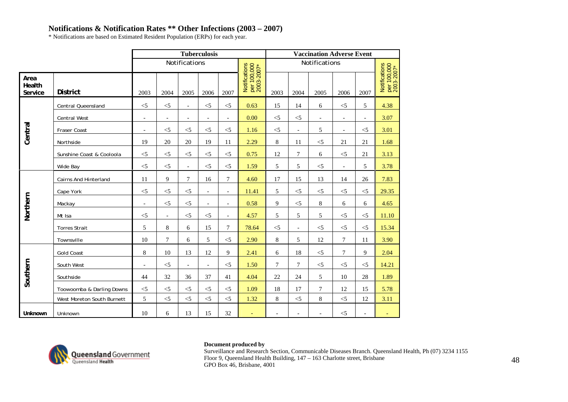\* Notifications are based on Estimated Resident Population (ERPs) for each year.

|                           |                              |                                |                          |                          | <b>Tuberculosis</b>      |                          |                                            |                |                          | <b>Vaccination Adverse Event</b> |                          |                          |                                            |  |
|---------------------------|------------------------------|--------------------------------|--------------------------|--------------------------|--------------------------|--------------------------|--------------------------------------------|----------------|--------------------------|----------------------------------|--------------------------|--------------------------|--------------------------------------------|--|
|                           |                              | Notifications<br>Notifications |                          |                          |                          |                          |                                            |                |                          |                                  |                          |                          |                                            |  |
| Area<br>Health<br>Service | <b>District</b>              | 2003                           | 2004                     | 2005                     | 2006                     | 2007                     | Notifications<br>per 100,000<br>2003-2007* | 2003           | 2004                     | 2005                             | 2006                     | 2007                     | Notifications<br>per 100,000<br>2003-2007* |  |
|                           | Central Queensland           | $<$ 5                          | $<$ 5                    | $\overline{\phantom{a}}$ | $<$ 5                    | $<$ 5                    | 0.63                                       | 15             | 14                       | 6                                | $<$ 5                    | 5                        | 4.38                                       |  |
|                           | Central West                 | $\blacksquare$                 | $\overline{\phantom{a}}$ | $\overline{\phantom{a}}$ | $\overline{\phantom{a}}$ | $\overline{\phantom{a}}$ | 0.00                                       | $<$ 5          | $\leq$                   | $\overline{\phantom{a}}$         | $\overline{\phantom{a}}$ | $\overline{\phantom{a}}$ | 3.07                                       |  |
| Central                   | Fraser Coast                 | $\overline{\phantom{a}}$       | $\leq$ 5                 | $<$ 5                    | $<$ 5                    | $<$ 5                    | 1.16                                       | $<$ 5          | $\overline{\phantom{a}}$ | 5                                | $\overline{\phantom{a}}$ | $<$ 5                    | 3.01                                       |  |
|                           | Northside                    | 19                             | 20                       | 20                       | 19                       | 11                       | 2.29                                       | 8              | 11                       | $<$ 5                            | 21                       | 21                       | 1.68                                       |  |
|                           | Sunshine Coast & Cooloola    | $<$ 5                          | $<$ 5                    | $<$ 5                    | $<$ 5                    | $<$ 5                    | 0.75                                       | 12             | $\tau$                   | 6                                | $<\!\!5$                 | 21                       | 3.13                                       |  |
|                           | Wide Bay                     | $<$ 5                          | $<$ 5                    | $\overline{\phantom{a}}$ | $<$ 5                    | $<$ 5                    | 1.59                                       | 5              | 5                        | $<$ 5                            | $\blacksquare$           | 5                        | 3.78                                       |  |
|                           | <b>Cairns And Hinterland</b> | 11                             | 9                        | $\overline{7}$           | 16                       | $\overline{7}$           | 4.60                                       | 17             | 15                       | 13                               | 14                       | 26                       | 7.83                                       |  |
|                           | Cape York                    | $<$ 5                          | $<$ 5                    | $<$ 5                    | $\blacksquare$           | $\overline{\phantom{a}}$ | 11.41                                      | 5              | $<$ 5                    | $<$ 5                            | $<$ 5                    | $<$ 5                    | 29.35                                      |  |
| Northern                  | Mackay                       | $\blacksquare$                 | $<$ 5                    | $<$ 5                    | $\overline{a}$           | $\overline{\phantom{a}}$ | 0.58                                       | 9              | $\leq$                   | 8                                | 6                        | 6                        | 4.65                                       |  |
|                           | Mt Isa                       | $<$ 5                          | $\overline{\phantom{a}}$ | $<$ 5                    | $<$ 5                    | $\overline{\phantom{a}}$ | 4.57                                       | 5              | 5                        | 5                                | $<\!\!5$                 | $<$ 5                    | 11.10                                      |  |
|                           | <b>Torres Strait</b>         | 5                              | 8                        | 6                        | 15                       | $\overline{7}$           | 78.64                                      | $<$ 5          | $\overline{\phantom{a}}$ | $\leq$ 5                         | $\leq$                   | $< 5$                    | 15.34                                      |  |
|                           | Townsville                   | 10                             | $7\phantom{.0}$          | 6                        | 5                        | $<$ 5                    | 2.90                                       | 8              | 5                        | 12                               | $\tau$                   | 11                       | 3.90                                       |  |
|                           | <b>Gold Coast</b>            | 8                              | 10                       | 13                       | 12                       | 9                        | 2.41                                       | 6              | 18                       | $<$ 5                            | $\tau$                   | 9                        | 2.04                                       |  |
|                           | South West                   | $\overline{\phantom{a}}$       | $<$ 5                    | $\overline{\phantom{a}}$ | $\overline{\phantom{a}}$ | $<$ 5                    | 1.50                                       | $\overline{7}$ | $\tau$                   | $<$ 5                            | $<$ 5                    | $<$ 5                    | 14.21                                      |  |
| Southern                  | Southside                    | 44                             | 32                       | 36                       | 37                       | 41                       | 4.04                                       | 22             | 24                       | 5                                | 10                       | 28                       | 1.89                                       |  |
|                           | Toowoomba & Darling Downs    | $<$ 5                          | $<$ 5                    | $<$ 5                    | $<$ 5                    | $<$ 5                    | 1.09                                       | 18             | 17                       | $\tau$                           | 12                       | 15                       | 5.78                                       |  |
|                           | West Moreton South Burnett   | 5                              | $<$ 5                    | $<$ 5                    | $<$ 5                    | $<$ 5                    | 1.32                                       | 8              | $<$ 5                    | 8                                | $<$ 5                    | 12                       | 3.11                                       |  |
| Unknown                   | Unknown                      | 10                             | 6                        | 13                       | 15                       | 32                       |                                            |                |                          |                                  | $<$ 5                    | $\overline{\phantom{a}}$ |                                            |  |



### **Document produced by**